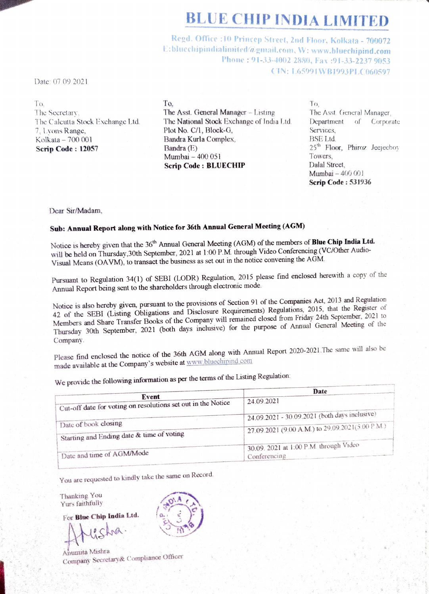# BLUE CHIP INDIA LIMITED

Regd. Office :10 Princep Street, 2nd Floor, Kolkata - 700072 E:bluechipindialinitedagmail.com, W: www.bluechipind.com Phone: 91-33-4002 2880, Fax :91-33-2237 9053 CIN: L6S991 WB1993PLC060597

Date: 07 09 2021

To,  $T_{\mathbf{O}_2}$  To,  $T_{\mathbf{O}_3}$  To, The Secretary, The Calcutta Stock Exchange Ltd. 7. Lyons Range,<br>Kolkata – 700 001 Scrip Code: 12057

#### To,

The Asst. General Manager - Listing The National Stock Exchange of India Lid Plot No. C/1, Block-G, Bandra Kurla Complex, Bandra (E)<br>Mumbai - 400 051 Scrip Code: BLUECHIP

The Asst. General Manager,<br>Department of Corpor Services, BSE Ltd. 25<sup>th</sup> Floor, Phiroz Jeejeeboy Corporate Towers,<br>Dalal Street, Mumbai - 400 001 Scrip Code : 531936

Dear Sir/Madam,

# Sub: Annual Report along with Notice for 36th Annual General Meeting (AGM)

Notice is hereby given that the 36<sup>th</sup> Annual General Meeting (AGM) of the members of **Blue Chip India Ltd.** will be held on Thursday,30th September, 2021 at 1:00 P.M. through Video Conferencing (VC/Other Audio-Visual Means (OAVM), to transact the business as set out in the notice convening the AGM

Pursuant to Regulation 34(1) of SEBI (LODR) Regulation, 2015 please find enclosed herewith a copy of the Annual Report being sent to the shareholders through electronic mode.

Notice is also hereby given, pursuant to the provisions of Section 91 of the Companies Act, 2013 and Regulation 42 of the SEBI (Listing Obligations and Disclosure Requirements) Regulations, 2015, that the Register of Members and Share Transfer Books of the Company will remained closed from Friday 24th September, 2021 to Thursday 30th September, 2021 (both days inclusive) for the purpose of Annual General Meeting of the Company. Company

Please find enclosed the notice of the 36th AGM along with Annual Report 2020-2021. The same will also be made available at the Company's website at www.bluechipind.com

We provide the following information as per the terms of the Listing Regulation:

|                                                                       | Bate                                                             |  |  |  |
|-----------------------------------------------------------------------|------------------------------------------------------------------|--|--|--|
| Event<br>Cut-off date for voting on resolutions set out in the Notice | 24 09 2021                                                       |  |  |  |
| Date of book closing                                                  | 24.09.2021 - 30.09.2021 (both days inclusive)                    |  |  |  |
| Starting and Ending date & time of voting                             | 27.09.2021 (9.00 A.M.) to 29.09.2021(5.00 P.M.)                  |  |  |  |
| Date and time of AGM/Mode                                             | $\sqrt{30.09}$ , 2021 at 1:00 P.M. through Video<br>Conferencing |  |  |  |

You are requested to kindly take the same on Record.

Thanking You Yurs faithfuly

For Blue Chip India Ltd.

Atlisha

Company Secretary& Compliance Otticer

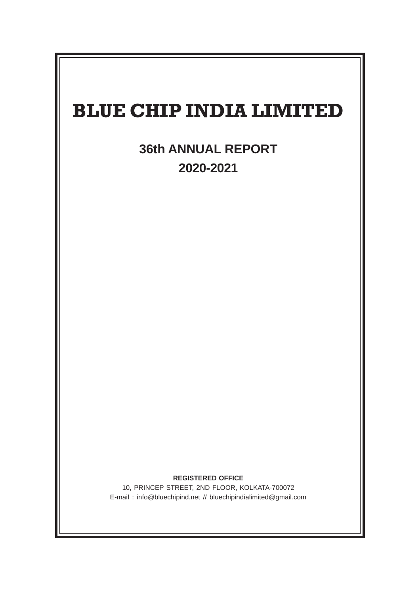# **BLUE CHIP INDIA LIMITED**

BLUE CHIP INDIA LIMITED 2020, INDIA LIMITED 2020, INDIA LIMITED 2020, INDIA LIMITED 2020, INDIA LIMITED 2020-2

**36th ANNUAL REPORT 2020-2021**

**REGISTERED OFFICE**

10, PRINCEP STREET, 2ND FLOOR, KOLKATA-700072 E-mail : info@bluechipind.net // bluechipindialimited@gmail.com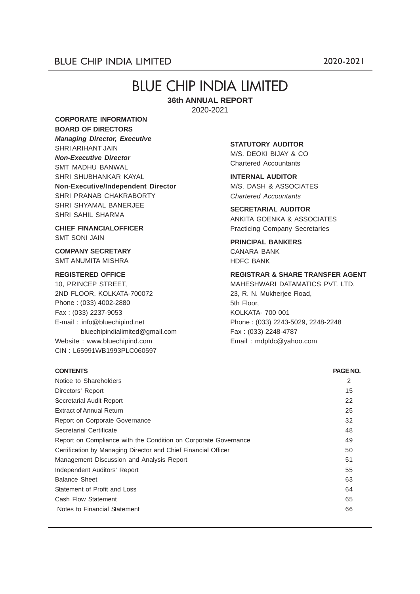# BLUE CHIP INDIA LIMITED

**36th ANNUAL REPORT**

2020-2021

#### **CORPORATE INFORMATION BOARD OF DIRECTORS**

*Managing Director, Executive* SHRI ARIHANT JAIN *Non-Executive Director* SMT MADHU BANWAL SHRI SHUBHANKAR KAYAL **Non-Executive/Independent Director** SHRI PRANAB CHAKRABORTY SHRI SHYAMAL BANERJEE SHRI SAHIL SHARMA

#### **CHIEF FINANCIALOFFICER** SMT SONI JAIN

**COMPANY SECRETARY**

SMT ANUMITA MISHRA

#### **REGISTERED OFFICE**

10, PRINCEP STREET, 2ND FLOOR, KOLKATA-700072 Phone : (033) 4002-2880 Fax : (033) 2237-9053 E-mail : info@bluechipind.net bluechipindialimited@gmail.com Website : www.bluechipind.com CIN : L65991WB1993PLC060597

#### **STATUTORY AUDITOR** M/S. DEOKI BIJAY & CO

Chartered Accountants **INTERNAL AUDITOR**

#### M/S. DASH & ASSOCIATES *Chartered Accountants*

#### **SECRETARIAL AUDITOR**

ANKITA GOENKA & ASSOCIATES Practicing Company Secretaries

#### **PRINCIPAL BANKERS** CANARA BANK

HDFC BANK

#### **REGISTRAR & SHARE TRANSFER AGENT**

MAHESHWARI DATAMATICS PVT. LTD. 23, R. N. Mukherjee Road, 5th Floor, KOLKATA- 700 001 Phone : (033) 2243-5029, 2248-2248 Fax : (033) 2248-4787 Email : mdpldc@yahoo.com

| <b>CONTENTS</b>                                                 | PAGE NO. |
|-----------------------------------------------------------------|----------|
| Notice to Shareholders                                          | 2        |
| Directors' Report                                               | 15       |
| Secretarial Audit Report                                        | 22       |
| <b>Extract of Annual Return</b>                                 | 25       |
| Report on Corporate Governance                                  | 32       |
| Secretarial Certificate                                         | 48       |
| Report on Compliance with the Condition on Corporate Governance | 49       |
| Certification by Managing Director and Chief Financial Officer  | 50       |
| Management Discussion and Analysis Report                       | 51       |
| Independent Auditors' Report                                    | 55       |
| <b>Balance Sheet</b>                                            | 63       |
| Statement of Profit and Loss                                    | 64       |
| Cash Flow Statement                                             | 65       |
| Notes to Financial Statement                                    | 66       |
|                                                                 |          |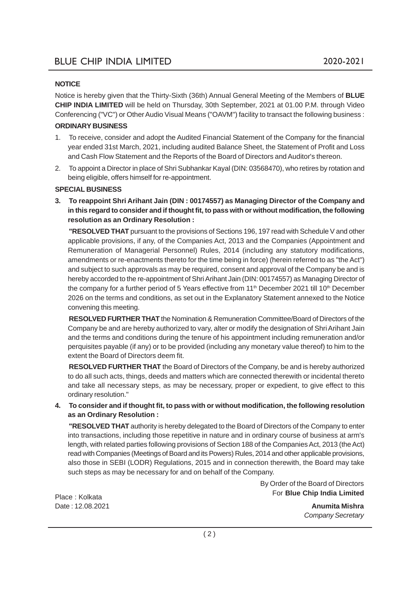#### **NOTICE**

Notice is hereby given that the Thirty-Sixth (36th) Annual General Meeting of the Members of **BLUE CHIP INDIA LIMITED** will be held on Thursday, 30th September, 2021 at 01.00 P.M. through Video Conferencing ("VC") or Other Audio Visual Means ("OAVM") facility to transact the following business :

#### **ORDINARY BUSINESS**

- 1. To receive, consider and adopt the Audited Financial Statement of the Company for the financial year ended 31st March, 2021, including audited Balance Sheet, the Statement of Profit and Loss and Cash Flow Statement and the Reports of the Board of Directors and Auditor's thereon.
- 2. To appoint a Director in place of Shri Subhankar Kayal (DIN: 03568470), who retires by rotation and being eligible, offers himself for re-appointment.

#### **SPECIAL BUSINESS**

**3. To reappoint Shri Arihant Jain (DIN : 00174557) as Managing Director of the Company and in this regard to consider and if thought fit, to pass with or without modification, the following resolution as an Ordinary Resolution :**

**"RESOLVED THAT** pursuant to the provisions of Sections 196, 197 read with Schedule V and other applicable provisions, if any, of the Companies Act, 2013 and the Companies (Appointment and Remuneration of Managerial Personnel) Rules, 2014 (including any statutory modifications, amendments or re-enactments thereto for the time being in force) (herein referred to as "the Act") and subject to such approvals as may be required, consent and approval of the Company be and is hereby accorded to the re-appointment of Shri Arihant Jain (DIN: 00174557) as Managing Director of the company for a further period of 5 Years effective from 11<sup>th</sup> December 2021 till 10<sup>th</sup> December 2026 on the terms and conditions, as set out in the Explanatory Statement annexed to the Notice convening this meeting.

**RESOLVED FURTHER THAT** the Nomination & Remuneration Committee/Board of Directors of the Company be and are hereby authorized to vary, alter or modify the designation of Shri Arihant Jain and the terms and conditions during the tenure of his appointment including remuneration and/or perquisites payable (if any) or to be provided (including any monetary value thereof) to him to the extent the Board of Directors deem fit.

**RESOLVED FURTHER THAT** the Board of Directors of the Company, be and is hereby authorized to do all such acts, things, deeds and matters which are connected therewith or incidental thereto and take all necessary steps, as may be necessary, proper or expedient, to give effect to this ordinary resolution."

**4. To consider and if thought fit, to pass with or without modification, the following resolution as an Ordinary Resolution :**

**"RESOLVED THAT** authority is hereby delegated to the Board of Directors of the Company to enter into transactions, including those repetitive in nature and in ordinary course of business at arm's length, with related parties following provisions of Section 188 of the Companies Act, 2013 (the Act) read with Companies (Meetings of Board and its Powers) Rules, 2014 and other applicable provisions, also those in SEBI (LODR) Regulations, 2015 and in connection therewith, the Board may take such steps as may be necessary for and on behalf of the Company.

By Order of the Board of Directors Place : Kolkata For **Blue Chip India Limited**

Date : 12.08.2021 **Anumita Mishra** *Company Secretary*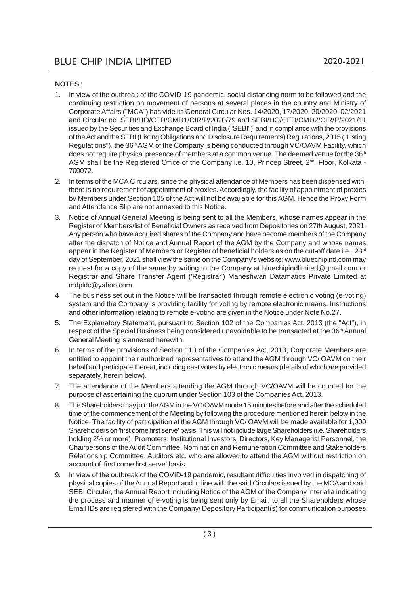#### **NOTES** :

- 1. In view of the outbreak of the COVID-19 pandemic, social distancing norm to be followed and the continuing restriction on movement of persons at several places in the country and Ministry of Corporate Affairs ("MCA") has vide its General Circular Nos. 14/2020, 17/2020, 20/2020, 02/2021 and Circular no. SEBI/HO/CFD/CMD1/CIR/P/2020/79 and SEBI/HO/CFD/CMD2/CIR/P/2021/11 issued by the Securities and Exchange Board of India ("SEBI") and in compliance with the provisions of the Act and the SEBI (Listing Obligations and Disclosure Requirements) Regulations, 2015 ("Listing Regulations"), the 36<sup>th</sup> AGM of the Company is being conducted through VC/OAVM Facility, which does not require physical presence of members at a common venue. The deemed venue for the 36<sup>th</sup> AGM shall be the Registered Office of the Company i.e. 10, Princep Street, 2<sup>nd</sup> Floor, Kolkata -700072.
- 2. In terms of the MCA Circulars, since the physical attendance of Members has been dispensed with, there is no requirement of appointment of proxies. Accordingly, the facility of appointment of proxies by Members under Section 105 of the Act will not be available for this AGM. Hence the Proxy Form and Attendance Slip are not annexed to this Notice.
- 3. Notice of Annual General Meeting is being sent to all the Members, whose names appear in the Register of Members/list of Beneficial Owners as received from Depositories on 27th August, 2021. Any person who have acquired shares of the Company and have become members of the Company after the dispatch of Notice and Annual Report of the AGM by the Company and whose names appear in the Register of Members or Register of beneficial holders as on the cut-off date i.e., 23<sup>rd</sup> day of September, 2021 shall view the same on the Company's website: www.bluechipind.com may request for a copy of the same by writing to the Company at bluechipindlimited@gmail.com or Registrar and Share Transfer Agent ('Registrar') Maheshwari Datamatics Private Limited at mdpldc@yahoo.com.
- 4 The business set out in the Notice will be transacted through remote electronic voting (e-voting) system and the Company is providing facility for voting by remote electronic means. Instructions and other information relating to remote e-voting are given in the Notice under Note No.27.
- 5. The Explanatory Statement, pursuant to Section 102 of the Companies Act, 2013 (the "Act"), in respect of the Special Business being considered unavoidable to be transacted at the 36<sup>th</sup> Annual General Meeting is annexed herewith.
- 6. In terms of the provisions of Section 113 of the Companies Act, 2013, Corporate Members are entitled to appoint their authorized representatives to attend the AGM through VC/ OAVM on their behalf and participate thereat, including cast votes by electronic means (details of which are provided separately, herein below).
- 7. The attendance of the Members attending the AGM through VC/OAVM will be counted for the purpose of ascertaining the quorum under Section 103 of the Companies Act, 2013.
- 8. The Shareholders may join the AGM in the VC/OAVM mode 15 minutes before and after the scheduled time of the commencement of the Meeting by following the procedure mentioned herein below in the Notice. The facility of participation at the AGM through VC/ OAVM will be made available for 1,000 Shareholders on 'first come first serve' basis. This will not include large Shareholders (i.e. Shareholders holding 2% or more), Promoters, Institutional Investors, Directors, Key Managerial Personnel, the Chairpersons of the Audit Committee, Nomination and Remuneration Committee and Stakeholders Relationship Committee, Auditors etc. who are allowed to attend the AGM without restriction on account of 'first come first serve' basis.
- 9. In view of the outbreak of the COVID-19 pandemic, resultant difficulties involved in dispatching of physical copies of the Annual Report and in line with the said Circulars issued by the MCA and said SEBI Circular, the Annual Report including Notice of the AGM of the Company inter alia indicating the process and manner of e-voting is being sent only by Email, to all the Shareholders whose Email IDs are registered with the Company/ Depository Participant(s) for communication purposes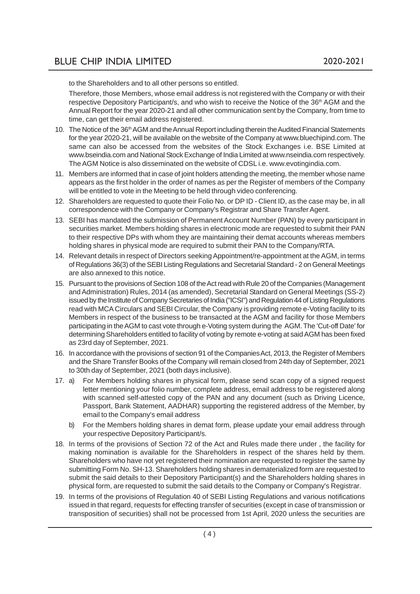to the Shareholders and to all other persons so entitled.

Therefore, those Members, whose email address is not registered with the Company or with their respective Depository Participant/s, and who wish to receive the Notice of the 36<sup>th</sup> AGM and the Annual Report for the year 2020-21 and all other communication sent by the Company, from time to time, can get their email address registered.

- 10. The Notice of the 36th AGM and the Annual Report including therein the Audited Financial Statements for the year 2020-21, will be available on the website of the Company at www.bluechipind.com. The same can also be accessed from the websites of the Stock Exchanges i.e. BSE Limited at www.bseindia.com and National Stock Exchange of India Limited at www.nseindia.com respectively. The AGM Notice is also disseminated on the website of CDSL i.e. www.evotingindia.com.
- 11. Members are informed that in case of joint holders attending the meeting, the member whose name appears as the first holder in the order of names as per the Register of members of the Company will be entitled to vote in the Meeting to be held through video conferencing.
- 12. Shareholders are requested to quote their Folio No. or DP ID Client ID, as the case may be, in all correspondence with the Company or Company's Registrar and Share Transfer Agent.
- 13. SEBI has mandated the submission of Permanent Account Number (PAN) by every participant in securities market. Members holding shares in electronic mode are requested to submit their PAN to their respective DPs with whom they are maintaining their demat accounts whereas members holding shares in physical mode are required to submit their PAN to the Company/RTA.
- 14. Relevant details in respect of Directors seeking Appointment/re-appointment at the AGM, in terms of Regulations 36(3) of the SEBI Listing Regulations and Secretarial Standard - 2 on General Meetings are also annexed to this notice.
- 15. Pursuant to the provisions of Section 108 of the Act read with Rule 20 of the Companies (Management and Administration) Rules, 2014 (as amended), Secretarial Standard on General Meetings (SS-2) issued by the Institute of Company Secretaries of India ("ICSI") and Regulation 44 of Listing Regulations read with MCA Circulars and SEBI Circular, the Company is providing remote e-Voting facility to its Members in respect of the business to be transacted at the AGM and facility for those Members participating in the AGM to cast vote through e-Voting system during the AGM. The 'Cut-off Date' for determining Shareholders entitled to facility of voting by remote e-voting at said AGM has been fixed as 23rd day of September, 2021.
- 16. In accordance with the provisions of section 91 of the Companies Act, 2013, the Register of Members and the Share Transfer Books of the Company will remain closed from 24th day of September, 2021 to 30th day of September, 2021 (both days inclusive).
- 17. a) For Members holding shares in physical form, please send scan copy of a signed request letter mentioning your folio number, complete address, email address to be registered along with scanned self-attested copy of the PAN and any document (such as Driving Licence, Passport, Bank Statement, AADHAR) supporting the registered address of the Member, by email to the Company's email address
	- b) For the Members holding shares in demat form, please update your email address through your respective Depository Participant/s.
- 18. In terms of the provisions of Section 72 of the Act and Rules made there under , the facility for making nomination is available for the Shareholders in respect of the shares held by them. Shareholders who have not yet registered their nomination are requested to register the same by submitting Form No. SH-13. Shareholders holding shares in dematerialized form are requested to submit the said details to their Depository Participant(s) and the Shareholders holding shares in physical form, are requested to submit the said details to the Company or Company's Registrar.
- 19. In terms of the provisions of Regulation 40 of SEBI Listing Regulations and various notifications issued in that regard, requests for effecting transfer of securities (except in case of transmission or transposition of securities) shall not be processed from 1st April, 2020 unless the securities are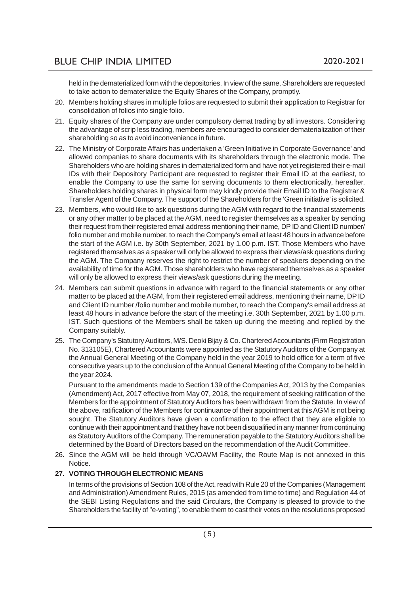held in the dematerialized form with the depositories. In view of the same, Shareholders are requested to take action to dematerialize the Equity Shares of the Company, promptly.

- 20. Members holding shares in multiple folios are requested to submit their application to Registrar for consolidation of folios into single folio.
- 21. Equity shares of the Company are under compulsory demat trading by all investors. Considering the advantage of scrip less trading, members are encouraged to consider dematerialization of their shareholding so as to avoid inconvenience in future.
- 22. The Ministry of Corporate Affairs has undertaken a 'Green Initiative in Corporate Governance' and allowed companies to share documents with its shareholders through the electronic mode. The Shareholders who are holding shares in dematerialized form and have not yet registered their e-mail IDs with their Depository Participant are requested to register their Email ID at the earliest, to enable the Company to use the same for serving documents to them electronically, hereafter. Shareholders holding shares in physical form may kindly provide their Email ID to the Registrar & Transfer Agent of the Company. The support of the Shareholders for the 'Green initiative' is solicited.
- 23. Members, who would like to ask questions during the AGM with regard to the financial statements or any other matter to be placed at the AGM, need to register themselves as a speaker by sending their request from their registered email address mentioning their name, DP ID and Client ID number/ folio number and mobile number, to reach the Company's email at least 48 hours in advance before the start of the AGM i.e. by 30th September, 2021 by 1.00 p.m. IST. Those Members who have registered themselves as a speaker will only be allowed to express their views/ask questions during the AGM. The Company reserves the right to restrict the number of speakers depending on the availability of time for the AGM. Those shareholders who have registered themselves as a speaker will only be allowed to express their views/ask questions during the meeting.
- 24. Members can submit questions in advance with regard to the financial statements or any other matter to be placed at the AGM, from their registered email address, mentioning their name, DP ID and Client ID number /folio number and mobile number, to reach the Company's email address at least 48 hours in advance before the start of the meeting i.e. 30th September, 2021 by 1.00 p.m. IST. Such questions of the Members shall be taken up during the meeting and replied by the Company suitably.
- 25. The Company's Statutory Auditors, M/S. Deoki Bijay & Co. Chartered Accountants (Firm Registration No. 313105E), Chartered Accountants were appointed as the Statutory Auditors of the Company at the Annual General Meeting of the Company held in the year 2019 to hold office for a term of five consecutive years up to the conclusion of the Annual General Meeting of the Company to be held in the year 2024.

Pursuant to the amendments made to Section 139 of the Companies Act, 2013 by the Companies (Amendment) Act, 2017 effective from May 07, 2018, the requirement of seeking ratification of the Members for the appointment of Statutory Auditors has been withdrawn from the Statute. In view of the above, ratification of the Members for continuance of their appointment at this AGM is not being sought. The Statutory Auditors have given a confirmation to the effect that they are eligible to continue with their appointment and that they have not been disqualified in any manner from continuing as Statutory Auditors of the Company. The remuneration payable to the Statutory Auditors shall be determined by the Board of Directors based on the recommendation of the Audit Committee.

26. Since the AGM will be held through VC/OAVM Facility, the Route Map is not annexed in this Notice.

#### **27. VOTING THROUGH ELECTRONIC MEANS**

In terms of the provisions of Section 108 of the Act, read with Rule 20 of the Companies (Management and Administration) Amendment Rules, 2015 (as amended from time to time) and Regulation 44 of the SEBI Listing Regulations and the said Circulars, the Company is pleased to provide to the Shareholders the facility of "e-voting", to enable them to cast their votes on the resolutions proposed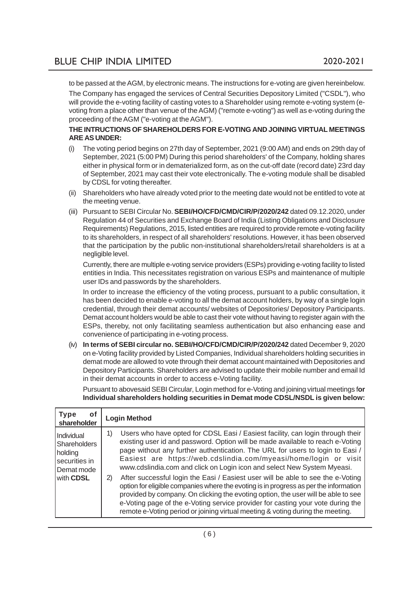to be passed at the AGM, by electronic means. The instructions for e-voting are given hereinbelow.

The Company has engaged the services of Central Securities Depository Limited ("CSDL"), who will provide the e-voting facility of casting votes to a Shareholder using remote e-voting system (evoting from a place other than venue of the AGM) ("remote e-voting") as well as e-voting during the proceeding of the AGM ("e-voting at the AGM").

#### **THE INTRUCTIONS OF SHAREHOLDERS FOR E-VOTING AND JOINING VIRTUAL MEETINGS ARE AS UNDER:**

- (i) The voting period begins on 27th day of September, 2021 (9:00 AM) and ends on 29th day of September, 2021 (5:00 PM) During this period shareholders' of the Company, holding shares either in physical form or in dematerialized form, as on the cut-off date (record date) 23rd day of September, 2021 may cast their vote electronically. The e-voting module shall be disabled by CDSL for voting thereafter.
- (ii) Shareholders who have already voted prior to the meeting date would not be entitled to vote at the meeting venue.
- (iii) Pursuant to SEBI Circular No. **SEBI/HO/CFD/CMD/CIR/P/2020/242** dated 09.12.2020, under Regulation 44 of Securities and Exchange Board of India (Listing Obligations and Disclosure Requirements) Regulations, 2015, listed entities are required to provide remote e-voting facility to its shareholders, in respect of all shareholders' resolutions. However, it has been observed that the participation by the public non-institutional shareholders/retail shareholders is at a negligible level.

Currently, there are multiple e-voting service providers (ESPs) providing e-voting facility to listed entities in India. This necessitates registration on various ESPs and maintenance of multiple user IDs and passwords by the shareholders.

In order to increase the efficiency of the voting process, pursuant to a public consultation, it has been decided to enable e-voting to all the demat account holders, by way of a single login credential, through their demat accounts/ websites of Depositories/ Depository Participants. Demat account holders would be able to cast their vote without having to register again with the ESPs, thereby, not only facilitating seamless authentication but also enhancing ease and convenience of participating in e-voting process.

(iv) **In terms of SEBI circular no. SEBI/HO/CFD/CMD/CIR/P/2020/242** dated December 9, 2020 on e-Voting facility provided by Listed Companies, Individual shareholders holding securities in demat mode are allowed to vote through their demat account maintained with Depositories and Depository Participants. Shareholders are advised to update their mobile number and email Id in their demat accounts in order to access e-Voting facility.

Pursuant to abovesaid SEBI Circular, Login method for e-Voting and joining virtual meetings f**or Individual shareholders holding securities in Demat mode CDSL/NSDL is given below:**

| <b>Type</b><br>οf<br>shareholder                                                         | <b>Login Method</b>                                                                                                                                                                                                                                                                                                                                                                                                                                                                                                                                                                      |
|------------------------------------------------------------------------------------------|------------------------------------------------------------------------------------------------------------------------------------------------------------------------------------------------------------------------------------------------------------------------------------------------------------------------------------------------------------------------------------------------------------------------------------------------------------------------------------------------------------------------------------------------------------------------------------------|
| Individual<br><b>Shareholders</b><br>holding<br>securities in<br>Demat mode<br>with CDSL | Users who have opted for CDSL Easi / Easiest facility, can login through their<br>1)<br>existing user id and password. Option will be made available to reach e-Voting<br>page without any further authentication. The URL for users to login to Easi /<br>Easiest are https://web.cdslindia.com/myeasi/home/login or visit<br>www.cdslindia.com and click on Login icon and select New System Myeasi.<br>After successful login the Easi / Easiest user will be able to see the e-Voting<br>2)<br>option for eligible companies where the evoting is in progress as per the information |
|                                                                                          | provided by company. On clicking the evoting option, the user will be able to see<br>e-Voting page of the e-Voting service provider for casting your vote during the<br>remote e-Voting period or joining virtual meeting & voting during the meeting.                                                                                                                                                                                                                                                                                                                                   |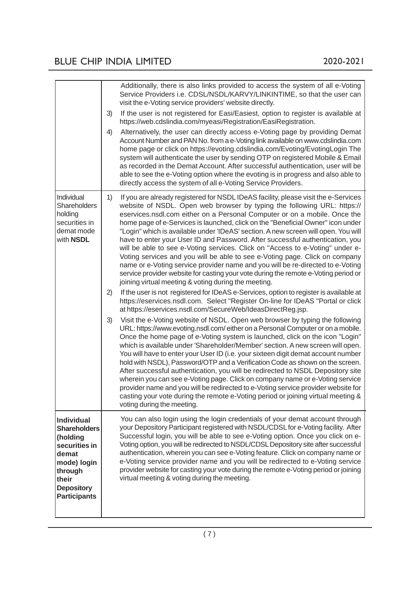|                                                                                                                                                        |    | Additionally, there is also links provided to access the system of all e-Voting<br>Service Providers i.e. CDSL/NSDL/KARVY/LINKINTIME, so that the user can<br>visit the e-Voting service providers' website directly.                                                                                                                                                                                                                                                                                                                                                                                                                                                                                                                                                                                                                                                                                 |
|--------------------------------------------------------------------------------------------------------------------------------------------------------|----|-------------------------------------------------------------------------------------------------------------------------------------------------------------------------------------------------------------------------------------------------------------------------------------------------------------------------------------------------------------------------------------------------------------------------------------------------------------------------------------------------------------------------------------------------------------------------------------------------------------------------------------------------------------------------------------------------------------------------------------------------------------------------------------------------------------------------------------------------------------------------------------------------------|
|                                                                                                                                                        | 3) | If the user is not registered for Easi/Easiest, option to register is available at<br>https://web.cdslindia.com/myeasi/Registration/EasiRegistration.                                                                                                                                                                                                                                                                                                                                                                                                                                                                                                                                                                                                                                                                                                                                                 |
|                                                                                                                                                        | 4) | Alternatively, the user can directly access e-Voting page by providing Demat<br>Account Number and PAN No. from a e-Voting link available on www.cdslindia.com<br>home page or click on https://evoting.cdslindia.com/Evoting/EvotingLogin The<br>system will authenticate the user by sending OTP on registered Mobile & Email<br>as recorded in the Demat Account. After successful authentication, user will be<br>able to see the e-Voting option where the evoting is in progress and also able to<br>directly access the system of all e-Voting Service Providers.                                                                                                                                                                                                                                                                                                                              |
| Individual<br>Shareholders<br>holding<br>securities in<br>demat mode<br>with NSDL                                                                      | 1) | If you are already registered for NSDL IDeAS facility, please visit the e-Services<br>website of NSDL. Open web browser by typing the following URL: https://<br>eservices.nsdl.com either on a Personal Computer or on a mobile. Once the<br>home page of e-Services is launched, click on the "Beneficial Owner" icon under<br>"Login" which is available under 'IDeAS' section. A new screen will open. You will<br>have to enter your User ID and Password. After successful authentication, you<br>will be able to see e-Voting services. Click on "Access to e-Voting" under e-<br>Voting services and you will be able to see e-Voting page. Click on company<br>name or e-Voting service provider name and you will be re-directed to e-Voting<br>service provider website for casting your vote during the remote e-Voting period or<br>joining virtual meeting & voting during the meeting. |
|                                                                                                                                                        | 2) | If the user is not registered for IDeAS e-Services, option to register is available at<br>https://eservices.nsdl.com. Select "Register On-line for IDeAS "Portal or click<br>at https://eservices.nsdl.com/SecureWeb/IdeasDirectReg.jsp.                                                                                                                                                                                                                                                                                                                                                                                                                                                                                                                                                                                                                                                              |
|                                                                                                                                                        | 3) | Visit the e-Voting website of NSDL. Open web browser by typing the following<br>URL: https://www.evoting.nsdl.com/either on a Personal Computer or on a mobile.<br>Once the home page of e-Voting system is launched, click on the icon "Login"<br>which is available under 'Shareholder/Member' section. A new screen will open.<br>You will have to enter your User ID (i.e. your sixteen digit demat account number<br>hold with NSDL), Password/OTP and a Verification Code as shown on the screen.<br>After successful authentication, you will be redirected to NSDL Depository site<br>wherein you can see e-Voting page. Click on company name or e-Voting service<br>provider name and you will be redirected to e-Voting service provider website for<br>casting your vote during the remote e-Voting period or joining virtual meeting &<br>voting during the meeting.                     |
| Individual<br><b>Shareholders</b><br>(holding<br>securities in<br>demat<br>mode) login<br>through<br>their<br><b>Depository</b><br><b>Participants</b> |    | You can also login using the login credentials of your demat account through<br>your Depository Participant registered with NSDL/CDSL for e-Voting facility. After<br>Successful login, you will be able to see e-Voting option. Once you click on e-<br>Voting option, you will be redirected to NSDL/CDSL Depository site after successful<br>authentication, wherein you can see e-Voting feature. Click on company name or<br>e-Voting service provider name and you will be redirected to e-Voting service<br>provider website for casting your vote during the remote e-Voting period or joining<br>virtual meeting & voting during the meeting.                                                                                                                                                                                                                                                |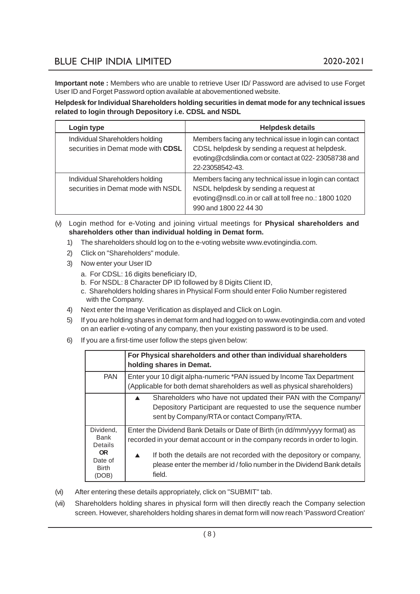**Important note :** Members who are unable to retrieve User ID/ Password are advised to use Forget User ID and Forget Password option available at abovementioned website.

#### **Helpdesk for Individual Shareholders holding securities in demat mode for any technical issues related to login through Depository i.e. CDSL and NSDL**

| Login type                                                            | <b>Helpdesk details</b>                                                                                                                                                               |
|-----------------------------------------------------------------------|---------------------------------------------------------------------------------------------------------------------------------------------------------------------------------------|
| Individual Shareholders holding<br>securities in Demat mode with CDSL | Members facing any technical issue in login can contact<br>CDSL helpdesk by sending a request at helpdesk.<br>evoting@cdslindia.com or contact at 022-23058738 and<br>22-23058542-43. |
| Individual Shareholders holding<br>securities in Demat mode with NSDL | Members facing any technical issue in login can contact<br>NSDL helpdesk by sending a request at<br>evoting@nsdl.co.in or call at toll free no.: 1800 1020<br>990 and 1800 22 44 30   |

- (v) Login method for e-Voting and joining virtual meetings for **Physical shareholders and shareholders other than individual holding in Demat form.**
	- 1) The shareholders should log on to the e-voting website www.evotingindia.com.
	- 2) Click on "Shareholders" module.
	- 3) Now enter your User ID
		- a. For CDSL: 16 digits beneficiary ID,
		- b. For NSDL: 8 Character DP ID followed by 8 Digits Client ID,
		- c. Shareholders holding shares in Physical Form should enter Folio Number registered with the Company.
	- 4) Next enter the Image Verification as displayed and Click on Login.
	- 5) If you are holding shares in demat form and had logged on to www.evotingindia.com and voted on an earlier e-voting of any company, then your existing password is to be used.
	- 6) If you are a first-time user follow the steps given below:

|                                                                                | For Physical shareholders and other than individual shareholders<br>holding shares in Demat.                                                                                                                                                                                                                                              |  |  |  |  |  |
|--------------------------------------------------------------------------------|-------------------------------------------------------------------------------------------------------------------------------------------------------------------------------------------------------------------------------------------------------------------------------------------------------------------------------------------|--|--|--|--|--|
| <b>PAN</b>                                                                     | Enter your 10 digit alpha-numeric *PAN issued by Income Tax Department<br>(Applicable for both demat shareholders as well as physical shareholders)                                                                                                                                                                                       |  |  |  |  |  |
|                                                                                | Shareholders who have not updated their PAN with the Company/<br>Depository Participant are requested to use the sequence number<br>sent by Company/RTA or contact Company/RTA.                                                                                                                                                           |  |  |  |  |  |
| Dividend,<br>Bank<br><b>Details</b><br>OR.<br>Date of<br><b>Birth</b><br>(DOB) | Enter the Dividend Bank Details or Date of Birth (in dd/mm/yyyy format) as<br>recorded in your demat account or in the company records in order to login.<br>If both the details are not recorded with the depository or company,<br>$\blacktriangle$<br>please enter the member id / folio number in the Dividend Bank details<br>field. |  |  |  |  |  |

- (vi) After entering these details appropriately, click on "SUBMIT" tab.
- (vii) Shareholders holding shares in physical form will then directly reach the Company selection screen. However, shareholders holding shares in demat form will now reach 'Password Creation'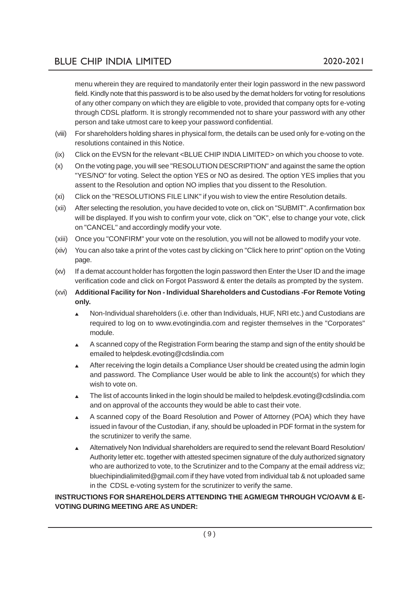menu wherein they are required to mandatorily enter their login password in the new password field. Kindly note that this password is to be also used by the demat holders for voting for resolutions of any other company on which they are eligible to vote, provided that company opts for e-voting through CDSL platform. It is strongly recommended not to share your password with any other person and take utmost care to keep your password confidential.

- (viii) For shareholders holding shares in physical form, the details can be used only for e-voting on the resolutions contained in this Notice.
- (ix) Click on the EVSN for the relevant <BLUE CHIP INDIA LIMITED> on which you choose to vote.
- (x) On the voting page, you will see "RESOLUTION DESCRIPTION" and against the same the option "YES/NO" for voting. Select the option YES or NO as desired. The option YES implies that you assent to the Resolution and option NO implies that you dissent to the Resolution.
- (xi) Click on the "RESOLUTIONS FILE LINK" if you wish to view the entire Resolution details.
- (xii) After selecting the resolution, you have decided to vote on, click on "SUBMIT". A confirmation box will be displayed. If you wish to confirm your vote, click on "OK", else to change your vote, click on "CANCEL" and accordingly modify your vote.
- (xiii) Once you "CONFIRM" your vote on the resolution, you will not be allowed to modify your vote.
- (xiv) You can also take a print of the votes cast by clicking on "Click here to print" option on the Voting page.
- (xv) If a demat account holder has forgotten the login password then Enter the User ID and the image verification code and click on Forgot Password & enter the details as prompted by the system.
- (xvi) **Additional Facility for Non Individual Shareholders and Custodians -For Remote Voting only.**
	- Non-Individual shareholders (i.e. other than Individuals, HUF, NRI etc.) and Custodians are required to log on to www.evotingindia.com and register themselves in the "Corporates" module.
	- A scanned copy of the Registration Form bearing the stamp and sign of the entity should be emailed to helpdesk.evoting@cdslindia.com
	- After receiving the login details a Compliance User should be created using the admin login and password. The Compliance User would be able to link the account(s) for which they wish to vote on.
	- The list of accounts linked in the login should be mailed to helpdesk.evoting@cdslindia.com and on approval of the accounts they would be able to cast their vote.
	- A scanned copy of the Board Resolution and Power of Attorney (POA) which they have issued in favour of the Custodian, if any, should be uploaded in PDF format in the system for the scrutinizer to verify the same.
	- Alternatively Non Individual shareholders are required to send the relevant Board Resolution/ Authority letter etc. together with attested specimen signature of the duly authorized signatory who are authorized to vote, to the Scrutinizer and to the Company at the email address viz; bluechipindialimited@gmail.com if they have voted from individual tab & not uploaded same in the CDSL e-voting system for the scrutinizer to verify the same.

#### **INSTRUCTIONS FOR SHAREHOLDERS ATTENDING THE AGM/EGM THROUGH VC/OAVM & E-VOTING DURING MEETING ARE AS UNDER:**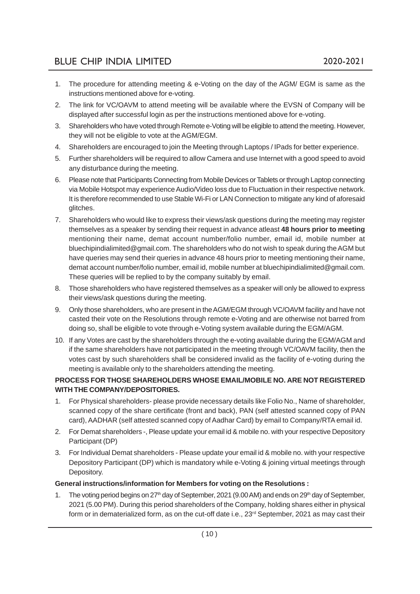- 1. The procedure for attending meeting & e-Voting on the day of the AGM/ EGM is same as the instructions mentioned above for e-voting.
- 2. The link for VC/OAVM to attend meeting will be available where the EVSN of Company will be displayed after successful login as per the instructions mentioned above for e-voting.
- 3. Shareholders who have voted through Remote e-Voting will be eligible to attend the meeting. However, they will not be eligible to vote at the AGM/EGM.
- 4. Shareholders are encouraged to join the Meeting through Laptops / IPads for better experience.
- 5. Further shareholders will be required to allow Camera and use Internet with a good speed to avoid any disturbance during the meeting.
- 6. Please note that Participants Connecting from Mobile Devices or Tablets or through Laptop connecting via Mobile Hotspot may experience Audio/Video loss due to Fluctuation in their respective network. It is therefore recommended to use Stable Wi-Fi or LAN Connection to mitigate any kind of aforesaid glitches.
- 7. Shareholders who would like to express their views/ask questions during the meeting may register themselves as a speaker by sending their request in advance atleast **48 hours prior to meeting** mentioning their name, demat account number/folio number, email id, mobile number at bluechipindialimited@gmail.com. The shareholders who do not wish to speak during the AGM but have queries may send their queries in advance 48 hours prior to meeting mentioning their name, demat account number/folio number, email id, mobile number at bluechipindialimited@gmail.com. These queries will be replied to by the company suitably by email.
- 8. Those shareholders who have registered themselves as a speaker will only be allowed to express their views/ask questions during the meeting.
- 9. Only those shareholders, who are present in the AGM/EGM through VC/OAVM facility and have not casted their vote on the Resolutions through remote e-Voting and are otherwise not barred from doing so, shall be eligible to vote through e-Voting system available during the EGM/AGM.
- 10. If any Votes are cast by the shareholders through the e-voting available during the EGM/AGM and if the same shareholders have not participated in the meeting through VC/OAVM facility, then the votes cast by such shareholders shall be considered invalid as the facility of e-voting during the meeting is available only to the shareholders attending the meeting.

#### **PROCESS FOR THOSE SHAREHOLDERS WHOSE EMAIL/MOBILE NO. ARE NOT REGISTERED WITH THE COMPANY/DEPOSITORIES.**

- 1. For Physical shareholders- please provide necessary details like Folio No., Name of shareholder, scanned copy of the share certificate (front and back), PAN (self attested scanned copy of PAN card), AADHAR (self attested scanned copy of Aadhar Card) by email to Company/RTA email id.
- 2. For Demat shareholders -, Please update your email id & mobile no. with your respective Depository Participant (DP)
- 3. For Individual Demat shareholders Please update your email id & mobile no. with your respective Depository Participant (DP) which is mandatory while e-Voting & joining virtual meetings through Depository.

#### **General instructions/information for Members for voting on the Resolutions :**

1. The voting period begins on 27<sup>th</sup> day of September, 2021 (9.00 AM) and ends on 29<sup>th</sup> day of September, 2021 (5.00 PM). During this period shareholders of the Company, holding shares either in physical form or in dematerialized form, as on the cut-off date i.e., 23<sup>rd</sup> September, 2021 as may cast their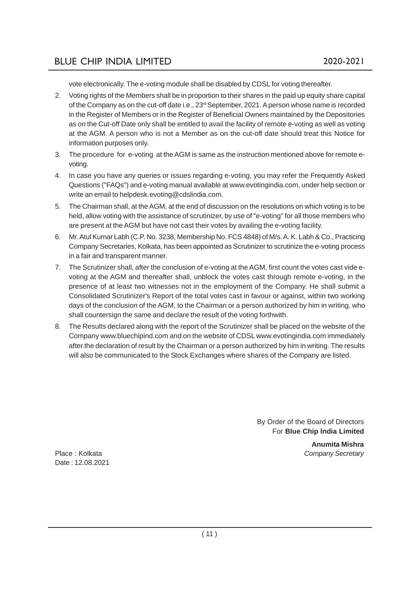vote electronically. The e-voting module shall be disabled by CDSL for voting thereafter.

- 2. Voting rights of the Members shall be in proportion to their shares in the paid up equity share capital of the Company as on the cut-off date i.e., 23rd September, 2021. A person whose name is recorded in the Register of Members or in the Register of Beneficial Owners maintained by the Depositories as on the Cut-off Date only shall be entitled to avail the facility of remote e-voting as well as voting at the AGM. A person who is not a Member as on the cut-off date should treat this Notice for information purposes only.
- 3. The procedure for e-voting at the AGM is same as the instruction mentioned above for remote evoting.
- 4. In case you have any queries or issues regarding e-voting, you may refer the Frequently Asked Questions ("FAQs") and e-voting manual available at www.evotingindia.com, under help section or write an email to helpdesk.evoting@cdslindia.com.
- 5. The Chairman shall, at the AGM, at the end of discussion on the resolutions on which voting is to be held, allow voting with the assistance of scrutinizer, by use of "e-voting" for all those members who are present at the AGM but have not cast their votes by availing the e-voting facility.
- 6. Mr. Atul Kumar Labh (C.P. No. 3238, Membership No. FCS 4848) of M/s. A. K. Labh & Co., Practicing Company Secretaries, Kolkata, has been appointed as Scrutinizer to scrutinize the e-voting process in a fair and transparent manner.
- 7. The Scrutinizer shall, after the conclusion of e-voting at the AGM, first count the votes cast vide evoting at the AGM and thereafter shall, unblock the votes cast through remote e-voting, in the presence of at least two witnesses not in the employment of the Company. He shall submit a Consolidated Scrutinizer's Report of the total votes cast in favour or against, within two working days of the conclusion of the AGM, to the Chairman or a person authorized by him in writing, who shall countersign the same and declare the result of the voting forthwith.
- 8. The Results declared along with the report of the Scrutinizer shall be placed on the website of the Company www.bluechipind.com and on the website of CDSL www.evotingindia.com immediately after the declaration of result by the Chairman or a person authorized by him in writing. The results will also be communicated to the Stock Exchanges where shares of the Company are listed.

By Order of the Board of Directors For **Blue Chip India Limited**

**Anumita Mishra** Place : Kolkata *Company Secretary*

Date : 12.08.2021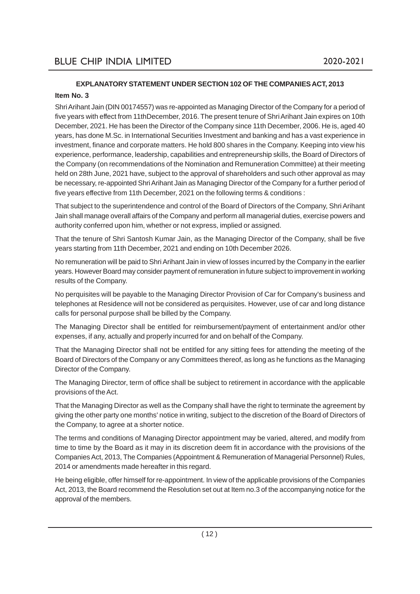#### **Item No. 3**

Shri Arihant Jain (DIN 00174557) was re-appointed as Managing Director of the Company for a period of five years with effect from 11thDecember, 2016. The present tenure of Shri Arihant Jain expires on 10th December, 2021. He has been the Director of the Company since 11th December, 2006. He is, aged 40 years, has done M.Sc. in International Securities Investment and banking and has a vast experience in investment, finance and corporate matters. He hold 800 shares in the Company. Keeping into view his experience, performance, leadership, capabilities and entrepreneurship skills, the Board of Directors of the Company (on recommendations of the Nomination and Remuneration Committee) at their meeting held on 28th June, 2021 have, subject to the approval of shareholders and such other approval as may be necessary, re-appointed Shri Arihant Jain as Managing Director of the Company for a further period of five years effective from 11th December, 2021 on the following terms & conditions :

That subject to the superintendence and control of the Board of Directors of the Company, Shri Arihant Jain shall manage overall affairs of the Company and perform all managerial duties, exercise powers and authority conferred upon him, whether or not express, implied or assigned.

That the tenure of Shri Santosh Kumar Jain, as the Managing Director of the Company, shall be five years starting from 11th December, 2021 and ending on 10th December 2026.

No remuneration will be paid to Shri Arihant Jain in view of losses incurred by the Company in the earlier years. However Board may consider payment of remuneration in future subject to improvement in working results of the Company.

No perquisites will be payable to the Managing Director Provision of Car for Company's business and telephones at Residence will not be considered as perquisites. However, use of car and long distance calls for personal purpose shall be billed by the Company.

The Managing Director shall be entitled for reimbursement/payment of entertainment and/or other expenses, if any, actually and properly incurred for and on behalf of the Company.

That the Managing Director shall not be entitled for any sitting fees for attending the meeting of the Board of Directors of the Company or any Committees thereof, as long as he functions as the Managing Director of the Company.

The Managing Director, term of office shall be subject to retirement in accordance with the applicable provisions of the Act.

That the Managing Director as well as the Company shall have the right to terminate the agreement by giving the other party one months' notice in writing, subject to the discretion of the Board of Directors of the Company, to agree at a shorter notice.

The terms and conditions of Managing Director appointment may be varied, altered, and modify from time to time by the Board as it may in its discretion deem fit in accordance with the provisions of the Companies Act, 2013, The Companies (Appointment & Remuneration of Managerial Personnel) Rules, 2014 or amendments made hereafter in this regard.

He being eligible, offer himself for re-appointment. In view of the applicable provisions of the Companies Act, 2013, the Board recommend the Resolution set out at Item no.3 of the accompanying notice for the approval of the members.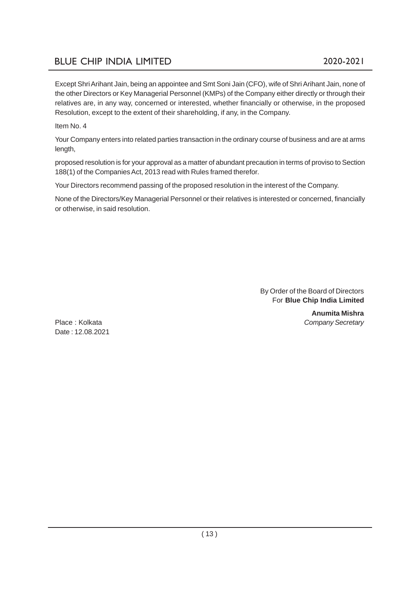Except Shri Arihant Jain, being an appointee and Smt Soni Jain (CFO), wife of Shri Arihant Jain, none of the other Directors or Key Managerial Personnel (KMPs) of the Company either directly or through their relatives are, in any way, concerned or interested, whether financially or otherwise, in the proposed Resolution, except to the extent of their shareholding, if any, in the Company.

Item No. 4

Your Company enters into related parties transaction in the ordinary course of business and are at arms length,

proposed resolution is for your approval as a matter of abundant precaution in terms of proviso to Section 188(1) of the Companies Act, 2013 read with Rules framed therefor.

Your Directors recommend passing of the proposed resolution in the interest of the Company.

None of the Directors/Key Managerial Personnel or their relatives is interested or concerned, financially or otherwise, in said resolution.

> By Order of the Board of Directors For **Blue Chip India Limited**

Date : 12.08.2021

**Anumita Mishra** Place : Kolkata *Company Secretary*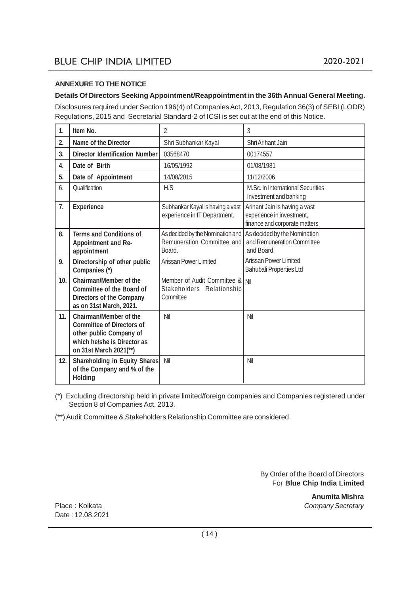#### **ANNEXURE TO THE NOTICE**

#### **Details Of Directors Seeking Appointment/Reappointment in the 36th Annual General Meeting.**

Disclosures required under Section 196(4) of Companies Act, 2013, Regulation 36(3) of SEBI (LODR) Regulations, 2015 and Secretarial Standard-2 of ICSI is set out at the end of this Notice.

| 1.  | Item No.                                                                                                                                       | $\mathfrak{D}$                                                           | 3                                                                                           |
|-----|------------------------------------------------------------------------------------------------------------------------------------------------|--------------------------------------------------------------------------|---------------------------------------------------------------------------------------------|
| 2.  | Name of the Director                                                                                                                           | Shri Subhankar Kayal                                                     | Shri Arihant Jain                                                                           |
| 3.  | <b>Director Identification Number</b>                                                                                                          | 03568470                                                                 | 00174557                                                                                    |
| 4.  | Date of Birth                                                                                                                                  | 16/05/1992                                                               | 01/08/1981                                                                                  |
| 5.  | Date of Appointment                                                                                                                            | 14/08/2015                                                               | 11/12/2006                                                                                  |
| 6.  | <b>Oualification</b>                                                                                                                           | H.S                                                                      | M.Sc. in International Securities<br>Investment and banking                                 |
| 7.  | <b>Experience</b>                                                                                                                              | Subhankar Kayal is having a vast<br>experience in IT Department.         | Arihant Jain is having a vast<br>experience in investment,<br>finance and corporate matters |
| 8.  | <b>Terms and Conditions of</b><br>Appointment and Re-<br>appointment                                                                           | As decided by the Nomination and<br>Remuneration Committee and<br>Board. | As decided by the Nomination<br>and Remuneration Committee<br>and Board.                    |
| 9.  | Directorship of other public<br>Companies (*)                                                                                                  | <b>Arissan Power Limited</b>                                             | <b>Arissan Power Limited</b><br>Bahubali Properties Ltd                                     |
| 10. | Chairman/Member of the<br><b>Committee of the Board of</b><br>Directors of the Company<br>as on 31st March, 2021.                              | Member of Audit Committee &<br>Stakeholders Relationship<br>Committee    | Nil                                                                                         |
| 11. | Chairman/Member of the<br><b>Committee of Directors of</b><br>other public Company of<br>which he/she is Director as<br>on 31st March 2021(**) | Nil                                                                      | Nil                                                                                         |
| 12. | Shareholding in Equity Shares<br>of the Company and % of the<br>Holding                                                                        | Nil                                                                      | Nil                                                                                         |

(\*) Excluding directorship held in private limited/foreign companies and Companies registered under Section 8 of Companies Act, 2013.

(\*\*) Audit Committee & Stakeholders Relationship Committee are considered.

By Order of the Board of Directors For **Blue Chip India Limited**

**Anumita Mishra** Place : Kolkata *Company Secretary*

Date : 12.08.2021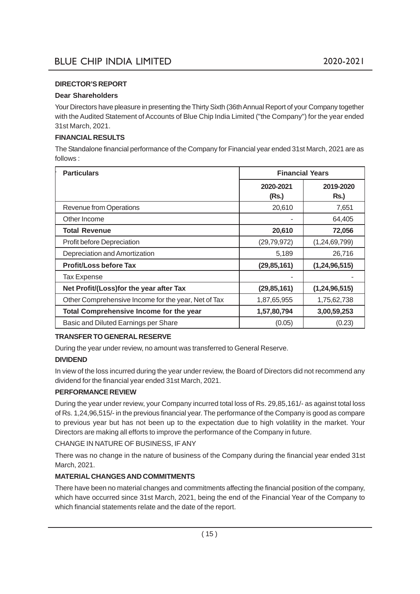#### **Dear Shareholders**

Your Directors have pleasure in presenting the Thirty Sixth (36th Annual Report of your Company together with the Audited Statement of Accounts of Blue Chip India Limited ("the Company") for the year ended 31st March, 2021.

#### **FINANCIAL RESULTS**

The Standalone financial performance of the Company for Financial year ended 31st March, 2021 are as follows :

| <b>Particulars</b>                                  | <b>Financial Years</b> |                  |  |  |
|-----------------------------------------------------|------------------------|------------------|--|--|
|                                                     | 2020-2021              | 2019-2020        |  |  |
|                                                     | (Rs.)                  | <b>Rs.)</b>      |  |  |
| Revenue from Operations                             | 20,610                 | 7,651            |  |  |
| Other Income                                        |                        | 64,405           |  |  |
| <b>Total Revenue</b>                                | 20,610                 | 72,056           |  |  |
| Profit before Depreciation                          | (29, 79, 972)          | (1, 24, 69, 799) |  |  |
| Depreciation and Amortization                       | 5,189                  | 26,716           |  |  |
| <b>Profit/Loss before Tax</b>                       | (29, 85, 161)          | (1, 24, 96, 515) |  |  |
| Tax Expense                                         |                        |                  |  |  |
| Net Profit/(Loss)for the year after Tax             | (29, 85, 161)          | (1, 24, 96, 515) |  |  |
| Other Comprehensive Income for the year, Net of Tax | 1,87,65,955            | 1,75,62,738      |  |  |
| Total Comprehensive Income for the year             | 1,57,80,794            | 3,00,59,253      |  |  |
| Basic and Diluted Earnings per Share                | (0.05)                 | (0.23)           |  |  |

#### **TRANSFER TO GENERAL RESERVE**

During the year under review, no amount was transferred to General Reserve.

#### **DIVIDEND**

In view of the loss incurred during the year under review, the Board of Directors did not recommend any dividend for the financial year ended 31st March, 2021.

#### **PERFORMANCE REVIEW**

During the year under review, your Company incurred total loss of Rs. 29,85,161/- as against total loss of Rs. 1,24,96,515/- in the previous financial year. The performance of the Company is good as compare to previous year but has not been up to the expectation due to high volatility in the market. Your Directors are making all efforts to improve the performance of the Company in future.

CHANGE IN NATURE OF BUSINESS, IF ANY

There was no change in the nature of business of the Company during the financial year ended 31st March, 2021.

#### **MATERIAL CHANGES AND COMMITMENTS**

There have been no material changes and commitments affecting the financial position of the company, which have occurred since 31st March, 2021, being the end of the Financial Year of the Company to which financial statements relate and the date of the report.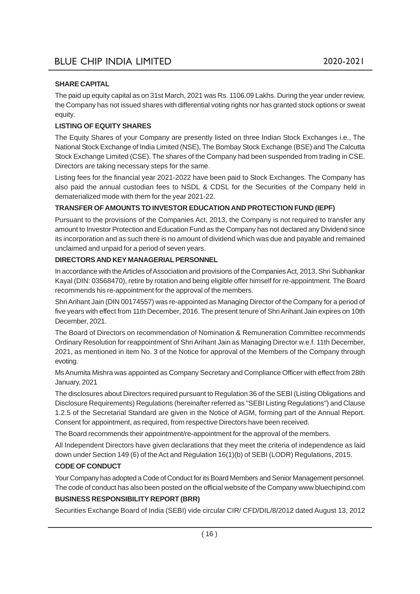#### **SHARE CAPITAL**

The paid up equity capital as on 31st March, 2021 was Rs. 1106.09 Lakhs. During the year under review, the Company has not issued shares with differential voting rights nor has granted stock options or sweat equity.

#### **LISTING OF EQUITY SHARES**

The Equity Shares of your Company are presently listed on three Indian Stock Exchanges i.e., The National Stock Exchange of India Limited (NSE), The Bombay Stock Exchange (BSE) and The Calcutta Stock Exchange Limited (CSE). The shares of the Company had been suspended from trading in CSE. Directors are taking necessary steps for the same.

Listing fees for the financial year 2021-2022 have been paid to Stock Exchanges. The Company has also paid the annual custodian fees to NSDL & CDSL for the Securities of the Company held in dematerialized mode with them for the year 2021-22.

#### **TRANSFER OF AMOUNTS TO INVESTOR EDUCATION AND PROTECTION FUND (IEPF)**

Pursuant to the provisions of the Companies Act, 2013, the Company is not required to transfer any amount to Investor Protection and Education Fund as the Company has not declared any Dividend since its incorporation and as such there is no amount of dividend which was due and payable and remained unclaimed and unpaid for a period of seven years.

#### **DIRECTORS AND KEY MANAGERIAL PERSONNEL**

In accordance with the Articles of Association and provisions of the Companies Act, 2013, Shri Subhankar Kayal (DIN: 03568470), retire by rotation and being eligible offer himself for re-appointment. The Board recommends his re-appointment for the approval of the members.

Shri Arihant Jain (DIN 00174557) was re-appointed as Managing Director of the Company for a period of five years with effect from 11th December, 2016. The present tenure of Shri Arihant Jain expires on 10th December, 2021.

The Board of Directors on recommendation of Nomination & Remuneration Committee recommends Ordinary Resolution for reappointment of Shri Arihant Jain as Managing Director w.e.f. 11th December, 2021, as mentioned in item No. 3 of the Notice for approval of the Members of the Company through evoting.

Ms Anumita Mishra was appointed as Company Secretary and Compliance Officer with effect from 28th January, 2021

The disclosures about Directors required pursuant to Regulation 36 of the SEBI (Listing Obligations and Disclosure Requirements) Regulations (hereinafter referred as "SEBI Listing Regulations") and Clause 1.2.5 of the Secretarial Standard are given in the Notice of AGM, forming part of the Annual Report. Consent for appointment, as required, from respective Directors have been received.

The Board recommends their appointment/re-appointment for the approval of the members.

All Independent Directors have given declarations that they meet the criteria of independence as laid down under Section 149 (6) of the Act and Regulation 16(1)(b) of SEBI (LODR) Regulations, 2015.

#### **CODE OF CONDUCT**

Your Company has adopted a Code of Conduct for its Board Members and Senior Management personnel. The code of conduct has also been posted on the official website of the Company www.bluechipind.com

#### **BUSINESS RESPONSIBILITY REPORT (BRR)**

Securities Exchange Board of India (SEBI) vide circular CIR/ CFD/DIL/8/2012 dated August 13, 2012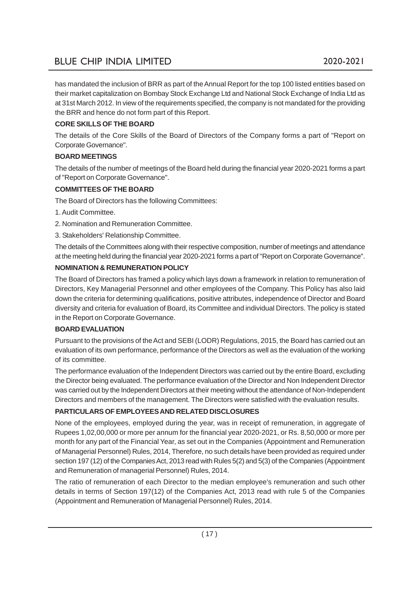has mandated the inclusion of BRR as part of the Annual Report for the top 100 listed entities based on their market capitalization on Bombay Stock Exchange Ltd and National Stock Exchange of India Ltd as at 31st March 2012. In view of the requirements specified, the company is not mandated for the providing the BRR and hence do not form part of this Report.

#### **CORE SKILLS OF THE BOARD**

The details of the Core Skills of the Board of Directors of the Company forms a part of "Report on Corporate Governance".

#### **BOARD MEETINGS**

The details of the number of meetings of the Board held during the financial year 2020-2021 forms a part of "Report on Corporate Governance".

#### **COMMITTEES OF THE BOARD**

The Board of Directors has the following Committees:

- 1. Audit Committee.
- 2. Nomination and Remuneration Committee.
- 3. Stakeholders' Relationship Committee.

The details of the Committees along with their respective composition, number of meetings and attendance at the meeting held during the financial year 2020-2021 forms a part of "Report on Corporate Governance".

#### **NOMINATION & REMUNERATION POLICY**

The Board of Directors has framed a policy which lays down a framework in relation to remuneration of Directors, Key Managerial Personnel and other employees of the Company. This Policy has also laid down the criteria for determining qualifications, positive attributes, independence of Director and Board diversity and criteria for evaluation of Board, its Committee and individual Directors. The policy is stated in the Report on Corporate Governance.

#### **BOARD EVALUATION**

Pursuant to the provisions of the Act and SEBI (LODR) Regulations, 2015, the Board has carried out an evaluation of its own performance, performance of the Directors as well as the evaluation of the working of its committee.

The performance evaluation of the Independent Directors was carried out by the entire Board, excluding the Director being evaluated. The performance evaluation of the Director and Non Independent Director was carried out by the Independent Directors at their meeting without the attendance of Non-Independent Directors and members of the management. The Directors were satisfied with the evaluation results.

#### **PARTICULARS OF EMPLOYEES AND RELATED DISCLOSURES**

None of the employees, employed during the year, was in receipt of remuneration, in aggregate of Rupees 1,02,00,000 or more per annum for the financial year 2020-2021, or Rs. 8,50,000 or more per month for any part of the Financial Year, as set out in the Companies (Appointment and Remuneration of Managerial Personnel) Rules, 2014, Therefore, no such details have been provided as required under section 197 (12) of the Companies Act, 2013 read with Rules 5(2) and 5(3) of the Companies (Appointment and Remuneration of managerial Personnel) Rules, 2014.

The ratio of remuneration of each Director to the median employee's remuneration and such other details in terms of Section 197(12) of the Companies Act, 2013 read with rule 5 of the Companies (Appointment and Remuneration of Managerial Personnel) Rules, 2014.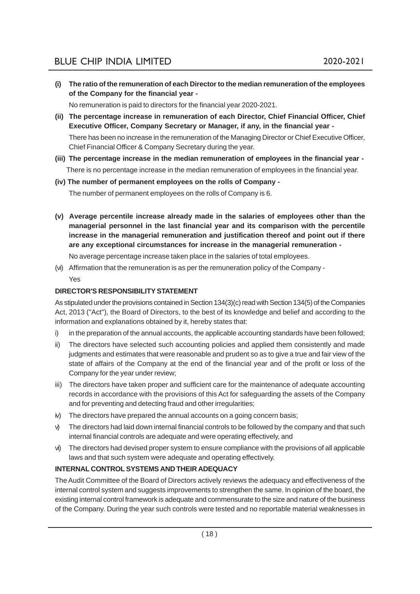**(i) The ratio of the remuneration of each Director to the median remuneration of the employees of the Company for the financial year -**

No remuneration is paid to directors for the financial year 2020-2021.

**(ii) The percentage increase in remuneration of each Director, Chief Financial Officer, Chief Executive Officer, Company Secretary or Manager, if any, in the financial year -**

There has been no increase in the remuneration of the Managing Director or Chief Executive Officer, Chief Financial Officer & Company Secretary during the year.

- **(iii) The percentage increase in the median remuneration of employees in the financial year -** There is no percentage increase in the median remuneration of employees in the financial year.
- **(iv) The number of permanent employees on the rolls of Company -**

The number of permanent employees on the rolls of Company is 6.

**(v) Average percentile increase already made in the salaries of employees other than the managerial personnel in the last financial year and its comparison with the percentile increase in the managerial remuneration and justification thereof and point out if there are any exceptional circumstances for increase in the managerial remuneration -**

No average percentage increase taken place in the salaries of total employees.

(vi) Affirmation that the remuneration is as per the remuneration policy of the Company - Yes

### **DIRECTOR'S RESPONSIBILITY STATEMENT**

As stipulated under the provisions contained in Section 134(3)(c) read with Section 134(5) of the Companies Act, 2013 ("Act"), the Board of Directors, to the best of its knowledge and belief and according to the information and explanations obtained by it, hereby states that:

- i) in the preparation of the annual accounts, the applicable accounting standards have been followed;
- ii) The directors have selected such accounting policies and applied them consistently and made judgments and estimates that were reasonable and prudent so as to give a true and fair view of the state of affairs of the Company at the end of the financial year and of the profit or loss of the Company for the year under review;
- iii) The directors have taken proper and sufficient care for the maintenance of adequate accounting records in accordance with the provisions of this Act for safeguarding the assets of the Company and for preventing and detecting fraud and other irregularities;
- iv) The directors have prepared the annual accounts on a going concern basis;
- v) The directors had laid down internal financial controls to be followed by the company and that such internal financial controls are adequate and were operating effectively, and
- vi) The directors had devised proper system to ensure compliance with the provisions of all applicable laws and that such system were adequate and operating effectively.

### **INTERNAL CONTROL SYSTEMS AND THEIR ADEQUACY**

The Audit Committee of the Board of Directors actively reviews the adequacy and effectiveness of the internal control system and suggests improvements to strengthen the same. In opinion of the board, the existing internal control framework is adequate and commensurate to the size and nature of the business of the Company. During the year such controls were tested and no reportable material weaknesses in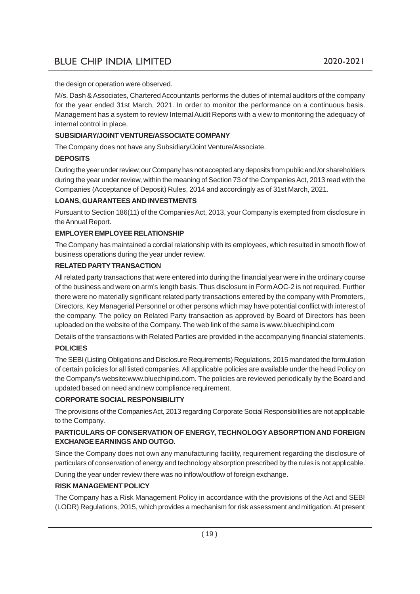the design or operation were observed.

M/s. Dash & Associates, Chartered Accountants performs the duties of internal auditors of the company for the year ended 31st March, 2021. In order to monitor the performance on a continuous basis. Management has a system to review Internal Audit Reports with a view to monitoring the adequacy of internal control in place.

#### **SUBSIDIARY/JOINT VENTURE/ASSOCIATE COMPANY**

The Company does not have any Subsidiary/Joint Venture/Associate.

#### **DEPOSITS**

During the year under review, our Company has not accepted any deposits from public and /or shareholders during the year under review, within the meaning of Section 73 of the Companies Act, 2013 read with the Companies (Acceptance of Deposit) Rules, 2014 and accordingly as of 31st March, 2021.

#### **LOANS, GUARANTEES AND INVESTMENTS**

Pursuant to Section 186(11) of the Companies Act, 2013, your Company is exempted from disclosure in the Annual Report.

#### **EMPLOYER EMPLOYEE RELATIONSHIP**

The Company has maintained a cordial relationship with its employees, which resulted in smooth flow of business operations during the year under review.

#### **RELATED PARTY TRANSACTION**

All related party transactions that were entered into during the financial year were in the ordinary course of the business and were on arm's length basis. Thus disclosure in Form AOC-2 is not required. Further there were no materially significant related party transactions entered by the company with Promoters, Directors, Key Managerial Personnel or other persons which may have potential conflict with interest of the company. The policy on Related Party transaction as approved by Board of Directors has been uploaded on the website of the Company. The web link of the same is www.bluechipind.com

Details of the transactions with Related Parties are provided in the accompanying financial statements.

#### **POLICIES**

The SEBI (Listing Obligations and Disclosure Requirements) Regulations, 2015 mandated the formulation of certain policies for all listed companies. All applicable policies are available under the head Policy on the Company's website:www.bluechipind.com. The policies are reviewed periodically by the Board and updated based on need and new compliance requirement.

#### **CORPORATE SOCIAL RESPONSIBILITY**

The provisions of the Companies Act, 2013 regarding Corporate Social Responsibilities are not applicable to the Company.

#### **PARTICULARS OF CONSERVATION OF ENERGY, TECHNOLOGY ABSORPTION AND FOREIGN EXCHANGE EARNINGS AND OUTGO.**

Since the Company does not own any manufacturing facility, requirement regarding the disclosure of particulars of conservation of energy and technology absorption prescribed by the rules is not applicable.

During the year under review there was no inflow/outflow of foreign exchange.

#### **RISK MANAGEMENT POLICY**

The Company has a Risk Management Policy in accordance with the provisions of the Act and SEBI (LODR) Regulations, 2015, which provides a mechanism for risk assessment and mitigation. At present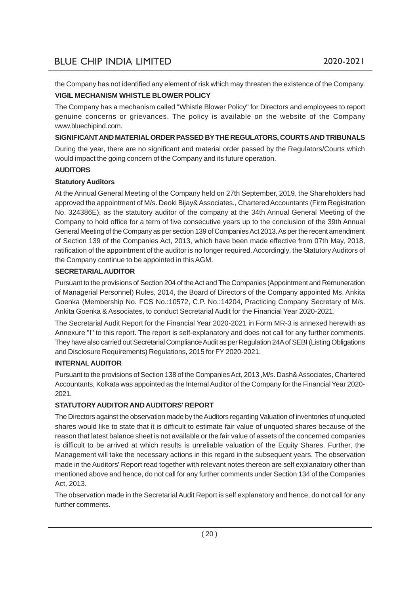the Company has not identified any element of risk which may threaten the existence of the Company.

#### **VIGIL MECHANISM WHISTLE BLOWER POLICY**

The Company has a mechanism called "Whistle Blower Policy" for Directors and employees to report genuine concerns or grievances. The policy is available on the website of the Company www.bluechipind.com.

#### **SIGNIFICANT AND MATERIAL ORDER PASSED BY THE REGULATORS, COURTS AND TRIBUNALS**

During the year, there are no significant and material order passed by the Regulators/Courts which would impact the going concern of the Company and its future operation.

### **AUDITORS**

### **Statutory Auditors**

At the Annual General Meeting of the Company held on 27th September, 2019, the Shareholders had approved the appointment of M/s. Deoki Bijay& Associates., Chartered Accountants (Firm Registration No. 324386E), as the statutory auditor of the company at the 34th Annual General Meeting of the Company to hold office for a term of five consecutive years up to the conclusion of the 39th Annual General Meeting of the Company as per section 139 of Companies Act 2013. As per the recent amendment of Section 139 of the Companies Act, 2013, which have been made effective from 07th May, 2018, ratification of the appointment of the auditor is no longer required. Accordingly, the Statutory Auditors of the Company continue to be appointed in this AGM.

### **SECRETARIAL AUDITOR**

Pursuant to the provisions of Section 204 of the Act and The Companies (Appointment and Remuneration of Managerial Personnel) Rules, 2014, the Board of Directors of the Company appointed Ms. Ankita Goenka (Membership No. FCS No.:10572, C.P. No.:14204, Practicing Company Secretary of M/s. Ankita Goenka & Associates, to conduct Secretarial Audit for the Financial Year 2020-2021.

The Secretarial Audit Report for the Financial Year 2020-2021 in Form MR-3 is annexed herewith as Annexure "I" to this report. The report is self-explanatory and does not call for any further comments. They have also carried out Secretarial Compliance Audit as per Regulation 24A of SEBI (Listing Obligations and Disclosure Requirements) Regulations, 2015 for FY 2020-2021.

#### **INTERNAL AUDITOR**

Pursuant to the provisions of Section 138 of the Companies Act, 2013 ,M/s. Dash& Associates, Chartered Accountants, Kolkata was appointed as the Internal Auditor of the Company for the Financial Year 2020- 2021.

### **STATUTORY AUDITOR AND AUDITORS' REPORT**

The Directors against the observation made by the Auditors regarding Valuation of inventories of unquoted shares would like to state that it is difficult to estimate fair value of unquoted shares because of the reason that latest balance sheet is not available or the fair value of assets of the concerned companies is difficult to be arrived at which results is unreliable valuation of the Equity Shares. Further, the Management will take the necessary actions in this regard in the subsequent years. The observation made in the Auditors' Report read together with relevant notes thereon are self explanatory other than mentioned above and hence, do not call for any further comments under Section 134 of the Companies Act, 2013.

The observation made in the Secretarial Audit Report is self explanatory and hence, do not call for any further comments.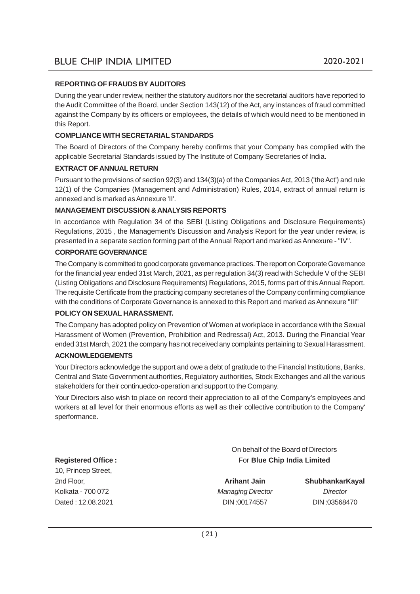#### **REPORTING OF FRAUDS BY AUDITORS**

During the year under review, neither the statutory auditors nor the secretarial auditors have reported to the Audit Committee of the Board, under Section 143(12) of the Act, any instances of fraud committed against the Company by its officers or employees, the details of which would need to be mentioned in this Report.

#### **COMPLIANCE WITH SECRETARIAL STANDARDS**

The Board of Directors of the Company hereby confirms that your Company has complied with the applicable Secretarial Standards issued by The Institute of Company Secretaries of India.

#### **EXTRACT OF ANNUAL RETURN**

Pursuant to the provisions of section 92(3) and 134(3)(a) of the Companies Act, 2013 ('the Act') and rule 12(1) of the Companies (Management and Administration) Rules, 2014, extract of annual return is annexed and is marked as Annexure 'II'.

#### **MANAGEMENT DISCUSSION & ANALYSIS REPORTS**

In accordance with Regulation 34 of the SEBI (Listing Obligations and Disclosure Requirements) Regulations, 2015 , the Management's Discussion and Analysis Report for the year under review, is presented in a separate section forming part of the Annual Report and marked as Annexure - "IV".

#### **CORPORATE GOVERNANCE**

The Company is committed to good corporate governance practices. The report on Corporate Governance for the financial year ended 31st March, 2021, as per regulation 34(3) read with Schedule V of the SEBI (Listing Obligations and Disclosure Requirements) Regulations, 2015, forms part of this Annual Report. The requisite Certificate from the practicing company secretaries of the Company confirming compliance with the conditions of Corporate Governance is annexed to this Report and marked as Annexure "III"

#### **POLICY ON SEXUAL HARASSMENT.**

The Company has adopted policy on Prevention of Women at workplace in accordance with the Sexual Harassment of Women (Prevention, Prohibition and Redressal) Act, 2013. During the Financial Year ended 31st March, 2021 the company has not received any complaints pertaining to Sexual Harassment.

#### **ACKNOWLEDGEMENTS**

Your Directors acknowledge the support and owe a debt of gratitude to the Financial Institutions, Banks, Central and State Government authorities, Regulatory authorities, Stock Exchanges and all the various stakeholders for their continuedco-operation and support to the Company.

Your Directors also wish to place on record their appreciation to all of the Company's employees and workers at all level for their enormous efforts as well as their collective contribution to the Company' sperformance.

10, Princep Street, 2nd Floor, **Arihant Jain ShubhankarKayal** Kolkata - 700 072 *Managing Director Director* Dated : 12.08.2021 DIN :00174557 DIN :03568470

On behalf of the Board of Directors **Registered Office :** For Blue Chip India Limited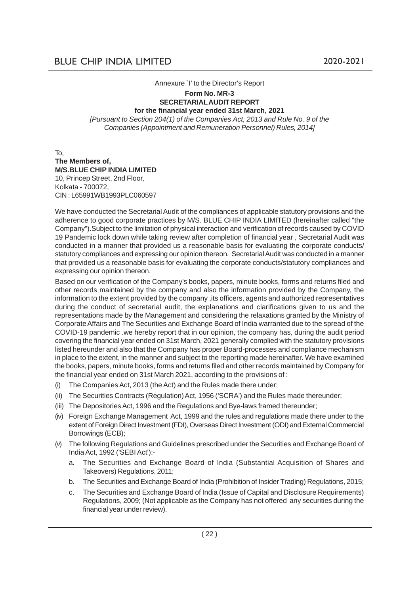Annexure `I' to the Director's Report

#### **Form No. MR-3 SECRETARIAL AUDIT REPORT for the financial year ended 31st March, 2021**

*[Pursuant to Section 204(1) of the Companies Act, 2013 and Rule No. 9 of the Companies (Appointment and Remuneration Personnel) Rules, 2014]*

To, **The Members of, M/S.BLUE CHIP INDIA LIMITED** 10, Princep Street, 2nd Floor, Kolkata - 700072, CIN : L65991WB1993PLC060597

We have conducted the Secretarial Audit of the compliances of applicable statutory provisions and the adherence to good corporate practices by M/S. BLUE CHIP INDIA LIMITED (hereinafter called "the Company").Subject to the limitation of physical interaction and verification of records caused by COVID 19 Pandemic lock down while taking review after completion of financial year , Secretarial Audit was conducted in a manner that provided us a reasonable basis for evaluating the corporate conducts/ statutory compliances and expressing our opinion thereon. Secretarial Audit was conducted in a manner that provided us a reasonable basis for evaluating the corporate conducts/statutory compliances and expressing our opinion thereon.

Based on our verification of the Company's books, papers, minute books, forms and returns filed and other records maintained by the company and also the information provided by the Company, the information to the extent provided by the company ,its officers, agents and authorized representatives during the conduct of secretarial audit, the explanations and clarifications given to us and the representations made by the Management and considering the relaxations granted by the Ministry of Corporate Affairs and The Securities and Exchange Board of India warranted due to the spread of the COVID-19 pandemic .we hereby report that in our opinion, the company has, during the audit period covering the financial year ended on 31st March, 2021 generally complied with the statutory provisions listed hereunder and also that the Company has proper Board-processes and compliance mechanism in place to the extent, in the manner and subject to the reporting made hereinafter. We have examined the books, papers, minute books, forms and returns filed and other records maintained by Company for the financial year ended on 31st March 2021, according to the provisions of :

- (i) The Companies Act, 2013 (the Act) and the Rules made there under;
- (ii) The Securities Contracts (Regulation) Act, 1956 ('SCRA') and the Rules made thereunder;
- (iii) The Depositories Act, 1996 and the Regulations and Bye-laws framed thereunder;
- (iv) Foreign Exchange Management Act, 1999 and the rules and regulations made there under to the extent of Foreign Direct Investment (FDI), Overseas Direct Investment (ODI) and External Commercial Borrowings (ECB);
- (v) The following Regulations and Guidelines prescribed under the Securities and Exchange Board of India Act, 1992 ('SEBI Act'):
	- a. The Securities and Exchange Board of India (Substantial Acquisition of Shares and Takeovers) Regulations, 2011;
	- b. The Securities and Exchange Board of India (Prohibition of Insider Trading) Regulations, 2015;
	- c. The Securities and Exchange Board of India (Issue of Capital and Disclosure Requirements) Regulations, 2009; (Not applicable as the Company has not offered any securities during the financial year under review).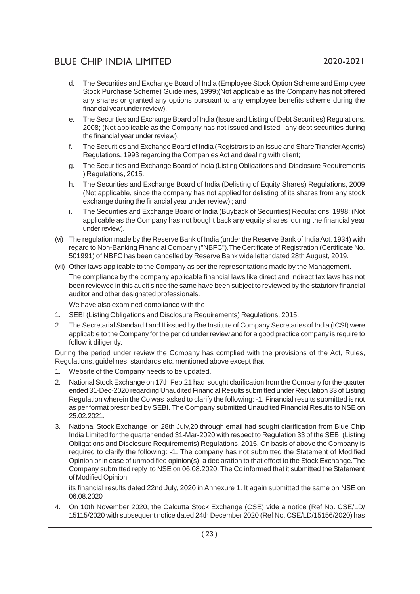- d. The Securities and Exchange Board of India (Employee Stock Option Scheme and Employee Stock Purchase Scheme) Guidelines, 1999;(Not applicable as the Company has not offered any shares or granted any options pursuant to any employee benefits scheme during the financial year under review).
- e. The Securities and Exchange Board of India (Issue and Listing of Debt Securities) Regulations, 2008; (Not applicable as the Company has not issued and listed any debt securities during the financial year under review).
- f. The Securities and Exchange Board of India (Registrars to an Issue and Share Transfer Agents) Regulations, 1993 regarding the Companies Act and dealing with client;
- g. The Securities and Exchange Board of India (Listing Obligations and Disclosure Requirements ) Regulations, 2015.
- h. The Securities and Exchange Board of India (Delisting of Equity Shares) Regulations, 2009 (Not applicable, since the company has not applied for delisting of its shares from any stock exchange during the financial year under review) ; and
- i. The Securities and Exchange Board of India (Buyback of Securities) Regulations, 1998; (Not applicable as the Company has not bought back any equity shares during the financial year under review).
- (vi) The regulation made by the Reserve Bank of India (under the Reserve Bank of India Act, 1934) with regard to Non-Banking Financial Company ("NBFC").The Certificate of Registration (Certificate No. 501991) of NBFC has been cancelled by Reserve Bank wide letter dated 28th August, 2019.
- (vii) Other laws applicable to the Company as per the representations made by the Management.

The compliance by the company applicable financial laws like direct and indirect tax laws has not been reviewed in this audit since the same have been subject to reviewed by the statutory financial auditor and other designated professionals.

We have also examined compliance with the

- 1. SEBI (Listing Obligations and Disclosure Requirements) Regulations, 2015.
- 2. The Secretarial Standard I and II issued by the Institute of Company Secretaries of India (ICSI) were applicable to the Company for the period under review and for a good practice company is require to follow it diligently.

During the period under review the Company has complied with the provisions of the Act, Rules, Regulations, guidelines, standards etc. mentioned above except that

- 1. Website of the Company needs to be updated.
- 2. National Stock Exchange on 17th Feb,21 had sought clarification from the Company for the quarter ended 31-Dec-2020 regarding Unaudited Financial Results submitted under Regulation 33 of Listing Regulation wherein the Co was asked to clarify the following: -1. Financial results submitted is not as per format prescribed by SEBI. The Company submitted Unaudited Financial Results to NSE on 25.02.2021.
- 3. National Stock Exchange on 28th July,20 through email had sought clarification from Blue Chip India Limited for the quarter ended 31-Mar-2020 with respect to Regulation 33 of the SEBI (Listing Obligations and Disclosure Requirements) Regulations, 2015. On basis of above the Company is required to clarify the following: -1. The company has not submitted the Statement of Modified Opinion or in case of unmodified opinion(s), a declaration to that effect to the Stock Exchange.The Company submitted reply to NSE on 06.08.2020. The Co informed that it submitted the Statement of Modified Opinion

its financial results dated 22nd July, 2020 in Annexure 1. It again submitted the same on NSE on 06.08.2020

4. On 10th November 2020, the Calcutta Stock Exchange (CSE) vide a notice (Ref No. CSE/LD/ 15115/2020 with subsequent notice dated 24th December 2020 (Ref No. CSE/LD/15156/2020) has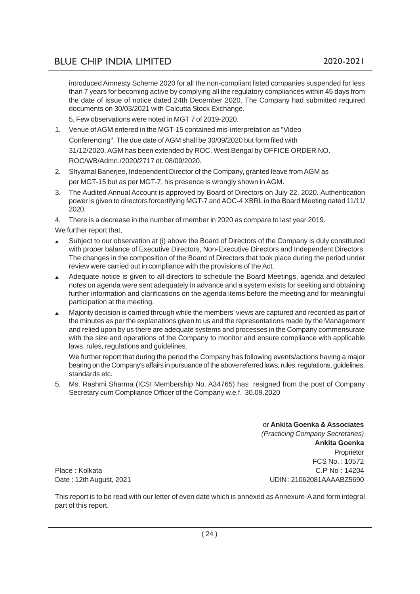introduced Amnesty Scheme 2020 for all the non-compliant listed companies suspended for less than 7 years for becoming active by complying all the regulatory compliances within 45 days from the date of issue of notice dated 24th December 2020. The Company had submitted required documents on 30/03/2021 with Calcutta Stock Exchange.

5, Few observations were noted in MGT 7 of 2019-2020.

- 1. Venue of AGM entered in the MGT-15 contained mis-interpretation as "Video Conferencing". The due date of AGM shall be 30/09/2020 but form filed with 31/12/2020. AGM has been extended by ROC, West Bengal by OFFICE ORDER NO. ROC/WB/Admn./2020/2717 dt. 08/09/2020.
- 2. Shyamal Banerjee, Independent Director of the Company, granted leave from AGM as per MGT-15 but as per MGT-7, his presence is wrongly shown in AGM.
- 3. The Audited Annual Account is approved by Board of Directors on July 22, 2020. Authentication power is given to directors forcertifying MGT-7 and AOC-4 XBRL in the Board Meeting dated 11/11/ 2020.
- 4. There is a decrease in the number of member in 2020 as compare to last year 2019.

We further report that,

- Subject to our observation at (i) above the Board of Directors of the Company is duly constituted with proper balance of Executive Directors, Non-Executive Directors and Independent Directors. The changes in the composition of the Board of Directors that took place during the period under review were carried out in compliance with the provisions of the Act.
- Adequate notice is given to all directors to schedule the Board Meetings, agenda and detailed notes on agenda were sent adequately in advance and a system exists for seeking and obtaining further information and clarifications on the agenda items before the meeting and for meaningful participation at the meeting.
- Majority decision is carried through while the members' views are captured and recorded as part of the minutes as per the explanations given to us and the representations made by the Management and relied upon by us there are adequate systems and processes in the Company commensurate with the size and operations of the Company to monitor and ensure compliance with applicable laws, rules, regulations and guidelines.

We further report that during the period the Company has following events/actions having a major bearing on the Company's affairs in pursuance of the above referred laws, rules, regulations, guidelines, standards etc.

5. Ms. Rashmi Sharma (ICSI Membership No. A34765) has resigned from the post of Company Secretary cum Compliance Officer of the Company w.e.f. 30.09.2020

#### or **Ankita Goenka & Associates**

*(Practicing Company Secretaries)* **Ankita Goenka Proprietor** FCS No. : 10572 Place : Kolkata C.P No : 14204 Date : 12th August, 2021 UDIN : 21062081AAAABZ5690

This report is to be read with our letter of even date which is annexed as Annexure-A and form integral part of this report.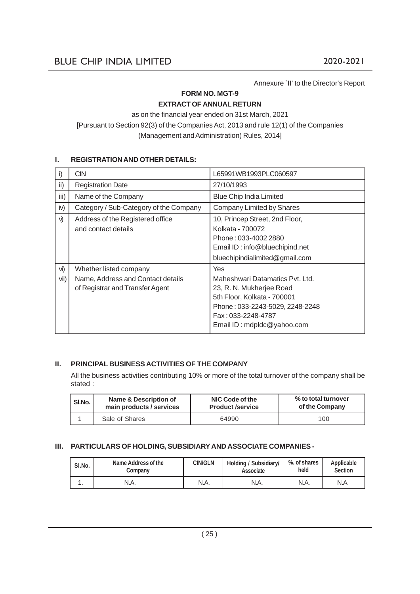Annexure `II' to the Director's Report

#### **FORM NO. MGT-9**

#### **EXTRACT OF ANNUAL RETURN**

as on the financial year ended on 31st March, 2021 [Pursuant to Section 92(3) of the Companies Act, 2013 and rule 12(1) of the Companies (Management and Administration) Rules, 2014]

#### **I. REGISTRATION AND OTHER DETAILS:**

| i)   | <b>CIN</b>                             | L65991WB1993PLC060597           |
|------|----------------------------------------|---------------------------------|
| ii)  | <b>Registration Date</b>               | 27/10/1993                      |
| iii) | Name of the Company                    | <b>Blue Chip India Limited</b>  |
| iv)  | Category / Sub-Category of the Company | Company Limited by Shares       |
| V)   | Address of the Registered office       | 10, Princep Street, 2nd Floor,  |
|      | and contact details                    | Kolkata - 700072                |
|      |                                        | Phone: 033-4002 2880            |
|      |                                        | Email ID: info@bluechipind.net  |
|      |                                        | bluechipindialimited@gmail.com  |
| vi)  | Whether listed company                 | Yes                             |
| vii) | Name, Address and Contact details      | Maheshwari Datamatics Pyt. Ltd. |
|      | of Registrar and Transfer Agent        | 23, R. N. Mukherjee Road        |
|      |                                        | 5th Floor, Kolkata - 700001     |
|      |                                        | Phone: 033-2243-5029, 2248-2248 |
|      |                                        | Fax: 033-2248-4787              |
|      |                                        | Email ID: mdpldc@yahoo.com      |

#### **II. PRINCIPAL BUSINESS ACTIVITIES OF THE COMPANY**

All the business activities contributing 10% or more of the total turnover of the company shall be stated :

| SI.No. | Name & Description of    | NIC Code of the         | % to total turnover |  |  |
|--------|--------------------------|-------------------------|---------------------|--|--|
|        | main products / services | <b>Product /service</b> | of the Company      |  |  |
|        | Sale of Shares           | 64990                   | 100                 |  |  |

#### **III. PARTICULARS OF HOLDING, SUBSIDIARY AND ASSOCIATE COMPANIES -**

| SI.No. | Name Address of the<br>Company | CIN/GLN | Holding / Subsidiary/<br>Associate | %. of shares<br>held | Applicable<br><b>Section</b> |  |
|--------|--------------------------------|---------|------------------------------------|----------------------|------------------------------|--|
|        | N.A.<br>N.A.                   |         | N.A.                               | N.A.                 | N.A.                         |  |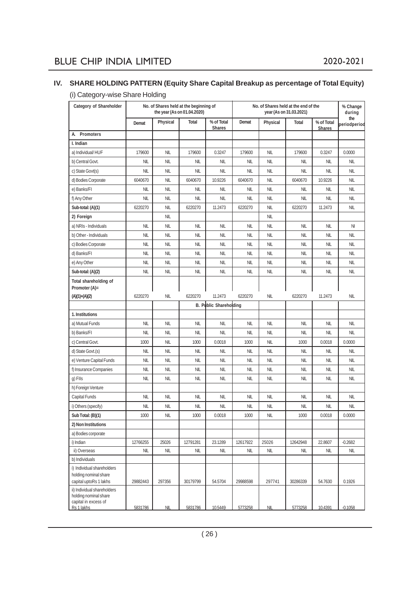# **IV. SHARE HOLDING PATTERN (Equity Share Capital Breakup as percentage of Total Equity)**

(i) Category-wise Share Holding

| Category of Shareholder                                                       |            |            | No. of Shares held at the beginning of<br>the year (As on 01.04.2020) |                               | No. of Shares held at the end of the<br>year (As on 31.03.2021) |            |              |                             | % Change<br>during  |
|-------------------------------------------------------------------------------|------------|------------|-----------------------------------------------------------------------|-------------------------------|-----------------------------------------------------------------|------------|--------------|-----------------------------|---------------------|
|                                                                               | Demat      | Physical   | <b>Total</b>                                                          | % of Total<br><b>Shares</b>   | Demat                                                           | Physical   | <b>Total</b> | % of Total<br><b>Shares</b> | the<br>periodperiod |
| <b>Promoters</b><br>А.                                                        |            |            |                                                                       |                               |                                                                 |            |              |                             |                     |
| I. Indian                                                                     |            |            |                                                                       |                               |                                                                 |            |              |                             |                     |
| a) Individual/HUF                                                             | 179600     | NIL        | 179600                                                                | 0.3247                        | 179600                                                          | <b>NIL</b> | 179600       | 0.3247                      | 0.0000              |
| b) Central Govt.                                                              | <b>NIL</b> | <b>NIL</b> | NIL                                                                   | NIL                           | NIL                                                             | <b>NIL</b> | NIL          | NIL                         | NIL                 |
| c) State Govt(s)                                                              | <b>NIL</b> | <b>NIL</b> | NIL                                                                   | <b>NIL</b>                    | <b>NIL</b>                                                      | <b>NIL</b> | NIL          | NIL                         | NIL                 |
| d) Bodies Corporate                                                           | 6040670    | <b>NIL</b> | 6040670                                                               | 10.9226                       | 6040670                                                         | <b>NIL</b> | 6040670      | 10.9226                     | <b>NIL</b>          |
| e) Banks/FI                                                                   | NIL        | <b>NIL</b> | NIL                                                                   | NIL                           | NIL                                                             | <b>NIL</b> | NIL          | NIL                         | NIL                 |
| f) Any Other                                                                  | <b>NIL</b> | NIL        | NIL                                                                   | NIL                           | <b>NIL</b>                                                      | <b>NIL</b> | NIL          | NIL                         | NIL                 |
| Sub-total: (A)(1)                                                             | 6220270    | <b>NIL</b> | 6220270                                                               | 11.2473                       | 6220270                                                         | <b>NIL</b> | 6220270      | 11.2473                     | NIL                 |
| 2) Foreign                                                                    |            | <b>NIL</b> |                                                                       |                               |                                                                 | <b>NIL</b> |              |                             |                     |
| a) NRIs - Individuals                                                         | <b>NIL</b> | <b>NIL</b> | <b>NIL</b>                                                            | <b>NIL</b>                    | <b>NIL</b>                                                      | <b>NIL</b> | NIL          | NIL                         | NI                  |
| b) Other - Individuals                                                        | <b>NIL</b> | <b>NIL</b> | <b>NIL</b>                                                            | <b>NIL</b>                    | <b>NIL</b>                                                      | <b>NIL</b> | <b>NIL</b>   | <b>NIL</b>                  | NIL                 |
| c) Bodies Corporate                                                           | <b>NIL</b> | <b>NIL</b> | <b>NIL</b>                                                            | NIL                           | <b>NIL</b>                                                      | <b>NIL</b> | NIL          | NIL                         | NIL                 |
| d) Banks/FI                                                                   | <b>NIL</b> | NIL        | NIL                                                                   | NIL                           | <b>NIL</b>                                                      | <b>NIL</b> | <b>NIL</b>   | <b>NIL</b>                  | NIL                 |
| e) Any Other                                                                  | <b>NIL</b> | <b>NIL</b> | <b>NIL</b>                                                            | NIL                           | <b>NIL</b>                                                      | <b>NIL</b> | NIL          | <b>NIL</b>                  | NIL                 |
| Sub-total: (A)(2)                                                             | <b>NIL</b> | <b>NIL</b> | <b>NIL</b>                                                            | NIL                           | <b>NIL</b>                                                      | <b>NIL</b> | <b>NIL</b>   | NIL                         | NIL                 |
| Total shareholding of<br>Promoter (A)=                                        |            |            |                                                                       |                               |                                                                 |            |              |                             |                     |
| $(A)(1)+(A)(2)$                                                               | 6220270    | <b>NIL</b> | 6220270                                                               | 11.2473                       | 6220270                                                         | <b>NIL</b> | 6220270      | 11.2473                     | NIL                 |
|                                                                               |            |            |                                                                       | <b>B.</b> Public Shareholding |                                                                 |            |              |                             |                     |
| 1. Institutions                                                               |            |            |                                                                       |                               |                                                                 |            |              |                             |                     |
| a) Mutual Funds                                                               | <b>NIL</b> | <b>NIL</b> | <b>NIL</b>                                                            | <b>NIL</b>                    | NIL                                                             | <b>NIL</b> | <b>NIL</b>   | NIL                         | NIL                 |
| b) Banks/FI                                                                   | <b>NIL</b> | <b>NIL</b> | <b>NIL</b>                                                            | <b>NIL</b>                    | <b>NIL</b>                                                      | <b>NIL</b> | <b>NIL</b>   | <b>NIL</b>                  | <b>NIL</b>          |
| c) Central Govt.                                                              | 1000       | <b>NIL</b> | 1000                                                                  | 0.0018                        | 1000                                                            | <b>NIL</b> | 1000         | 0.0018                      | 0.0000              |
| d) State Govt.(s)                                                             | <b>NIL</b> | <b>NIL</b> | <b>NIL</b>                                                            | <b>NIL</b>                    | <b>NIL</b>                                                      | <b>NIL</b> | <b>NIL</b>   | NIL                         | NIL                 |
| e) Venture Capital Funds                                                      | <b>NIL</b> | NIL        | NIL                                                                   | NIL                           | <b>NIL</b>                                                      | <b>NIL</b> | NIL          | NIL                         | NIL                 |
| f) Insurance Companies                                                        | <b>NIL</b> | <b>NIL</b> | <b>NIL</b>                                                            | NIL                           | NIL                                                             | <b>NIL</b> | NIL          | NIL                         | NIL                 |
| g) Fils                                                                       | <b>NIL</b> | <b>NIL</b> | <b>NIL</b>                                                            | <b>NIL</b>                    | <b>NIL</b>                                                      | <b>NIL</b> | <b>NIL</b>   | <b>NIL</b>                  | NIL                 |
| h) Foreign Venture                                                            |            |            |                                                                       |                               |                                                                 |            |              |                             |                     |
| Capital Funds                                                                 | <b>NIL</b> | <b>NIL</b> | <b>NIL</b>                                                            | <b>NIL</b>                    | <b>NIL</b>                                                      | <b>NIL</b> | NIL          | <b>NIL</b>                  | NIL                 |
| i) Others (specify)                                                           | <b>NIL</b> | NIL        | <b>NIL</b>                                                            | <b>NIL</b>                    | NIL                                                             | <b>NIL</b> | <b>NIL</b>   | <b>NIL</b>                  | NIL                 |
| Sub Total: (B)(1)                                                             | 1000       | NIL        | 1000                                                                  | 0.0018                        | 1000                                                            | NIL        | 1000         | 0.0018                      | 0.0000              |
| 2) Non Institutions                                                           |            |            |                                                                       |                               |                                                                 |            |              |                             |                     |
| a) Bodies corporate                                                           |            |            |                                                                       |                               |                                                                 |            |              |                             |                     |
| i) Indian                                                                     | 12766255   | 25026      | 12791281                                                              | 23.1289                       | 12617922                                                        | 25026      | 12642948     | 22.8607                     | $-0.2682$           |
| ii) Overseas                                                                  | <b>NIL</b> | <b>NIL</b> | NIL                                                                   | <b>NIL</b>                    | <b>NIL</b>                                                      | <b>NIL</b> | <b>NIL</b>   | NIL                         | NIL                 |
| b) Individuals                                                                |            |            |                                                                       |                               |                                                                 |            |              |                             |                     |
| i) Individual shareholders<br>holding nominal share<br>capital uptoRs 1 lakhs | 29882443   | 297356     | 30179799                                                              | 54.5704                       | 29988598                                                        | 297741     | 30286339     | 54.7630                     | 0.1926              |
| ii) Individual shareholders<br>holding nominal share<br>capital in excess of  |            |            |                                                                       |                               |                                                                 |            |              |                             |                     |
| Rs 1 lakhs                                                                    | 5831786    | <b>NIL</b> | 5831786                                                               | 10.5449                       | 5773258                                                         | <b>NIL</b> | 5773258      | 10.4391                     | $-0.1058$           |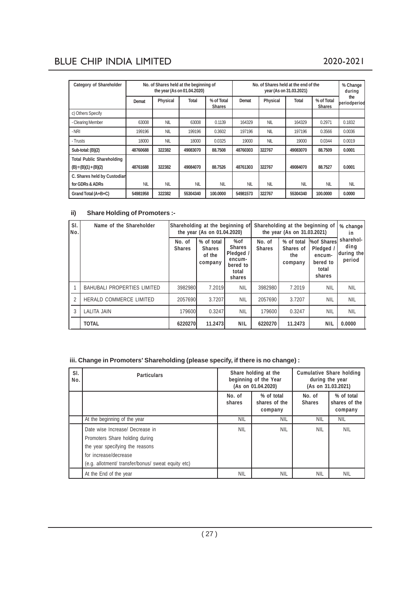| <b>Category of Shareholder</b>   |            |          | No. of Shares held at the beginning of<br>the year (As on 01.04.2020) |                             |            | No. of Shares held at the end of the | year (As on 31.03.2021) |                             | % Change<br>during  |
|----------------------------------|------------|----------|-----------------------------------------------------------------------|-----------------------------|------------|--------------------------------------|-------------------------|-----------------------------|---------------------|
|                                  | Demat      | Physical | <b>Total</b>                                                          | % of Total<br><b>Shares</b> | Demat      | Physical                             | <b>Total</b>            | % of Total<br><b>Shares</b> | the<br>periodperiod |
| c) Others Specify                |            |          |                                                                       |                             |            |                                      |                         |                             |                     |
| - Clearing Member                | 63008      | NII.     | 63008                                                                 | 0.1139                      | 164329     | <b>NII</b>                           | 164329                  | 0.2971                      | 0.1832              |
| $-NRI$                           | 199196     | NII      | 199196                                                                | 0.3602                      | 197196     | <b>NIL</b>                           | 197196                  | 0.3566                      | 0.0036              |
| - Trusts                         | 18000      | NII.     | 18000                                                                 | 0.0325                      | 19000      | <b>NII</b>                           | 19000                   | 0.0344                      | 0.0019              |
| Sub-total: (B)(2)                | 48760688   | 322382   | 49083070                                                              | 88.7508                     | 48760303   | 322767                               | 49083070                | 88.7509                     | 0.0001              |
| <b>Total Public Shareholding</b> |            |          |                                                                       |                             |            |                                      |                         |                             |                     |
| $(B) = (B)(1) + (B)(2)$          | 48761688   | 322382   | 49084070                                                              | 88.7526                     | 48761303   | 322767                               | 49084070                | 88.7527                     | 0.0001              |
| C. Shares held by Custodian      |            |          |                                                                       |                             |            |                                      |                         |                             |                     |
| for GDRs & ADRs                  | <b>NIL</b> | NII.     | NII.                                                                  | NII.                        | <b>NIL</b> | <b>NII</b>                           | NII.                    | NII.                        | NII.                |
| Grand Total (A+B+C)              | 54981958   | 322382   | 55304340                                                              | 100.0000                    | 54981573   | 322767                               | 55304340                | 100.0000                    | 0.0000              |

#### **ii) Share Holding of Promoters :-**

| SI.<br>INo. | Name of the Shareholder            | Shareholding at the beginning of<br>the year (As on 01.04.2020) |                                                  |                                                                            | Shareholding at the beginning of<br>the year (As on 31.03.2021) | % change  <br>in                          |                                                                       |                                           |
|-------------|------------------------------------|-----------------------------------------------------------------|--------------------------------------------------|----------------------------------------------------------------------------|-----------------------------------------------------------------|-------------------------------------------|-----------------------------------------------------------------------|-------------------------------------------|
|             |                                    | No. of<br><b>Shares</b>                                         | % of total<br><b>Shares</b><br>of the<br>company | %of<br><b>Shares</b><br>Pledged /<br>encum-<br>bered to<br>total<br>shares | No. of<br><b>Shares</b>                                         | % of total<br>Shares of<br>the<br>company | <b>Sof Shares</b><br>Pledged<br>encum-<br>bered to<br>total<br>shares | sharehol-<br>ding<br>during the<br>period |
|             | <b>BAHUBALI PROPERTIES LIMITED</b> | 3982980                                                         | 7.2019                                           | <b>NIL</b>                                                                 | 3982980                                                         | 7.2019                                    | <b>NIL</b>                                                            | <b>NIL</b>                                |
|             | HERALD COMMERCE LIMITED            | 2057690                                                         | 3.7207                                           | <b>NIL</b>                                                                 | 2057690                                                         | 3.7207                                    | <b>NIL</b>                                                            | <b>NIL</b>                                |
|             | <b>LALITA JAIN</b>                 | 179600                                                          | 0.3247                                           | <b>NIL</b>                                                                 | 179600                                                          | 0.3247                                    | <b>NIL</b>                                                            | NIL                                       |
|             | <b>TOTAL</b>                       | 6220270                                                         | 11.2473                                          | NIL                                                                        | 6220270                                                         | 11.2473                                   | NIL                                                                   | 0.0000                                    |

#### **iii. Change in Promoters' Shareholding (please specify, if there is no change) :**

| SI.<br>No. | <b>Particulars</b>                                                                                                                                                                  | Share holding at the<br>beginning of the Year<br>(As on 01.04.2020) |                                        | <b>Cumulative Share holding</b><br>during the year<br>(As on 31.03.2021) |                                        |
|------------|-------------------------------------------------------------------------------------------------------------------------------------------------------------------------------------|---------------------------------------------------------------------|----------------------------------------|--------------------------------------------------------------------------|----------------------------------------|
|            |                                                                                                                                                                                     | No. of<br>shares                                                    | % of total<br>shares of the<br>company | No. of<br><b>Shares</b>                                                  | % of total<br>shares of the<br>company |
|            | At the beginning of the year                                                                                                                                                        | NIL                                                                 | NIL                                    | NIL                                                                      | NIL                                    |
|            | Date wise Increase/ Decrease in<br>Promoters Share holding during<br>the year specifying the reasons<br>for increase/decrease<br>(e.g. allotment/ transfer/bonus/ sweat equity etc) | <b>NIL</b>                                                          | <b>NIL</b>                             | NIL                                                                      | <b>NIL</b>                             |
|            | At the End of the year                                                                                                                                                              | <b>NIL</b>                                                          | <b>NIL</b>                             | NIL                                                                      | NIL                                    |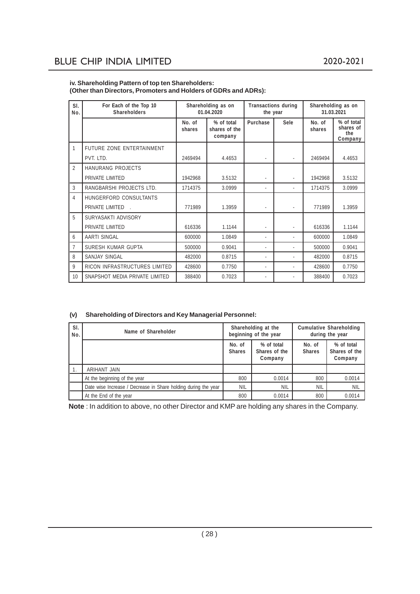#### **iv. Shareholding Pattern of top ten Shareholders: (Other than Directors, Promoters and Holders of GDRs and ADRs):**

| SI.<br>No.     | For Each of the Top 10<br><b>Shareholders</b> | Shareholding as on<br>01.04.2020 |                                        | <b>Transactions during</b><br>the year |      | Shareholding as on<br>31.03.2021 |                                           |
|----------------|-----------------------------------------------|----------------------------------|----------------------------------------|----------------------------------------|------|----------------------------------|-------------------------------------------|
|                |                                               | No. of<br>shares                 | % of total<br>shares of the<br>company | Purchase                               | Sele | No. of<br>shares                 | % of total<br>shares of<br>the<br>Company |
| $\mathbf{1}$   | FUTURE ZONE ENTERTAINMENT                     |                                  |                                        |                                        |      |                                  |                                           |
|                | PVT. LTD.                                     | 2469494                          | 4.4653                                 |                                        |      | 2469494                          | 4.4653                                    |
| $\overline{2}$ | HANURANG PROJECTS                             |                                  |                                        |                                        |      |                                  |                                           |
|                | PRIVATE LIMITED                               | 1942968                          | 3.5132                                 |                                        |      | 1942968                          | 3.5132                                    |
| 3              | RANGBARSHI PROJECTS LTD.                      | 1714375                          | 3.0999                                 |                                        |      | 1714375                          | 3.0999                                    |
| 4              | HUNGERFORD CONSULTANTS                        |                                  |                                        |                                        |      |                                  |                                           |
|                | PRIVATE LIMITED                               | 771989                           | 1.3959                                 |                                        |      | 771989                           | 1.3959                                    |
| 5              | SURYASAKTI ADVISORY                           |                                  |                                        |                                        |      |                                  |                                           |
|                | PRIVATE LIMITED                               | 616336                           | 1.1144                                 |                                        |      | 616336                           | 1.1144                                    |
| 6              | <b>AARTI SINGAL</b>                           | 600000                           | 1.0849                                 | ٠                                      |      | 600000                           | 1.0849                                    |
| $\overline{7}$ | SURESH KUMAR GUPTA                            | 500000                           | 0.9041                                 |                                        |      | 500000                           | 0.9041                                    |
| 8              | <b>SANJAY SINGAL</b>                          | 482000                           | 0.8715                                 |                                        |      | 482000                           | 0.8715                                    |
| 9              | RICON INFRASTRUCTURES LIMITED                 | 428600                           | 0.7750                                 | ٠                                      |      | 428600                           | 0.7750                                    |
| 10             | SNAPSHOT MEDIA PRIVATE LIMITED                | 388400                           | 0.7023                                 |                                        |      | 388400                           | 0.7023                                    |

#### **(v) Shareholding of Directors and Key Managerial Personnel:**

| SI.<br>No. | Name of Shareholder                                            | Shareholding at the<br>beginning of the year |                                        |                         | <b>Cumulative Shareholding</b><br>during the year |
|------------|----------------------------------------------------------------|----------------------------------------------|----------------------------------------|-------------------------|---------------------------------------------------|
|            |                                                                | No. of<br><b>Shares</b>                      | % of total<br>Shares of the<br>Company | No. of<br><b>Shares</b> | % of total<br>Shares of the<br>Company            |
|            | ARIHANT JAIN                                                   |                                              |                                        |                         |                                                   |
|            | At the beginning of the year                                   | 800                                          | 0.0014                                 | 800                     | 0.0014                                            |
|            | Date wise Increase / Decrease in Share holding during the year | <b>NIL</b>                                   | <b>NIL</b>                             | <b>NIL</b>              | <b>NIL</b>                                        |
|            | At the End of the year                                         | 800                                          | 0.0014                                 | 800                     | 0.0014                                            |

**Note** : In addition to above, no other Director and KMP are holding any shares in the Company.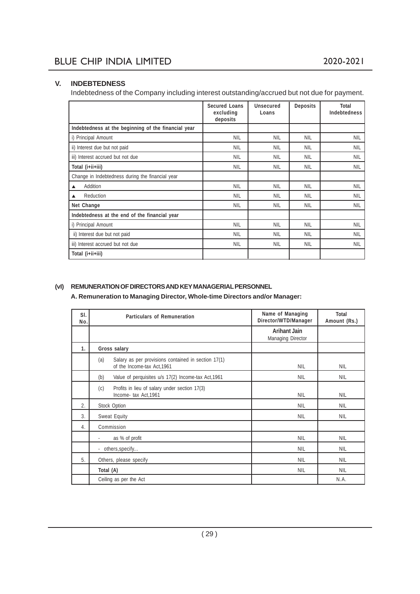#### **V. INDEBTEDNESS**

Indebtedness of the Company including interest outstanding/accrued but not due for payment.

|                                                     | <b>Secured Loans</b><br>excluding<br>deposits | Unsecured<br>Loans | <b>Deposits</b> | Total<br><b>Indebtedness</b> |
|-----------------------------------------------------|-----------------------------------------------|--------------------|-----------------|------------------------------|
| Indebtedness at the beginning of the financial year |                                               |                    |                 |                              |
| i) Principal Amount                                 | <b>NIL</b>                                    | NIL                | NIL             | <b>NIL</b>                   |
| ii) Interest due but not paid                       | NIL                                           | NIL                | <b>NIL</b>      | <b>NIL</b>                   |
| iii) Interest accrued but not due                   | NIL                                           | NIL                | NIL             | <b>NIL</b>                   |
| Total (i+ii+iii)                                    | NIL                                           | NIL                | NIL             | <b>NIL</b>                   |
| Change in Indebtedness during the financial year    |                                               |                    |                 |                              |
| Addition<br>▲                                       | NIL                                           | NIL                | <b>NIL</b>      | NIL                          |
| Reduction                                           | <b>NIL</b>                                    | NIL                | <b>NIL</b>      | <b>NIL</b>                   |
| Net Change                                          | NIL                                           | NIL                | NIL             | <b>NIL</b>                   |
| Indebtedness at the end of the financial year       |                                               |                    |                 |                              |
| i) Principal Amount                                 | NIL                                           | NIL                | <b>NIL</b>      | NIL                          |
| ii) Interest due but not paid                       | NIL                                           | NIL                | NIL             | <b>NIL</b>                   |
| iii) Interest accrued but not due                   | NIL                                           | <b>NIL</b>         | <b>NIL</b>      | <b>NIL</b>                   |
| Total (i+ii+iii)                                    |                                               |                    |                 |                              |

#### **(vI) REMUNERATION OF DIRECTORS AND KEY MANAGERIAL PERSONNEL**

**A. Remuneration to Managing Director, Whole-time Directors and/or Manager:**

| SI.<br>No.       | <b>Particulars of Remuneration</b>                                                        | Name of Managing<br>Director/WTD/Manager | Total<br>Amount (Rs.) |
|------------------|-------------------------------------------------------------------------------------------|------------------------------------------|-----------------------|
|                  |                                                                                           | <b>Arihant Jain</b><br>Managing Director |                       |
| 1.               | Gross salary                                                                              |                                          |                       |
|                  | Salary as per provisions contained in section 17(1)<br>(a)<br>of the Income-tax Act, 1961 | <b>NIL</b>                               | <b>NIL</b>            |
|                  | Value of perquisites u/s 17(2) Income-tax Act, 1961<br>(b)                                | <b>NIL</b>                               | <b>NIL</b>            |
|                  | (c)<br>Profits in lieu of salary under section 17(3)<br>Income- tax Act, 1961             | <b>NIL</b>                               | <b>NIL</b>            |
| $\overline{2}$ . | <b>Stock Option</b>                                                                       | <b>NIL</b>                               | NIL                   |
| 3.               | Sweat Equity                                                                              | <b>NIL</b>                               | NIL                   |
| 4.               | Commission                                                                                |                                          |                       |
|                  | as % of profit<br>$\blacksquare$                                                          | <b>NIL</b>                               | NIL                   |
|                  | - others, specify                                                                         | <b>NIL</b>                               | NIL                   |
| 5.               | Others, please specify                                                                    | <b>NIL</b>                               | NIL                   |
|                  | Total (A)                                                                                 | <b>NIL</b>                               | <b>NIL</b>            |
|                  | Ceiling as per the Act                                                                    |                                          | N.A.                  |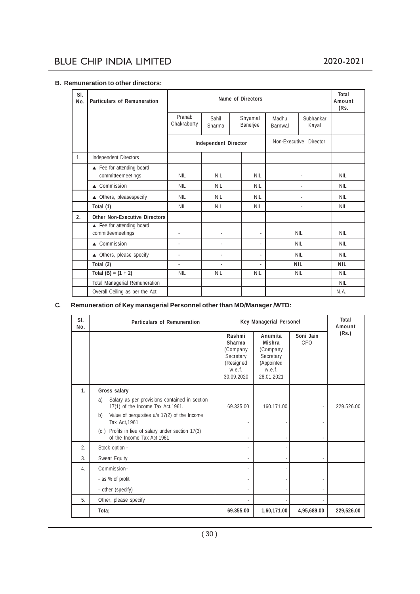#### **B. Remuneration to other directors:**

| SI.<br>No.     | Particulars of Remuneration                  |                       | <b>Name of Directors</b>    |  |                     |                  |                          | <b>Total</b><br>Amount<br>(Rs. |  |     |
|----------------|----------------------------------------------|-----------------------|-----------------------------|--|---------------------|------------------|--------------------------|--------------------------------|--|-----|
|                |                                              | Pranab<br>Chakraborty | Sahil<br>Sharma             |  | Shyamal<br>Banerjee | Madhu<br>Barnwal | Subhankar<br>Kayal       |                                |  |     |
|                |                                              |                       | <b>Independent Director</b> |  |                     |                  | Non-Executive Director   |                                |  |     |
| 1 <sub>1</sub> | Independent Directors                        |                       |                             |  |                     |                  |                          |                                |  |     |
|                | Fee for attending board<br>committeemeetings | <b>NIL</b>            | <b>NIL</b>                  |  | <b>NIL</b>          |                  | $\overline{\phantom{a}}$ | <b>NIL</b>                     |  |     |
|                | $\triangle$ Commission                       | <b>NIL</b>            | <b>NIL</b>                  |  | <b>NIL</b>          |                  |                          |                                |  | NIL |
|                | ▲ Others, pleasespecify                      | <b>NIL</b>            | <b>NIL</b>                  |  | <b>NIL</b>          |                  |                          | <b>NIL</b>                     |  |     |
|                | Total (1)                                    | NIL                   | NIL                         |  | <b>NIL</b>          |                  | $\overline{\phantom{a}}$ | <b>NIL</b>                     |  |     |
| 2.             | <b>Other Non-Executive Directors</b>         |                       |                             |  |                     |                  |                          |                                |  |     |
|                | Fee for attending board<br>committeemeetings |                       |                             |  | ٠                   |                  | NIL                      | NIL                            |  |     |
|                | $\triangle$ Commission                       | ÷,                    |                             |  | ä,                  |                  | NIL                      | <b>NIL</b>                     |  |     |
|                | ▲ Others, please specify                     | ä,                    |                             |  | ÷,                  |                  | <b>NIL</b>               | <b>NIL</b>                     |  |     |
|                | Total (2)                                    | Ĭ.                    |                             |  | ٠                   |                  | <b>NIL</b>               | <b>NIL</b>                     |  |     |
|                | Total $(B) = (1 + 2)$                        | <b>NIL</b>            | <b>NIL</b>                  |  | <b>NIL</b>          |                  | <b>NIL</b>               | <b>NIL</b>                     |  |     |
|                | <b>Total Managerial Remuneration</b>         |                       |                             |  |                     |                  |                          | <b>NIL</b>                     |  |     |
|                | Overall Ceiling as per the Act               |                       |                             |  |                     |                  |                          | N.A.                           |  |     |

#### **C. Remuneration of Key managerial Personnel other than MD/Manager /WTD:**

| SI.<br>No.       | Particulars of Remuneration                                                               |                                                                                | Key Managerial Personel                                                          |                          |            |  |
|------------------|-------------------------------------------------------------------------------------------|--------------------------------------------------------------------------------|----------------------------------------------------------------------------------|--------------------------|------------|--|
|                  |                                                                                           | Rashmi<br>Sharma<br>(Company<br>Secretary<br>(Resigned<br>w.e.f.<br>30.09.2020 | Anumita<br>Mishra<br>(Company<br>Secretary<br>(Appointed<br>w.e.f.<br>28.01.2021 | Soni Jain<br>CFO         | (Rs.)      |  |
| 1.               | Gross salary                                                                              |                                                                                |                                                                                  |                          |            |  |
|                  | Salary as per provisions contained in section<br>a)<br>17(1) of the Income Tax Act, 1961. | 69.335.00                                                                      | 160.171.00                                                                       |                          | 229.526.00 |  |
|                  | Value of perquisites u/s 17(2) of the Income<br>b)<br>Tax Act, 1961                       |                                                                                |                                                                                  |                          |            |  |
|                  | Profits in lieu of salary under section 17(3)<br>(c)<br>of the Income Tax Act, 1961       |                                                                                |                                                                                  |                          |            |  |
| 2.               | Stock option -                                                                            |                                                                                |                                                                                  |                          |            |  |
| 3.               | Sweat Equity                                                                              |                                                                                |                                                                                  |                          |            |  |
| $\overline{4}$ . | Commission-                                                                               |                                                                                |                                                                                  |                          |            |  |
|                  | - as % of profit                                                                          |                                                                                |                                                                                  |                          |            |  |
|                  | - other (specify)                                                                         |                                                                                |                                                                                  | $\overline{\phantom{a}}$ |            |  |
| 5.               | Other, please specify                                                                     |                                                                                |                                                                                  |                          |            |  |
|                  | Tota;                                                                                     | 69.355.00                                                                      | 1,60,171.00                                                                      | 4,95,689.00              | 229,526.00 |  |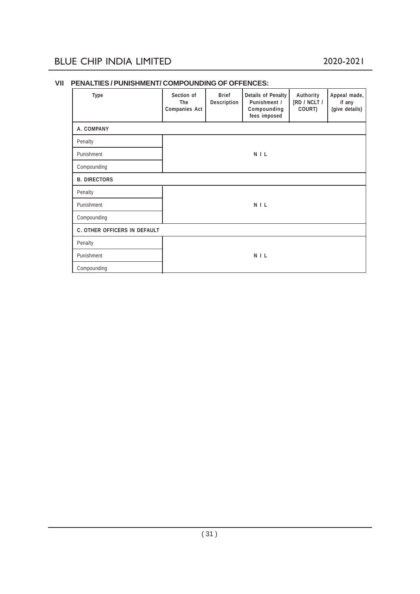#### **VII PENALTIES / PUNISHMENT/ COMPOUNDING OF OFFENCES:**

| <b>Type</b>                         | Section of<br><b>The</b><br><b>Companies Act</b> | <b>Brief</b><br>Description | <b>Details of Penalty</b><br>Punishment /<br>Compounding<br>fees imposed | Authority<br>[RD / NCLT /<br>COURT) | Appeal made,<br>if any<br>(give details) |
|-------------------------------------|--------------------------------------------------|-----------------------------|--------------------------------------------------------------------------|-------------------------------------|------------------------------------------|
| A. COMPANY                          |                                                  |                             |                                                                          |                                     |                                          |
| Penalty                             |                                                  |                             |                                                                          |                                     |                                          |
| Punishment                          |                                                  |                             | <b>NIL</b>                                                               |                                     |                                          |
| Compounding                         |                                                  |                             |                                                                          |                                     |                                          |
| <b>B. DIRECTORS</b>                 |                                                  |                             |                                                                          |                                     |                                          |
| Penalty                             |                                                  |                             |                                                                          |                                     |                                          |
| Punishment                          |                                                  |                             | <b>NIL</b>                                                               |                                     |                                          |
| Compounding                         |                                                  |                             |                                                                          |                                     |                                          |
| <b>C. OTHER OFFICERS IN DEFAULT</b> |                                                  |                             |                                                                          |                                     |                                          |
| Penalty                             |                                                  |                             |                                                                          |                                     |                                          |
| Punishment                          |                                                  |                             | <b>NIL</b>                                                               |                                     |                                          |
| Compounding                         |                                                  |                             |                                                                          |                                     |                                          |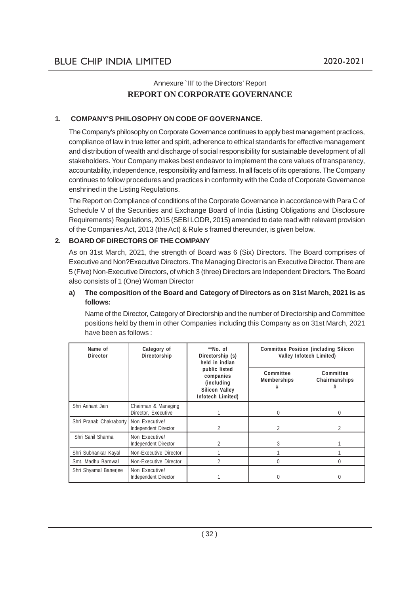## Annexure `III' to the Directors' Report **REPORT ON CORPORATE GOVERNANCE**

#### **1. COMPANY'S PHILOSOPHY ON CODE OF GOVERNANCE.**

The Company's philosophy on Corporate Governance continues to apply best management practices, compliance of law in true letter and spirit, adherence to ethical standards for effective management and distribution of wealth and discharge of social responsibility for sustainable development of all stakeholders. Your Company makes best endeavor to implement the core values of transparency, accountability, independence, responsibility and fairness. In all facets of its operations. The Company continues to follow procedures and practices in conformity with the Code of Corporate Governance enshrined in the Listing Regulations.

The Report on Compliance of conditions of the Corporate Governance in accordance with Para C of Schedule V of the Securities and Exchange Board of India (Listing Obligations and Disclosure Requirements) Regulations, 2015 (SEBI LODR, 2015) amended to date read with relevant provision of the Companies Act, 2013 (the Act) & Rule s framed thereunder, is given below.

#### **2. BOARD OF DIRECTORS OF THE COMPANY**

As on 31st March, 2021, the strength of Board was 6 (Six) Directors. The Board comprises of Executive and Non?Executive Directors. The Managing Director is an Executive Director. There are 5 (Five) Non-Executive Directors, of which 3 (three) Directors are Independent Directors. The Board also consists of 1 (One) Woman Director

#### **a) The composition of the Board and Category of Directors as on 31st March, 2021 is as follows:**

Name of the Director, Category of Directorship and the number of Directorship and Committee positions held by them in other Companies including this Company as on 31st March, 2021 have been as follows :

| Name of<br><b>Director</b> | Category of<br>Directorship                | **No. of<br>Directorship (s)<br>held in indian                                         | <b>Committee Position (including Silicon</b><br>Valley Infotech Limited) |                                 |  |
|----------------------------|--------------------------------------------|----------------------------------------------------------------------------------------|--------------------------------------------------------------------------|---------------------------------|--|
|                            |                                            | public listed<br>companies<br>(including<br><b>Silicon Valley</b><br>Infotech Limited) | Committee<br><b>Memberships</b>                                          | Committee<br>Chairmanships<br># |  |
| Shri Arihant Jain          | Chairman & Managing<br>Director, Executive |                                                                                        | 0                                                                        | $\Omega$                        |  |
| Shri Pranab Chakraborty    | Non Executive/<br>Independent Director     | 2                                                                                      | 2                                                                        | 2                               |  |
| Shri Sahil Sharma          | Non Executive/<br>Independent Director     | 2                                                                                      | 3                                                                        |                                 |  |
| Shri Subhankar Kayal       | Non-Executive Director                     |                                                                                        |                                                                          |                                 |  |
| Smt. Madhu Barnwal         | Non-Executive Director                     | 2                                                                                      | 0                                                                        | 0                               |  |
| Shri Shyamal Banerjee      | Non Executive/<br>Independent Director     |                                                                                        |                                                                          | 0                               |  |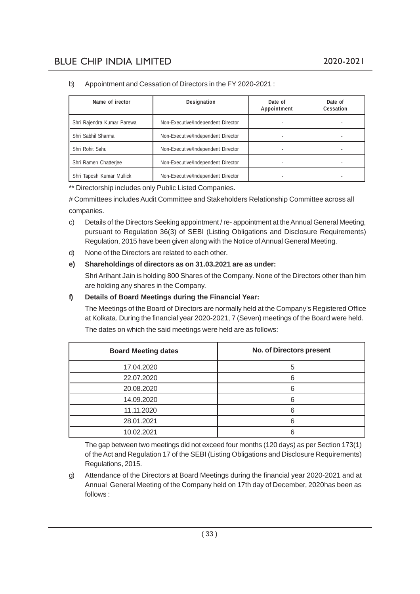| b) | Appointment and Cessation of Directors in the FY 2020-2021 : |
|----|--------------------------------------------------------------|
|    |                                                              |

| Name of irector            | Designation                        | Date of<br>Appointment | Date of<br>Cessation |
|----------------------------|------------------------------------|------------------------|----------------------|
| Shri Rajendra Kumar Parewa | Non-Executive/Independent Director |                        |                      |
| Shri Sabhil Sharma         | Non-Executive/Independent Director |                        |                      |
| Shri Rohit Sahu            | Non-Executive/Independent Director |                        |                      |
| Shri Ramen Chatterjee      | Non-Executive/Independent Director |                        |                      |
| Shri Taposh Kumar Mullick  | Non-Executive/Independent Director |                        |                      |

\*\* Directorship includes only Public Listed Companies.

# Committees includes Audit Committee and Stakeholders Relationship Committee across all companies.

- c) Details of the Directors Seeking appointment / re- appointment at the Annual General Meeting, pursuant to Regulation 36(3) of SEBI (Listing Obligations and Disclosure Requirements) Regulation, 2015 have been given along with the Notice of Annual General Meeting.
- d) None of the Directors are related to each other.

#### **e) Shareholdings of directors as on 31.03.2021 are as under:**

Shri Arihant Jain is holding 800 Shares of the Company. None of the Directors other than him are holding any shares in the Company.

#### **f) Details of Board Meetings during the Financial Year:**

The Meetings of the Board of Directors are normally held at the Company's Registered Office at Kolkata. During the financial year 2020-2021, 7 (Seven) meetings of the Board were held.

The dates on which the said meetings were held are as follows:

| <b>Board Meeting dates</b> | <b>No. of Directors present</b> |  |  |
|----------------------------|---------------------------------|--|--|
| 17.04.2020                 |                                 |  |  |
| 22.07.2020                 |                                 |  |  |
| 20.08.2020                 | หิ                              |  |  |
| 14.09.2020                 |                                 |  |  |
| 11.11.2020                 |                                 |  |  |
| 28.01.2021                 | հ                               |  |  |
| 10.02.2021                 | ิค                              |  |  |

The gap between two meetings did not exceed four months (120 days) as per Section 173(1) of the Act and Regulation 17 of the SEBI (Listing Obligations and Disclosure Requirements) Regulations, 2015.

g) Attendance of the Directors at Board Meetings during the financial year 2020-2021 and at Annual General Meeting of the Company held on 17th day of December, 2020has been as follows :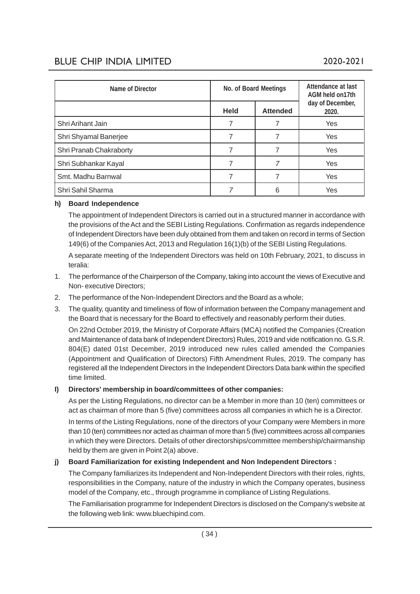| Name of Director        |             | No. of Board Meetings | Attendance at last<br>AGM held on 17th |
|-------------------------|-------------|-----------------------|----------------------------------------|
|                         | <b>Held</b> | <b>Attended</b>       | day of December,<br>2020.              |
| Shri Arihant Jain       | 7           |                       | Yes                                    |
| Shri Shyamal Banerjee   | 7           |                       | Yes                                    |
| Shri Pranab Chakraborty |             |                       | Yes                                    |
| Shri Subhankar Kayal    | 7           |                       | Yes                                    |
| Smt. Madhu Barnwal      |             |                       | Yes                                    |
| Shri Sahil Sharma       |             | 6                     | Yes                                    |

#### **h) Board Independence**

The appointment of Independent Directors is carried out in a structured manner in accordance with the provisions of the Act and the SEBI Listing Regulations. Confirmation as regards independence of Independent Directors have been duly obtained from them and taken on record in terms of Section 149(6) of the Companies Act, 2013 and Regulation 16(1)(b) of the SEBI Listing Regulations.

A separate meeting of the Independent Directors was held on 10th February, 2021, to discuss in teralia:

- 1. The performance of the Chairperson of the Company, taking into account the views of Executive and Non- executive Directors;
- 2. The performance of the Non-Independent Directors and the Board as a whole;
- 3. The quality, quantity and timeliness of flow of information between the Company management and the Board that is necessary for the Board to effectively and reasonably perform their duties.

On 22nd October 2019, the Ministry of Corporate Affairs (MCA) notified the Companies (Creation and Maintenance of data bank of Independent Directors) Rules, 2019 and vide notification no. G.S.R. 804(E) dated 01st December, 2019 introduced new rules called amended the Companies (Appointment and Qualification of Directors) Fifth Amendment Rules, 2019. The company has registered all the Independent Directors in the Independent Directors Data bank within the specified time limited.

#### **I) Directors' membership in board/committees of other companies:**

As per the Listing Regulations, no director can be a Member in more than 10 (ten) committees or act as chairman of more than 5 (five) committees across all companies in which he is a Director.

In terms of the Listing Regulations, none of the directors of your Company were Members in more than 10 (ten) committees nor acted as chairman of more than 5 (five) committees across all companies in which they were Directors. Details of other directorships/committee membership/chairmanship held by them are given in Point 2(a) above.

#### **j) Board Familiarization for existing Independent and Non Independent Directors :**

The Company familiarizes its Independent and Non-Independent Directors with their roles, rights, responsibilities in the Company, nature of the industry in which the Company operates, business model of the Company, etc., through programme in compliance of Listing Regulations.

The Familiarisation programme for Independent Directors is disclosed on the Company's website at the following web link: www.bluechipind.com.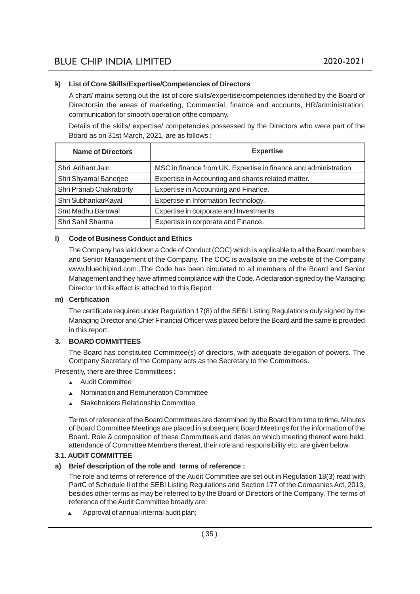#### **k) List of Core Skills/Expertise/Competencies of Directors**

A chart/ matrix setting out the list of core skills/expertise/competencies identified by the Board of Directorsin the areas of marketing, Commercial, finance and accounts, HR/administration, communication for smooth operation ofthe company.

Details of the skills/ expertise/ competencies possessed by the Directors who were part of the Board as on 31st March, 2021, are as follows :

| <b>Name of Directors</b> | <b>Expertise</b>                                                |
|--------------------------|-----------------------------------------------------------------|
| Shri Arihant Jain        | MSC in finance from UK. Expertise in finance and administration |
| Shri Shyamal Banerjee    | Expertise in Accounting and shares related matter.              |
| Shri Pranab Chakraborty  | Expertise in Accounting and Finance.                            |
| Shri SubhankarKayal      | Expertise in Information Technology.                            |
| Smt Madhu Barnwal        | Expertise in corporate and Investments.                         |
| Shri Sahil Sharma        | Expertise in corporate and Finance.                             |

#### **l) Code of Business Conduct and Ethics**

The Company has laid down a Code of Conduct (COC) which is applicable to all the Board members and Senior Management of the Company. The COC is available on the website of the Company www.bluechipind.com..The Code has been circulated to all members of the Board and Senior Management and they have affirmed compliance with the Code. A declaration signed by the Managing Director to this effect is attached to this Report.

#### **m) Certification**

The certificate required under Regulation 17(8) of the SEBI Listing Regulations duly signed by the Managing Director and Chief Financial Officer was placed before the Board and the same is provided in this report.

#### **3. BOARD COMMITTEES**

The Board has constituted Committee(s) of directors, with adequate delegation of powers. The Company Secretary of the Company acts as the Secretary to the Committees.

Presently, there are three Committees :

- **A** Audit Committee
- **A** Nomination and Remuneration Committee
- Stakeholders Relationship Committee

Terms of reference of the Board Committees are determined by the Board from time to time. Minutes of Board Committee Meetings are placed in subsequent Board Meetings for the information of the Board. Role & composition of these Committees and dates on which meeting thereof were held, attendance of Committee Members thereat, their role and responsibility etc. are given below.

#### **3.1. AUDIT COMMITTEE**

#### **a) Brief description of the role and terms of reference :**

The role and terms of reference of the Audit Committee are set out in Regulation 18(3) read with PartC of Schedule II of the SEBI Listing Regulations and Section 177 of the Companies Act, 2013, besides other terms as may be referred to by the Board of Directors of the Company. The terms of reference of the Audit Committee broadly are:

Approval of annual internal audit plan;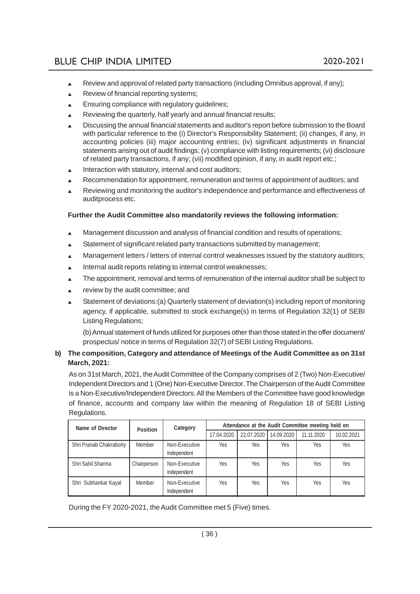- $\blacktriangle$  Review and approval of related party transactions (including Omnibus approval, if any);
- **A** Review of financial reporting systems;
- **Ensuring compliance with regulatory guidelines;**
- $\blacktriangle$  Reviewing the quarterly, half yearly and annual financial results;
- Discussing the annual financial statements and auditor's report before submission to the Board with particular reference to the (i) Director's Responsibility Statement; (ii) changes, if any, in accounting policies (iii) major accounting entries; (iv) significant adjustments in financial statements arising out of audit findings; (v) compliance with listing requirements; (vi) disclosure of related party transactions, if any; (vii) modified opinion, if any, in audit report etc.;
- **Interaction with statutory, internal and cost auditors;**
- Recommendation for appointment, remuneration and terms of appointment of auditors; and
- Reviewing and monitoring the auditor's independence and performance and effectiveness of auditprocess etc.

# **Further the Audit Committee also mandatorily reviews the following information:**

- Management discussion and analysis of financial condition and results of operations;
- Statement of significant related party transactions submitted by management;
- Management letters / letters of internal control weaknesses issued by the statutory auditors;
- Internal audit reports relating to internal control weaknesses;
- The appointment, removal and terms of remuneration of the internal auditor shall be subject to
- $\triangle$  review by the audit committee; and
- Statement of deviations:(a) Quarterly statement of deviation(s) including report of monitoring agency, if applicable, submitted to stock exchange(s) in terms of Regulation 32(1) of SEBI Listing Regulations;

(b) Annual statement of funds utilized for purposes other than those stated in the offer document/ prospectus/ notice in terms of Regulation 32(7) of SEBI Listing Regulations.

# **b) The composition, Category and attendance of Meetings of the Audit Committee as on 31st March, 2021:**

As on 31st March, 2021, the Audit Committee of the Company comprises of 2 (Two) Non-Executive/ Independent Directors and 1 (One) Non-Executive Director. The Chairperson of the Audit Committee is a Non-Executive/Independent Directors. All the Members of the Committee have good knowledge of finance, accounts and company law within the meaning of Regulation 18 of SEBI Listing Regulations.

| Name of Director        | <b>Position</b> | Category                     | Attendance at the Audit Committee meeting held on |            |            |            |            |
|-------------------------|-----------------|------------------------------|---------------------------------------------------|------------|------------|------------|------------|
|                         |                 |                              | 17.04.2020                                        | 22.07.2020 | 14.09.2020 | 11.11.2020 | 10.02.2021 |
| Shri Pranab Chakraborty | Member          | Non-Executive<br>Independent | Yes                                               | Yes        | Yes        | Yes        | <b>Yes</b> |
| Shri Sahil Sharma       | Chairperson     | Non-Executive<br>Independent | Yes                                               | Yes        | Yes        | Yes        | Yes        |
| Shri Subhankar Kayal    | Member          | Non-Executive<br>Independent | Yes                                               | Yes        | Yes        | Yes        | Yes        |

During the FY 2020-2021, the Audit Committee met 5 (Five) times.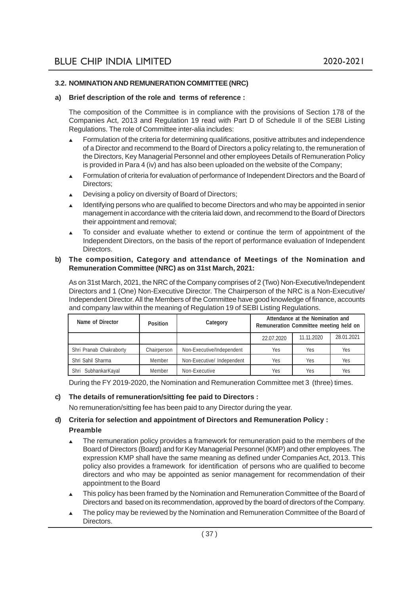#### **3.2. NOMINATION AND REMUNERATION COMMITTEE (NRC)**

#### **a) Brief description of the role and terms of reference :**

The composition of the Committee is in compliance with the provisions of Section 178 of the Companies Act, 2013 and Regulation 19 read with Part D of Schedule II of the SEBI Listing Regulations. The role of Committee inter-alia includes:

- Formulation of the criteria for determining qualifications, positive attributes and independence of a Director and recommend to the Board of Directors a policy relating to, the remuneration of the Directors, Key Managerial Personnel and other employees Details of Remuneration Policy is provided in Para 4 (iv) and has also been uploaded on the website of the Company;
- Formulation of criteria for evaluation of performance of Independent Directors and the Board of Directors;
- Devising a policy on diversity of Board of Directors;
- Identifying persons who are qualified to become Directors and who may be appointed in senior management in accordance with the criteria laid down, and recommend to the Board of Directors their appointment and removal;
- To consider and evaluate whether to extend or continue the term of appointment of the Independent Directors, on the basis of the report of performance evaluation of Independent Directors.

#### **b) The composition, Category and attendance of Meetings of the Nomination and Remuneration Committee (NRC) as on 31st March, 2021:**

As on 31st March, 2021, the NRC of the Company comprises of 2 (Two) Non-Executive/Independent Directors and 1 (One) Non-Executive Director. The Chairperson of the NRC is a Non-Executive/ Independent Director. All the Members of the Committee have good knowledge of finance, accounts and company law within the meaning of Regulation 19 of SEBI Listing Regulations.

| Name of Director        | <b>Position</b> | Category                  | Attendance at the Nomination and<br>Remuneration Committee meeting held on |            |            |
|-------------------------|-----------------|---------------------------|----------------------------------------------------------------------------|------------|------------|
|                         |                 |                           | 22.07.2020                                                                 | 11.11.2020 | 28.01.2021 |
| Shri Pranab Chakraborty | Chairperson     | Non-Executive/Independent | Yes                                                                        | Yes        | Yes        |
| Shri Sahil Sharma       | Member          | Non-Executive/Independent | Yes                                                                        | Yes        | Yes        |
| Shri SubhankarKayal     | Member          | Non-Executive             | Yes                                                                        | Yes        | Yes        |

During the FY 2019-2020, the Nomination and Remuneration Committee met 3 (three) times.

#### **c) The details of remuneration/sitting fee paid to Directors :**

No remuneration/sitting fee has been paid to any Director during the year.

#### **d) Criteria for selection and appointment of Directors and Remuneration Policy : Preamble**

- The remuneration policy provides a framework for remuneration paid to the members of the Board of Directors (Board) and for Key Managerial Personnel (KMP) and other employees. The expression KMP shall have the same meaning as defined under Companies Act, 2013. This policy also provides a framework for identification of persons who are qualified to become directors and who may be appointed as senior management for recommendation of their appointment to the Board
- This policy has been framed by the Nomination and Remuneration Committee of the Board of Directors and based on its recommendation, approved by the board of directors of the Company.
- The policy may be reviewed by the Nomination and Remuneration Committee of the Board of Directors.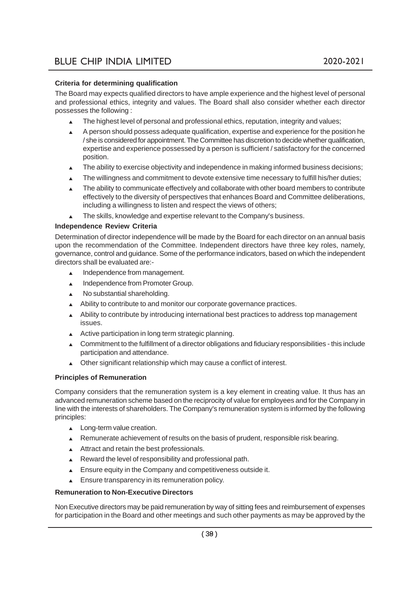#### **Criteria for determining qualification**

The Board may expects qualified directors to have ample experience and the highest level of personal and professional ethics, integrity and values. The Board shall also consider whether each director possesses the following :

- The highest level of personal and professional ethics, reputation, integrity and values;
- $\blacktriangle$  A person should possess adequate qualification, expertise and experience for the position he / she is considered for appointment. The Committee has discretion to decide whether qualification, expertise and experience possessed by a person is sufficient / satisfactory for the concerned position.
- **The ability to exercise objectivity and independence in making informed business decisions;**
- The willingness and commitment to devote extensive time necessary to fulfill his/her duties;
- The ability to communicate effectively and collaborate with other board members to contribute effectively to the diversity of perspectives that enhances Board and Committee deliberations, including a willingness to listen and respect the views of others;
- The skills, knowledge and expertise relevant to the Company's business.

#### **Independence Review Criteria**

Determination of director independence will be made by the Board for each director on an annual basis upon the recommendation of the Committee. Independent directors have three key roles, namely, governance, control and guidance. Some of the performance indicators, based on which the independent directors shall be evaluated are:-

- **A** Independence from management.
- Independence from Promoter Group.
- No substantial shareholding.
- Ability to contribute to and monitor our corporate governance practices.
- Ability to contribute by introducing international best practices to address top management issues.
- ▲ Active participation in long term strategic planning.
- Commitment to the fulfillment of a director obligations and fiduciary responsibilities this include participation and attendance.
- Other significant relationship which may cause a conflict of interest.

#### **Principles of Remuneration**

Company considers that the remuneration system is a key element in creating value. It thus has an advanced remuneration scheme based on the reciprocity of value for employees and for the Company in line with the interests of shareholders. The Company's remuneration system is informed by the following principles:

- ▲ Long-term value creation.
- $\blacktriangle$  Remunerate achievement of results on the basis of prudent, responsible risk bearing.
- Attract and retain the best professionals.
- Reward the level of responsibility and professional path.
- **Ensure equity in the Company and competitiveness outside it.**
- **Ensure transparency in its remuneration policy.**

#### **Remuneration to Non-Executive Directors**

Non Executive directors may be paid remuneration by way of sitting fees and reimbursement of expenses for participation in the Board and other meetings and such other payments as may be approved by the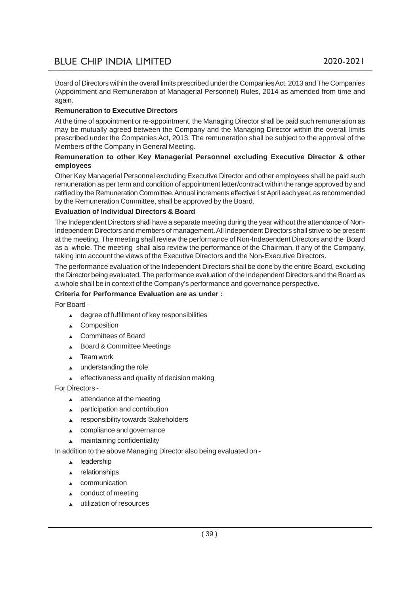Board of Directors within the overall limits prescribed under the Companies Act, 2013 and The Companies (Appointment and Remuneration of Managerial Personnel) Rules, 2014 as amended from time and again.

#### **Remuneration to Executive Directors**

At the time of appointment or re-appointment, the Managing Director shall be paid such remuneration as may be mutually agreed between the Company and the Managing Director within the overall limits prescribed under the Companies Act, 2013. The remuneration shall be subject to the approval of the Members of the Company in General Meeting.

#### **Remuneration to other Key Managerial Personnel excluding Executive Director & other employees**

Other Key Managerial Personnel excluding Executive Director and other employees shall be paid such remuneration as per term and condition of appointment letter/contract within the range approved by and ratified by the Remuneration Committee. Annual increments effective 1st April each year, as recommended by the Remuneration Committee, shall be approved by the Board.

#### **Evaluation of Individual Directors & Board**

The Independent Directors shall have a separate meeting during the year without the attendance of Non-Independent Directors and members of management. All Independent Directors shall strive to be present at the meeting. The meeting shall review the performance of Non-Independent Directors and the Board as a whole. The meeting shall also review the performance of the Chairman, if any of the Company, taking into account the views of the Executive Directors and the Non-Executive Directors.

The performance evaluation of the Independent Directors shall be done by the entire Board, excluding the Director being evaluated. The performance evaluation of the Independent Directors and the Board as a whole shall be in context of the Company's performance and governance perspective.

#### **Criteria for Performance Evaluation are as under :**

For Board -

- $\triangle$  degree of fulfillment of key responsibilities
- ▲ Composition
- ▲ Committees of Board
- ▲ Board & Committee Meetings
- ▲ Team work
- $\triangle$  understanding the role
- $\triangle$  effectiveness and quality of decision making

For Directors -

- $\triangle$  attendance at the meeting
- ▲ participation and contribution
- **A** responsibility towards Stakeholders
- **4** compliance and governance
- maintaining confidentiality

In addition to the above Managing Director also being evaluated on -

- **A** leadership
- **A** relationships
- **4** communication
- conduct of meeting
- utilization of resources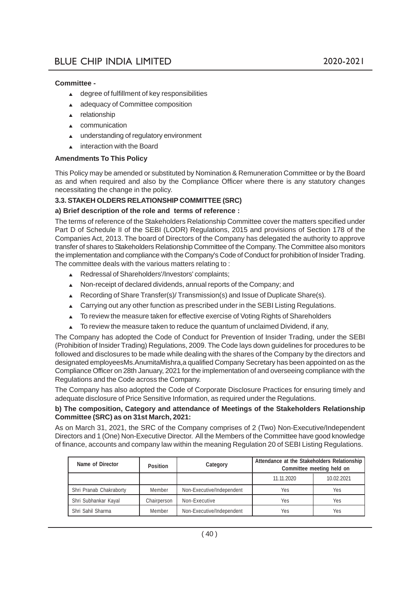#### **Committee -**

- $\triangle$  degree of fulfillment of key responsibilities
- ▲ adequacy of Committee composition
- **A** relationship
- communication
- **4** understanding of regulatory environment
- **A** interaction with the Board

#### **Amendments To This Policy**

This Policy may be amended or substituted by Nomination & Remuneration Committee or by the Board as and when required and also by the Compliance Officer where there is any statutory changes necessitating the change in the policy.

#### **3.3. STAKEH OLDERS RELATIONSHIP COMMITTEE (SRC)**

#### **a) Brief description of the role and terms of reference :**

The terms of reference of the Stakeholders Relationship Committee cover the matters specified under Part D of Schedule II of the SEBI (LODR) Regulations, 2015 and provisions of Section 178 of the Companies Act, 2013. The board of Directors of the Company has delegated the authority to approve transfer of shares to Stakeholders Relationship Committee of the Company. The Committee also monitors the implementation and compliance with the Company's Code of Conduct for prohibition of Insider Trading. The committee deals with the various matters relating to :

- ▲ Redressal of Shareholders'/Investors' complaints;
- Non-receipt of declared dividends, annual reports of the Company; and
- Recording of Share Transfer(s)/ Transmission(s) and Issue of Duplicate Share(s).
- Carrying out any other function as prescribed under in the SEBI Listing Regulations.
- To review the measure taken for effective exercise of Voting Rights of Shareholders
- To review the measure taken to reduce the quantum of unclaimed Dividend, if any,

The Company has adopted the Code of Conduct for Prevention of Insider Trading, under the SEBI (Prohibition of Insider Trading) Regulations, 2009. The Code lays down guidelines for procedures to be followed and disclosures to be made while dealing with the shares of the Company by the directors and designated employeesMs.AnumitaMishra,a qualified Company Secretary has been appointed on as the Compliance Officer on 28th January, 2021 for the implementation of and overseeing compliance with the Regulations and the Code across the Company.

The Company has also adopted the Code of Corporate Disclosure Practices for ensuring timely and adequate disclosure of Price Sensitive Information, as required under the Regulations.

#### **b) The composition, Category and attendance of Meetings of the Stakeholders Relationship Committee (SRC) as on 31st March, 2021:**

As on March 31, 2021, the SRC of the Company comprises of 2 (Two) Non-Executive/Independent Directors and 1 (One) Non-Executive Director. All the Members of the Committee have good knowledge of finance, accounts and company law within the meaning Regulation 20 of SEBI Listing Regulations.

| Name of Director        | Position    | Category                  | Attendance at the Stakeholders Relationship<br>Committee meeting held on |            |
|-------------------------|-------------|---------------------------|--------------------------------------------------------------------------|------------|
|                         |             |                           | 11.11.2020                                                               | 10.02.2021 |
| Shri Pranab Chakraborty | Member      | Non-Executive/Independent | Yes                                                                      | Yes        |
| Shri Subhankar Kayal    | Chairperson | Non-Executive             | Yes                                                                      | Yes        |
| Shri Sahil Sharma       | Member      | Non-Executive/Independent | Yes                                                                      | Yes        |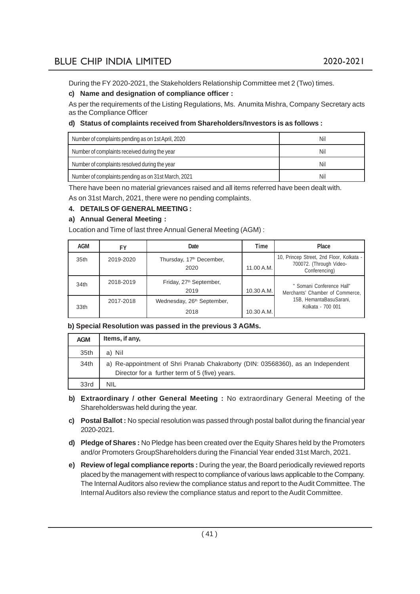During the FY 2020-2021, the Stakeholders Relationship Committee met 2 (Two) times.

# **c) Name and designation of compliance officer :**

As per the requirements of the Listing Regulations, Ms. Anumita Mishra, Company Secretary acts as the Compliance Officer

# **d) Status of complaints received from Shareholders/Investors is as follows :**

| Number of complaints pending as on 1st April, 2020  | Nil |
|-----------------------------------------------------|-----|
| Number of complaints received during the year       | Nil |
| Number of complaints resolved during the year       | Nil |
| Number of complaints pending as on 31st March, 2021 | Nil |

There have been no material grievances raised and all items referred have been dealt with.

As on 31st March, 2021, there were no pending complaints.

# **4. DETAILS OF GENERAL MEETING :**

# **a) Annual General Meeting :**

Location and Time of last three Annual General Meeting (AGM) :

| AGM              | FΥ        | Date                                           | Time       | Place                                                                                |
|------------------|-----------|------------------------------------------------|------------|--------------------------------------------------------------------------------------|
| 35 <sub>th</sub> | 2019-2020 | Thursday, 17 <sup>th</sup> December,<br>2020   | 11.00 A.M. | 10, Princep Street, 2nd Floor, Kolkata -<br>700072. (Through Video-<br>Conferencing) |
| 34th             | 2018-2019 | Friday, 27 <sup>th</sup> September,<br>2019    | 10.30 A.M. | " Somani Conference Hall"<br>Merchants' Chamber of Commerce,                         |
| 33th             | 2017-2018 | Wednesday, 26 <sup>th</sup> September,<br>2018 | 10.30 A.M. |                                                                                      |

**b) Special Resolution was passed in the previous 3 AGMs.**

| <b>AGM</b> | Items, if any,                                                                                                                    |
|------------|-----------------------------------------------------------------------------------------------------------------------------------|
| 35th       | a) Nil                                                                                                                            |
| 34th       | a) Re-appointment of Shri Pranab Chakraborty (DIN: 03568360), as an Independent<br>Director for a further term of 5 (five) years. |
| 33rd       | <b>NIL</b>                                                                                                                        |

- **b) Extraordinary / other General Meeting :** No extraordinary General Meeting of the Shareholderswas held during the year.
- **c) Postal Ballot :** No special resolution was passed through postal ballot during the financial year 2020-2021.
- **d) Pledge of Shares :** No Pledge has been created over the Equity Shares held by the Promoters and/or Promoters GroupShareholders during the Financial Year ended 31st March, 2021.
- **e) Review of legal compliance reports :** During the year, the Board periodically reviewed reports placed by the management with respect to compliance of various laws applicable to the Company. The Internal Auditors also review the compliance status and report to the Audit Committee. The Internal Auditors also review the compliance status and report to the Audit Committee.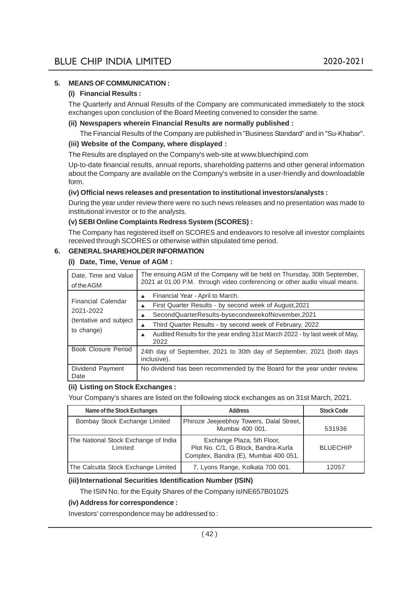## **5. MEANS OF COMMUNICATION :**

#### **(i) Financial Results :**

The Quarterly and Annual Results of the Company are communicated immediately to the stock exchanges upon conclusion of the Board Meeting convened to consider the same.

#### **(ii) Newspapers wherein Financial Results are normally published :**

The Financial Results of the Company are published in "Business Standard" and in "Su-Khabar".

#### **(iii) Website of the Company, where displayed :**

The Results are displayed on the Company's web-site at www.bluechipind.com

Up-to-date financial results, annual reports, shareholding patterns and other general information about the Company are available on the Company's website in a user-friendly and downloadable form.

#### **(iv) Official news releases and presentation to institutional investors/analysts :**

During the year under review there were no such news releases and no presentation was made to institutional investor or to the analysts.

#### **(v) SEBI Online Complaints Redress System (SCORES) :**

The Company has registered itself on SCORES and endeavors to resolve all investor complaints received through SCORES or otherwise within stipulated time period.

#### **6. GENERAL SHAREHOLDER INFORMATION**

#### **(i) Date, Time, Venue of AGM :**

| Date, Time and Value<br>of the AGM | The ensuing AGM of the Company will be held on Thursday, 30th September,<br>2021 at 01.00 P.M. through video conferencing or other audio visual means. |
|------------------------------------|--------------------------------------------------------------------------------------------------------------------------------------------------------|
|                                    | Financial Year - April to March.                                                                                                                       |
| <b>Financial Calendar</b>          | First Quarter Results - by second week of August, 2021                                                                                                 |
| 2021-2022                          | SecondQuarterResults-bysecondweekofNovember,2021                                                                                                       |
| (tentative and subject             | Third Quarter Results - by second week of February, 2022                                                                                               |
| to change)                         | Audited Results for the year ending 31st March 2022 - by last week of May,<br>2022                                                                     |
| Book Closure Period                | 24th day of September, 2021 to 30th day of September, 2021 (both days<br>inclusive).                                                                   |
| Dividend Payment<br>Date           | No dividend has been recommended by the Board for the year under review.                                                                               |

#### **(ii) Listing on Stock Exchanges :**

Your Company's shares are listed on the following stock exchanges as on 31st March, 2021.

| Name of the Stock Exchanges                     | <b>Address</b>                                                                                            | <b>Stock Code</b> |
|-------------------------------------------------|-----------------------------------------------------------------------------------------------------------|-------------------|
| Bombay Stock Exchange Limited                   | Phiroze Jeejeebhoy Towers, Dalal Street,<br>Mumbai 400 001.                                               | 531936            |
| The National Stock Exchange of India<br>Limited | Exchange Plaza, 5th Floor,<br>Plot No. C/1, G Block, Bandra-Kurla<br>Complex, Bandra (E), Mumbai 400 051. | <b>BLUECHIP</b>   |
| The Calcutta Stock Exchange Limited             | 7, Lyons Range, Kolkata 700 001.                                                                          | 12057             |

#### **(iii)International Securities Identification Number (ISIN)**

The ISIN No. for the Equity Shares of the Company isINE657B01025

#### **(iv) Address for correspondence :**

Investors' correspondence may be addressed to :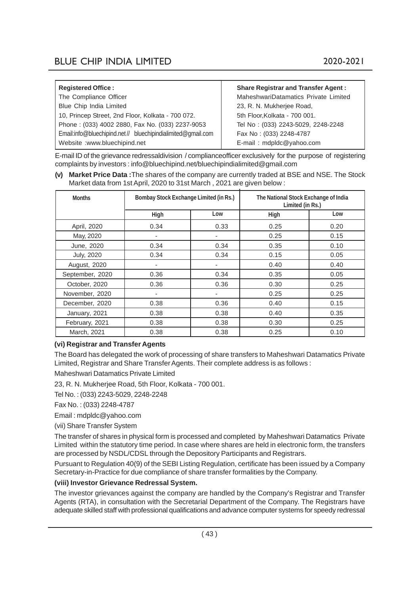| <b>Registered Office:</b>                                    | <b>Share Registrar and Transfer Agent:</b> |
|--------------------------------------------------------------|--------------------------------------------|
| The Compliance Officer                                       | MaheshwariDatamatics Private Limited       |
| Blue Chip India Limited                                      | 23, R. N. Mukherjee Road,                  |
| 10, Princep Street, 2nd Floor, Kolkata - 700 072.            | 5th Floor, Kolkata - 700 001.              |
| Phone: (033) 4002 2880, Fax No. (033) 2237-9053              | Tel No: (033) 2243-5029, 2248-2248         |
| Email:info@bluechipind.net // bluechipindialimited@gmail.com | Fax No: (033) 2248-4787                    |
| Website :www.bluechipind.net                                 | E-mail: mdpldc@yahoo.com                   |

E-mail ID of the grievance redressaldivision / complianceofficer exclusively for the purpose of registering complaints by investors : info@bluechipind.net/bluechipindialimited@gmail.com

#### **(v) Market Price Data :**The shares of the company are currently traded at BSE and NSE. The Stock Market data from 1st April, 2020 to 31st March , 2021 are given below :

| <b>Months</b>   | Bombay Stock Exchange Limited (in Rs.) |      | The National Stock Exchange of India<br>Limited (in Rs.) |      |
|-----------------|----------------------------------------|------|----------------------------------------------------------|------|
|                 | High                                   | Low  | High                                                     | Low  |
| April, 2020     | 0.34                                   | 0.33 | 0.25                                                     | 0.20 |
| May, 2020       | ٠                                      | ۰    | 0.25                                                     | 0.15 |
| June, 2020      | 0.34                                   | 0.34 | 0.35                                                     | 0.10 |
| July, 2020      | 0.34                                   | 0.34 | 0.15                                                     | 0.05 |
| August, 2020    | ٠                                      |      | 0.40                                                     | 0.40 |
| September, 2020 | 0.36                                   | 0.34 | 0.35                                                     | 0.05 |
| October, 2020   | 0.36                                   | 0.36 | 0.30                                                     | 0.25 |
| November, 2020  | ٠                                      |      | 0.25                                                     | 0.25 |
| December, 2020  | 0.38                                   | 0.36 | 0.40                                                     | 0.15 |
| January, 2021   | 0.38                                   | 0.38 | 0.40                                                     | 0.35 |
| February, 2021  | 0.38                                   | 0.38 | 0.30                                                     | 0.25 |
| March, 2021     | 0.38                                   | 0.38 | 0.25                                                     | 0.10 |

#### **(vi) Registrar and Transfer Agents**

The Board has delegated the work of processing of share transfers to Maheshwari Datamatics Private Limited, Registrar and Share Transfer Agents. Their complete address is as follows :

Maheshwari Datamatics Private Limited

23, R. N. Mukherjee Road, 5th Floor, Kolkata - 700 001.

Tel No. : (033) 2243-5029, 2248-2248

Fax No. : (033) 2248-4787

Email : mdpldc@yahoo.com

(vii) Share Transfer System

The transfer of shares in physical form is processed and completed by Maheshwari Datamatics Private Limited within the statutory time period. In case where shares are held in electronic form, the transfers are processed by NSDL/CDSL through the Depository Participants and Registrars.

Pursuant to Regulation 40(9) of the SEBI Listing Regulation, certificate has been issued by a Company Secretary-in-Practice for due compliance of share transfer formalities by the Company.

#### **(viii) Investor Grievance Redressal System.**

The investor grievances against the company are handled by the Company's Registrar and Transfer Agents (RTA), in consultation with the Secretarial Department of the Company. The Registrars have adequate skilled staff with professional qualifications and advance computer systems for speedy redressal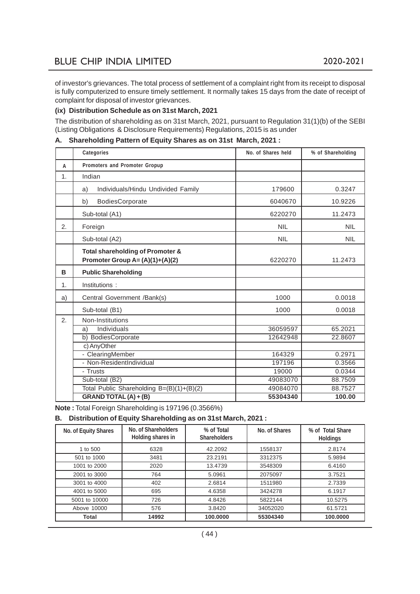of investor's grievances. The total process of settlement of a complaint right from its receipt to disposal is fully computerized to ensure timely settlement. It normally takes 15 days from the date of receipt of complaint for disposal of investor grievances.

#### **(ix) Distribution Schedule as on 31st March, 2021**

The distribution of shareholding as on 31st March, 2021, pursuant to Regulation 31(1)(b) of the SEBI (Listing Obligations & Disclosure Requirements) Regulations, 2015 is as under

**A. Shareholding Pattern of Equity Shares as on 31st March, 2021 :**

|    | Categories                                                          | No. of Shares held | % of Shareholding |
|----|---------------------------------------------------------------------|--------------------|-------------------|
| A  | Promoters and Promoter Gropup                                       |                    |                   |
| 1. | Indian                                                              |                    |                   |
|    | Individuals/Hindu Undivided Family<br>a)                            | 179600             | 0.3247            |
|    | BodiesCorporate<br>b)                                               | 6040670            | 10.9226           |
|    | Sub-total (A1)                                                      | 6220270            | 11.2473           |
| 2. | Foreign                                                             | <b>NIL</b>         | <b>NIL</b>        |
|    | Sub-total (A2)                                                      | <b>NIL</b>         | <b>NIL</b>        |
|    | Total shareholding of Promoter &<br>Promoter Group A= (A)(1)+(A)(2) | 6220270            | 11.2473           |
| B  | <b>Public Shareholding</b>                                          |                    |                   |
| 1. | Institutions:                                                       |                    |                   |
| a) | Central Government /Bank(s)                                         | 1000               | 0.0018            |
|    | Sub-total (B1)                                                      | 1000               | 0.0018            |
| 2. | Non-Institutions                                                    |                    |                   |
|    | Individuals<br>a)                                                   | 36059597           | 65.2021           |
|    | b) BodiesCorporate                                                  | 12642948           | 22.8607           |
|    | c) AnyOther                                                         |                    |                   |
|    | - ClearingMember                                                    | 164329             | 0.2971            |
|    | - Non-ResidentIndividual                                            | 197196             | 0.3566            |
|    | - Trusts                                                            | 19000              | 0.0344            |
|    | Sub-total (B2)                                                      | 49083070           | 88.7509           |
|    | Total Public Shareholding B=(B)(1)+(B)(2)                           | 49084070           | 88.7527           |
|    | <b>GRAND TOTAL (A) + (B)</b>                                        | 55304340           | 100.00            |

**Note :** Total Foreign Shareholding is 197196 (0.3566%)

**B. Distribution of Equity Shareholding as on 31st March, 2021 :**

| No. of Equity Shares | No. of Shareholders<br>Holding shares in | % of Total<br><b>Shareholders</b> | No. of Shares | % of Total Share<br><b>Holdings</b> |
|----------------------|------------------------------------------|-----------------------------------|---------------|-------------------------------------|
| 1 to 500             | 6328                                     | 42.2092                           | 1558137       | 2.8174                              |
| 501 to 1000          | 3481                                     | 23.2191                           | 3312375       | 5.9894                              |
| 1001 to 2000         | 2020                                     | 13.4739                           | 3548309       | 6.4160                              |
| 2001 to 3000         | 764                                      | 5.0961                            | 2075097       | 3.7521                              |
| 3001 to 4000         | 402                                      | 2.6814                            | 1511980       | 2.7339                              |
| 4001 to 5000         | 695                                      | 4.6358                            | 3424278       | 6.1917                              |
| 5001 to 10000        | 726                                      | 4.8426                            | 5822144       | 10.5275                             |
| Above 10000          | 576                                      | 3.8420                            | 34052020      | 61.5721                             |
| <b>Total</b>         | 14992                                    | 100.0000                          | 55304340      | 100.0000                            |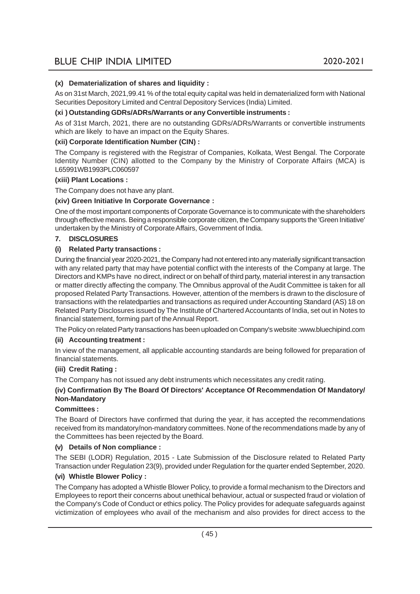# **(x) Dematerialization of shares and liquidity :**

As on 31st March, 2021,99.41 % of the total equity capital was held in dematerialized form with National Securities Depository Limited and Central Depository Services (India) Limited.

## **(xi ) Outstanding GDRs/ADRs/Warrants or any Convertible instruments :**

As of 31st March, 2021, there are no outstanding GDRs/ADRs/Warrants or convertible instruments which are likely to have an impact on the Equity Shares.

## **(xii) Corporate Identification Number (CIN) :**

The Company is registered with the Registrar of Companies, Kolkata, West Bengal. The Corporate Identity Number (CIN) allotted to the Company by the Ministry of Corporate Affairs (MCA) is L65991WB1993PLC060597

#### **(xiii) Plant Locations :**

The Company does not have any plant.

# **(xiv) Green Initiative In Corporate Governance :**

One of the most important components of Corporate Governance is to communicate with the shareholders through effective means. Being a responsible corporate citizen, the Company supports the 'Green Initiative' undertaken by the Ministry of Corporate Affairs, Government of India.

# **7. DISCLOSURES**

# **(i) Related Party transactions :**

During the financial year 2020-2021, the Company had not entered into any materially significant transaction with any related party that may have potential conflict with the interests of the Company at large. The Directors and KMPs have no direct, indirect or on behalf of third party, material interest in any transaction or matter directly affecting the company. The Omnibus approval of the Audit Committee is taken for all proposed Related Party Transactions. However, attention of the members is drawn to the disclosure of transactions with the relatedparties and transactions as required under Accounting Standard (AS) 18 on Related Party Disclosures issued by The Institute of Chartered Accountants of India, set out in Notes to financial statement, forming part of the Annual Report.

The Policy on related Party transactions has been uploaded on Company's website :www.bluechipind.com

# **(ii) Accounting treatment :**

In view of the management, all applicable accounting standards are being followed for preparation of financial statements.

#### **(iii) Credit Rating :**

The Company has not issued any debt instruments which necessitates any credit rating.

# **(iv) Confirmation By The Board Of Directors' Acceptance Of Recommendation Of Mandatory/ Non-Mandatory**

#### **Committees :**

The Board of Directors have confirmed that during the year, it has accepted the recommendations received from its mandatory/non-mandatory committees. None of the recommendations made by any of the Committees has been rejected by the Board.

#### **(v) Details of Non compliance :**

The SEBI (LODR) Regulation, 2015 - Late Submission of the Disclosure related to Related Party Transaction under Regulation 23(9), provided under Regulation for the quarter ended September, 2020.

#### **(vi) Whistle Blower Policy :**

The Company has adopted a Whistle Blower Policy, to provide a formal mechanism to the Directors and Employees to report their concerns about unethical behaviour, actual or suspected fraud or violation of the Company's Code of Conduct or ethics policy. The Policy provides for adequate safeguards against victimization of employees who avail of the mechanism and also provides for direct access to the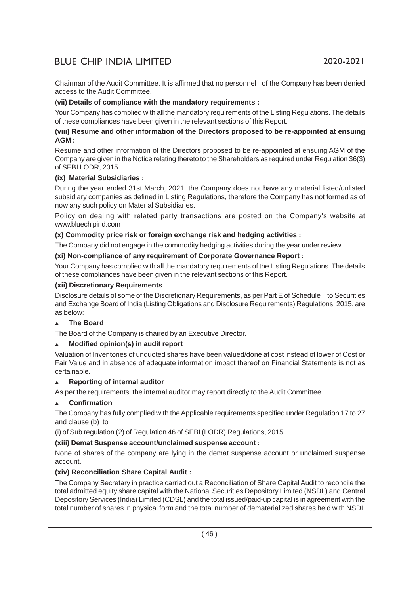Chairman of the Audit Committee. It is affirmed that no personnel of the Company has been denied access to the Audit Committee.

#### (**vii) Details of compliance with the mandatory requirements :**

Your Company has complied with all the mandatory requirements of the Listing Regulations. The details of these compliances have been given in the relevant sections of this Report.

#### **(viii) Resume and other information of the Directors proposed to be re-appointed at ensuing AGM :**

Resume and other information of the Directors proposed to be re-appointed at ensuing AGM of the Company are given in the Notice relating thereto to the Shareholders as required under Regulation 36(3) of SEBI LODR, 2015.

#### **(ix) Material Subsidiaries :**

During the year ended 31st March, 2021, the Company does not have any material listed/unlisted subsidiary companies as defined in Listing Regulations, therefore the Company has not formed as of now any such policy on Material Subsidiaries.

Policy on dealing with related party transactions are posted on the Company's website at www.bluechipind.com

#### **(x) Commodity price risk or foreign exchange risk and hedging activities :**

The Company did not engage in the commodity hedging activities during the year under review.

#### **(xi) Non-compliance of any requirement of Corporate Governance Report :**

Your Company has complied with all the mandatory requirements of the Listing Regulations. The details of these compliances have been given in the relevant sections of this Report.

#### **(xii) Discretionary Requirements**

Disclosure details of some of the Discretionary Requirements, as per Part E of Schedule II to Securities and Exchange Board of India (Listing Obligations and Disclosure Requirements) Regulations, 2015, are as below:

#### • **The Board**

The Board of the Company is chaired by an Executive Director.

#### • **Modified opinion(s) in audit report**

Valuation of Inventories of unquoted shares have been valued/done at cost instead of lower of Cost or Fair Value and in absence of adequate information impact thereof on Financial Statements is not as certainable.

#### • **Reporting of internal auditor**

As per the requirements, the internal auditor may report directly to the Audit Committee.

#### • **Confirmation**

The Company has fully complied with the Applicable requirements specified under Regulation 17 to 27 and clause (b) to

(i) of Sub regulation (2) of Regulation 46 of SEBI (LODR) Regulations, 2015.

#### **(xiii) Demat Suspense account/unclaimed suspense account :**

None of shares of the company are lying in the demat suspense account or unclaimed suspense account.

#### **(xiv) Reconciliation Share Capital Audit :**

The Company Secretary in practice carried out a Reconciliation of Share Capital Audit to reconcile the total admitted equity share capital with the National Securities Depository Limited (NSDL) and Central Depository Services (India) Limited (CDSL) and the total issued/paid-up capital is in agreement with the total number of shares in physical form and the total number of dematerialized shares held with NSDL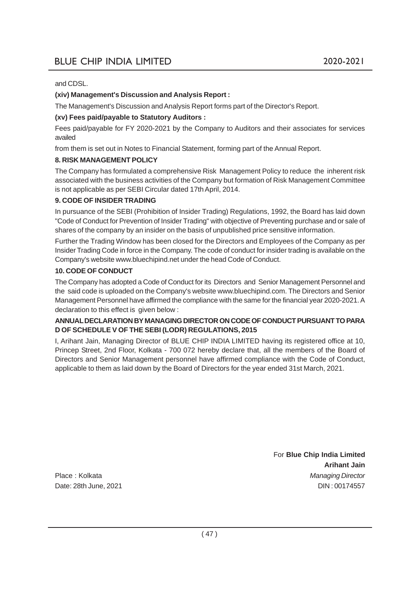#### and CDSL.

#### **(xiv) Management's Discussion and Analysis Report :**

The Management's Discussion and Analysis Report forms part of the Director's Report.

#### **(xv) Fees paid/payable to Statutory Auditors :**

Fees paid/payable for FY 2020-2021 by the Company to Auditors and their associates for services availed

from them is set out in Notes to Financial Statement, forming part of the Annual Report.

#### **8. RISK MANAGEMENT POLICY**

The Company has formulated a comprehensive Risk Management Policy to reduce the inherent risk associated with the business activities of the Company but formation of Risk Management Committee is not applicable as per SEBI Circular dated 17th April, 2014.

#### **9. CODE OF INSIDER TRADING**

In pursuance of the SEBI (Prohibition of Insider Trading) Regulations, 1992, the Board has laid down "Code of Conduct for Prevention of Insider Trading" with objective of Preventing purchase and or sale of shares of the company by an insider on the basis of unpublished price sensitive information.

Further the Trading Window has been closed for the Directors and Employees of the Company as per Insider Trading Code in force in the Company. The code of conduct for insider trading is available on the Company's website www.bluechipind.net under the head Code of Conduct.

#### **10. CODE OF CONDUCT**

The Company has adopted a Code of Conduct for its Directors and Senior Management Personnel and the said code is uploaded on the Company's website www.bluechipind.com. The Directors and Senior Management Personnel have affirmed the compliance with the same for the financial year 2020-2021. A declaration to this effect is given below :

#### **ANNUAL DECLARATION BY MANAGING DIRECTOR ON CODE OF CONDUCT PURSUANT TO PARA D OF SCHEDULE V OF THE SEBI (LODR) REGULATIONS, 2015**

I, Arihant Jain, Managing Director of BLUE CHIP INDIA LIMITED having its registered office at 10, Princep Street, 2nd Floor, Kolkata - 700 072 hereby declare that, all the members of the Board of Directors and Senior Management personnel have affirmed compliance with the Code of Conduct, applicable to them as laid down by the Board of Directors for the year ended 31st March, 2021.

For **Blue Chip India Limited Arihant Jain** Place : Kolkata *Managing Director* Date: 28th June, 2021 DIN : 00174557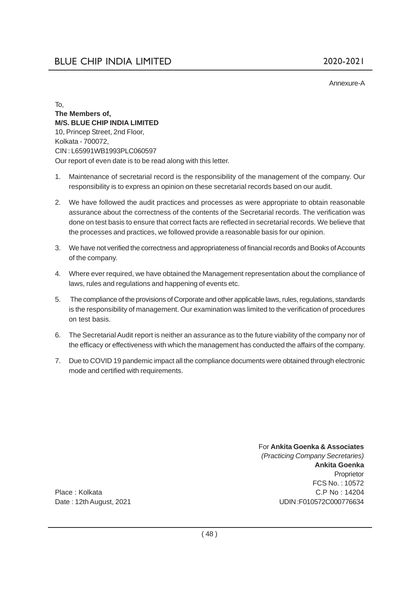#### Annexure-A

To, **The Members of, M/S. BLUE CHIP INDIA LIMITED** 10, Princep Street, 2nd Floor, Kolkata - 700072, CIN : L65991WB1993PLC060597 Our report of even date is to be read along with this letter.

- 1. Maintenance of secretarial record is the responsibility of the management of the company. Our responsibility is to express an opinion on these secretarial records based on our audit.
- 2. We have followed the audit practices and processes as were appropriate to obtain reasonable assurance about the correctness of the contents of the Secretarial records. The verification was done on test basis to ensure that correct facts are reflected in secretarial records. We believe that the processes and practices, we followed provide a reasonable basis for our opinion.
- 3. We have not verified the correctness and appropriateness of financial records and Books of Accounts of the company.
- 4. Where ever required, we have obtained the Management representation about the compliance of laws, rules and regulations and happening of events etc.
- 5. The compliance of the provisions of Corporate and other applicable laws, rules, regulations, standards is the responsibility of management. Our examination was limited to the verification of procedures on test basis.
- 6. The Secretarial Audit report is neither an assurance as to the future viability of the company nor of the efficacy or effectiveness with which the management has conducted the affairs of the company.
- 7. Due to COVID 19 pandemic impact all the compliance documents were obtained through electronic mode and certified with requirements.

For **Ankita Goenka & Associates** *(Practicing Company Secretaries)* **Ankita Goenka Proprietor** FCS No. : 10572 Place : Kolkata C.P No : 14204 Date : 12th August, 2021 UDIN :F010572C000776634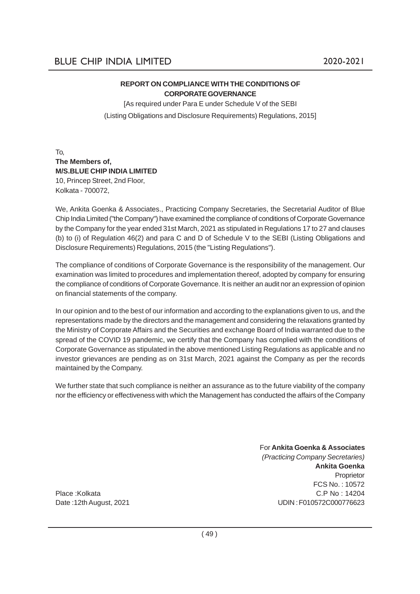# **REPORT ON COMPLIANCE WITH THE CONDITIONS OF CORPORATE GOVERNANCE**

[As required under Para E under Schedule V of the SEBI (Listing Obligations and Disclosure Requirements) Regulations, 2015]

To, **The Members of, M/S.BLUE CHIP INDIA LIMITED** 10, Princep Street, 2nd Floor, Kolkata - 700072,

We, Ankita Goenka & Associates., Practicing Company Secretaries, the Secretarial Auditor of Blue Chip India Limited ("the Company") have examined the compliance of conditions of Corporate Governance by the Company for the year ended 31st March, 2021 as stipulated in Regulations 17 to 27 and clauses (b) to (i) of Regulation 46(2) and para C and D of Schedule V to the SEBI (Listing Obligations and Disclosure Requirements) Regulations, 2015 (the "Listing Regulations").

The compliance of conditions of Corporate Governance is the responsibility of the management. Our examination was limited to procedures and implementation thereof, adopted by company for ensuring the compliance of conditions of Corporate Governance. It is neither an audit nor an expression of opinion on financial statements of the company.

In our opinion and to the best of our information and according to the explanations given to us, and the representations made by the directors and the management and considering the relaxations granted by the Ministry of Corporate Affairs and the Securities and exchange Board of India warranted due to the spread of the COVID 19 pandemic, we certify that the Company has complied with the conditions of Corporate Governance as stipulated in the above mentioned Listing Regulations as applicable and no investor grievances are pending as on 31st March, 2021 against the Company as per the records maintained by the Company.

We further state that such compliance is neither an assurance as to the future viability of the company nor the efficiency or effectiveness with which the Management has conducted the affairs of the Company

For **Ankita Goenka & Associates** *(Practicing Company Secretaries)* **Ankita Goenka** Proprietor FCS No. : 10572 Place :Kolkata C.P No : 14204 Date :12th August, 2021 UDIN : F010572C000776623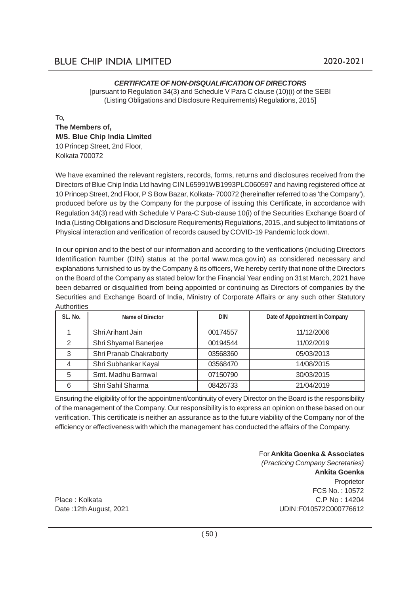#### *CERTIFICATE OF NON-DISQUALIFICATION OF DIRECTORS*

[pursuant to Regulation 34(3) and Schedule V Para C clause (10)(i) of the SEBI (Listing Obligations and Disclosure Requirements) Regulations, 2015]

To, **The Members of, M/S. Blue Chip India Limited** 10 Princep Street, 2nd Floor, Kolkata 700072

We have examined the relevant registers, records, forms, returns and disclosures received from the Directors of Blue Chip India Ltd having CIN L65991WB1993PLC060597 and having registered office at 10 Princep Street, 2nd Floor, P S Bow Bazar, Kolkata- 700072 (hereinafter referred to as 'the Company'), produced before us by the Company for the purpose of issuing this Certificate, in accordance with Regulation 34(3) read with Schedule V Para-C Sub-clause 10(i) of the Securities Exchange Board of India (Listing Obligations and Disclosure Requirements) Regulations, 2015.,and subject to limitations of Physical interaction and verification of records caused by COVID-19 Pandemic lock down.

In our opinion and to the best of our information and according to the verifications (including Directors Identification Number (DIN) status at the portal www.mca.gov.in) as considered necessary and explanations furnished to us by the Company & its officers, We hereby certify that none of the Directors on the Board of the Company as stated below for the Financial Year ending on 31st March, 2021 have been debarred or disqualified from being appointed or continuing as Directors of companies by the Securities and Exchange Board of India, Ministry of Corporate Affairs or any such other Statutory **Authorities** 

| SL. No.       | Name of Director        | DIN      | Date of Appointment in Company |
|---------------|-------------------------|----------|--------------------------------|
|               | Shri Arihant Jain       | 00174557 | 11/12/2006                     |
| $\mathcal{P}$ | Shri Shyamal Banerjee   | 00194544 | 11/02/2019                     |
| 3             | Shri Pranab Chakraborty | 03568360 | 05/03/2013                     |
|               | Shri Subhankar Kayal    | 03568470 | 14/08/2015                     |
| 5             | Smt. Madhu Barnwal      | 07150790 | 30/03/2015                     |
| 6             | Shri Sahil Sharma       | 08426733 | 21/04/2019                     |

Ensuring the eligibility of for the appointment/continuity of every Director on the Board is the responsibility of the management of the Company. Our responsibility is to express an opinion on these based on our verification. This certificate is neither an assurance as to the future viability of the Company nor of the efficiency or effectiveness with which the management has conducted the affairs of the Company.

For **Ankita Goenka & Associates** *(Practicing Company Secretaries)* **Ankita Goenka** Proprietor FCS No. : 10572 Place : Kolkata C.P No : 14204

Date :12th August, 2021 UDIN :F010572C000776612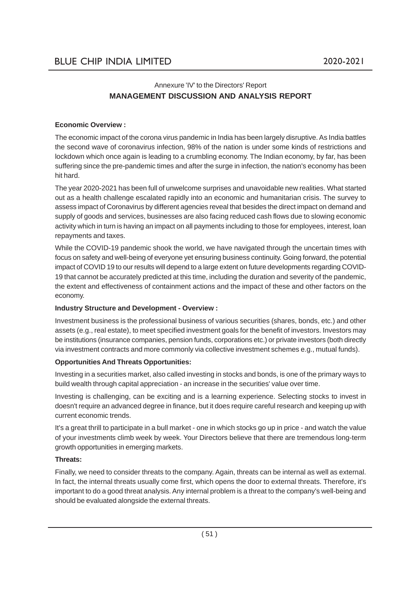# Annexure 'IV' to the Directors' Report **MANAGEMENT DISCUSSION AND ANALYSIS REPORT**

# **Economic Overview :**

The economic impact of the corona virus pandemic in India has been largely disruptive. As India battles the second wave of coronavirus infection, 98% of the nation is under some kinds of restrictions and lockdown which once again is leading to a crumbling economy. The Indian economy, by far, has been suffering since the pre-pandemic times and after the surge in infection, the nation's economy has been hit hard.

The year 2020-2021 has been full of unwelcome surprises and unavoidable new realities. What started out as a health challenge escalated rapidly into an economic and humanitarian crisis. The survey to assess impact of Coronavirus by different agencies reveal that besides the direct impact on demand and supply of goods and services, businesses are also facing reduced cash flows due to slowing economic activity which in turn is having an impact on all payments including to those for employees, interest, loan repayments and taxes.

While the COVID-19 pandemic shook the world, we have navigated through the uncertain times with focus on safety and well-being of everyone yet ensuring business continuity. Going forward, the potential impact of COVID 19 to our results will depend to a large extent on future developments regarding COVID-19 that cannot be accurately predicted at this time, including the duration and severity of the pandemic, the extent and effectiveness of containment actions and the impact of these and other factors on the economy.

#### **Industry Structure and Development - Overview :**

Investment business is the professional business of various securities (shares, bonds, etc.) and other assets (e.g., real estate), to meet specified investment goals for the benefit of investors. Investors may be institutions (insurance companies, pension funds, corporations etc.) or private investors (both directly via investment contracts and more commonly via collective investment schemes e.g., mutual funds).

# **Opportunities And Threats Opportunities:**

Investing in a securities market, also called investing in stocks and bonds, is one of the primary ways to build wealth through capital appreciation - an increase in the securities' value over time.

Investing is challenging, can be exciting and is a learning experience. Selecting stocks to invest in doesn't require an advanced degree in finance, but it does require careful research and keeping up with current economic trends.

It's a great thrill to participate in a bull market - one in which stocks go up in price - and watch the value of your investments climb week by week. Your Directors believe that there are tremendous long-term growth opportunities in emerging markets.

# **Threats:**

Finally, we need to consider threats to the company. Again, threats can be internal as well as external. In fact, the internal threats usually come first, which opens the door to external threats. Therefore, it's important to do a good threat analysis. Any internal problem is a threat to the company's well-being and should be evaluated alongside the external threats.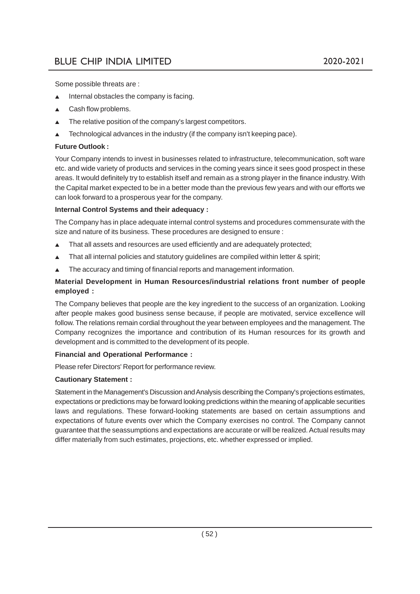Some possible threats are :

- Internal obstacles the company is facing.
- ▲ Cash flow problems.
- ▲ The relative position of the company's largest competitors.
- Technological advances in the industry (if the company isn't keeping pace).

# **Future Outlook :**

Your Company intends to invest in businesses related to infrastructure, telecommunication, soft ware etc. and wide variety of products and services in the coming years since it sees good prospect in these areas. It would definitely try to establish itself and remain as a strong player in the finance industry. With the Capital market expected to be in a better mode than the previous few years and with our efforts we can look forward to a prosperous year for the company.

# **Internal Control Systems and their adequacy :**

The Company has in place adequate internal control systems and procedures commensurate with the size and nature of its business. These procedures are designed to ensure :

- **That all assets and resources are used efficiently and are adequately protected:**
- That all internal policies and statutory guidelines are compiled within letter & spirit;
- The accuracy and timing of financial reports and management information.

# **Material Development in Human Resources/industrial relations front number of people employed :**

The Company believes that people are the key ingredient to the success of an organization. Looking after people makes good business sense because, if people are motivated, service excellence will follow. The relations remain cordial throughout the year between employees and the management. The Company recognizes the importance and contribution of its Human resources for its growth and development and is committed to the development of its people.

# **Financial and Operational Performance :**

Please refer Directors' Report for performance review.

# **Cautionary Statement :**

Statement in the Management's Discussion and Analysis describing the Company's projections estimates, expectations or predictions may be forward looking predictions within the meaning of applicable securities laws and regulations. These forward-looking statements are based on certain assumptions and expectations of future events over which the Company exercises no control. The Company cannot guarantee that the seassumptions and expectations are accurate or will be realized. Actual results may differ materially from such estimates, projections, etc. whether expressed or implied.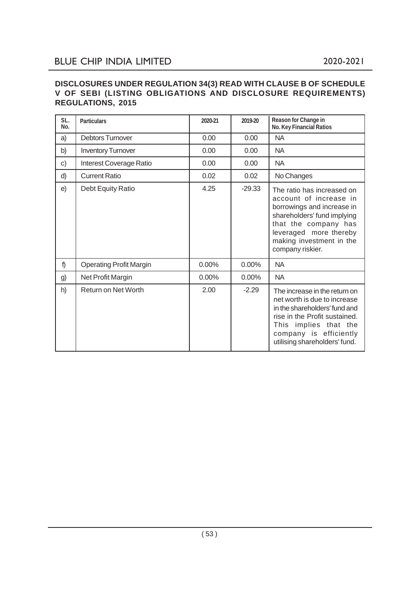# **DISCLOSURES UNDER REGULATION 34(3) READ WITH CLAUSE B OF SCHEDULE V OF SEBI (LISTING OBLIGATIONS AND DISCLOSURE REQUIREMENTS) REGULATIONS, 2015**

| SL.<br>No. | <b>Particulars</b>             | 2020-21 | 2019-20  | Reason for Change in<br>No. Key Financial Ratios                                                                                                                                                                    |
|------------|--------------------------------|---------|----------|---------------------------------------------------------------------------------------------------------------------------------------------------------------------------------------------------------------------|
| a)         | <b>Debtors Turnover</b>        | 0.00    | 0.00     | <b>NA</b>                                                                                                                                                                                                           |
| b)         | <b>Inventory Turnover</b>      | 0.00    | 0.00     | NA.                                                                                                                                                                                                                 |
| c)         | <b>Interest Coverage Ratio</b> | 0.00    | 0.00     | <b>NA</b>                                                                                                                                                                                                           |
| d)         | <b>Current Ratio</b>           | 0.02    | 0.02     | No Changes                                                                                                                                                                                                          |
| e)         | Debt Equity Ratio              | 4.25    | $-29.33$ | The ratio has increased on<br>account of increase in<br>borrowings and increase in<br>shareholders' fund implying<br>that the company has<br>leveraged more thereby<br>making investment in the<br>company riskier. |
| f)         | <b>Operating Profit Margin</b> | 0.00%   | 0.00%    | <b>NA</b>                                                                                                                                                                                                           |
| g)         | Net Profit Margin              | 0.00%   | $0.00\%$ | <b>NA</b>                                                                                                                                                                                                           |
| h)         | Return on Net Worth            | 2.00    | $-2.29$  | The increase in the return on<br>net worth is due to increase<br>in the shareholders' fund and<br>rise in the Profit sustained.<br>This implies that the<br>company is efficiently<br>utilising shareholders' fund. |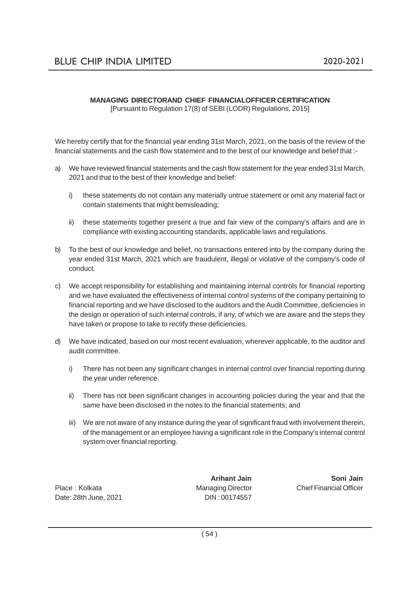#### **MANAGING DIRECTORAND CHIEF FINANCIALOFFICER CERTIFICATION** [Pursuant to Regulation 17(8) of SEBI (LODR) Regulations, 2015]

We hereby certify that for the financial year ending 31st March, 2021, on the basis of the review of the financial statements and the cash flow statement and to the best of our knowledge and belief that :-

- a) We have reviewed financial statements and the cash flow statement for the year ended 31st March, 2021 and that to the best of their knowledge and belief:
	- i) these statements do not contain any materially untrue statement or omit any material fact or contain statements that might bemisleading;
	- ii) these statements together present a true and fair view of the company's affairs and are in compliance with existing accounting standards, applicable laws and regulations.
- b) To the best of our knowledge and belief, no transactions entered into by the company during the year ended 31st March, 2021 which are fraudulent, illegal or violative of the company's code of conduct.
- c) We accept responsibility for establishing and maintaining internal controls for financial reporting and we have evaluated the effectiveness of internal control systems of the company pertaining to financial reporting and we have disclosed to the auditors and the Audit Committee, deficiencies in the design or operation of such internal controls, if any, of which we are aware and the steps they have taken or propose to take to rectify these deficiencies.
- d) We have indicated, based on our most recent evaluation, wherever applicable, to the auditor and audit committee.
	- i) There has not been any significant changes in internal control over financial reporting during the year under reference.
	- ii) There has not been significant changes in accounting policies during the year and that the same have been disclosed in the notes to the financial statements; and
	- iii) We are not aware of any instance during the year of significant fraud with involvement therein, of the management or an employee having a significant role in the Company's internal control system over financial reporting.

Place : Kolkata **Managing Director** Chief Financial Officer Date: 28th June, 2021 DIN : 00174557

**Arihant Jain Soni Jain**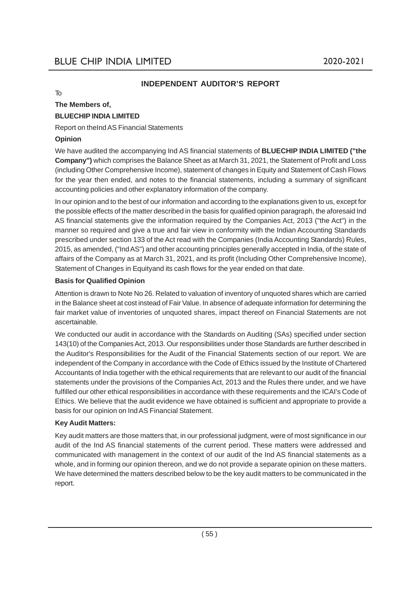# **INDEPENDENT AUDITOR'S REPORT**

To

# **The Members of,**

# **BLUECHIP INDIA LIMITED**

Report on theInd AS Financial Statements

#### **Opinion**

We have audited the accompanying Ind AS financial statements of **BLUECHIP INDIA LIMITED ("the Company")** which comprises the Balance Sheet as at March 31, 2021, the Statement of Profit and Loss (including Other Comprehensive Income), statement of changes in Equity and Statement of Cash Flows for the year then ended, and notes to the financial statements, including a summary of significant accounting policies and other explanatory information of the company.

In our opinion and to the best of our information and according to the explanations given to us, except for the possible effects of the matter described in the basis for qualified opinion paragraph, the aforesaid Ind AS financial statements give the information required by the Companies Act, 2013 ("the Act") in the manner so required and give a true and fair view in conformity with the Indian Accounting Standards prescribed under section 133 of the Act read with the Companies (India Accounting Standards) Rules, 2015, as amended, ("Ind AS") and other accounting principles generally accepted in India, of the state of affairs of the Company as at March 31, 2021, and its profit (Including Other Comprehensive Income), Statement of Changes in Equityand its cash flows for the year ended on that date.

#### **Basis for Qualified Opinion**

Attention is drawn to Note No 26. Related to valuation of inventory of unquoted shares which are carried in the Balance sheet at cost instead of Fair Value. In absence of adequate information for determining the fair market value of inventories of unquoted shares, impact thereof on Financial Statements are not ascertainable.

We conducted our audit in accordance with the Standards on Auditing (SAs) specified under section 143(10) of the Companies Act, 2013. Our responsibilities under those Standards are further described in the Auditor's Responsibilities for the Audit of the Financial Statements section of our report. We are independent of the Company in accordance with the Code of Ethics issued by the Institute of Chartered Accountants of India together with the ethical requirements that are relevant to our audit of the financial statements under the provisions of the Companies Act, 2013 and the Rules there under, and we have fulfilled our other ethical responsibilities in accordance with these requirements and the ICAI's Code of Ethics. We believe that the audit evidence we have obtained is sufficient and appropriate to provide a basis for our opinion on Ind AS Financial Statement.

#### **Key Audit Matters:**

Key audit matters are those matters that, in our professional judgment, were of most significance in our audit of the Ind AS financial statements of the current period. These matters were addressed and communicated with management in the context of our audit of the Ind AS financial statements as a whole, and in forming our opinion thereon, and we do not provide a separate opinion on these matters. We have determined the matters described below to be the key audit matters to be communicated in the report.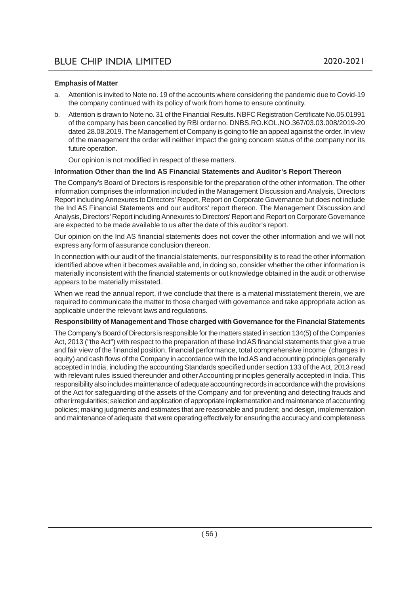#### **Emphasis of Matter**

- a. Attention is invited to Note no. 19 of the accounts where considering the pandemic due to Covid-19 the company continued with its policy of work from home to ensure continuity.
- b. Attention is drawn to Note no. 31 of the Financial Results. NBFC Registration Certificate No.05.01991 of the company has been cancelled by RBI order no. DNBS.RO.KOL.NO.367/03.03.008/2019-20 dated 28.08.2019. The Management of Company is going to file an appeal against the order. In view of the management the order will neither impact the going concern status of the company nor its future operation.

Our opinion is not modified in respect of these matters.

#### **Information Other than the Ind AS Financial Statements and Auditor's Report Thereon**

The Company's Board of Directors is responsible for the preparation of the other information. The other information comprises the information included in the Management Discussion and Analysis, Directors Report including Annexures to Directors' Report, Report on Corporate Governance but does not include the Ind AS Financial Statements and our auditors' report thereon. The Management Discussion and Analysis, Directors' Report including Annexures to Directors' Report and Report on Corporate Governance are expected to be made available to us after the date of this auditor's report.

Our opinion on the Ind AS financial statements does not cover the other information and we will not express any form of assurance conclusion thereon.

In connection with our audit of the financial statements, our responsibility is to read the other information identified above when it becomes available and, in doing so, consider whether the other information is materially inconsistent with the financial statements or out knowledge obtained in the audit or otherwise appears to be materially misstated.

When we read the annual report, if we conclude that there is a material misstatement therein, we are required to communicate the matter to those charged with governance and take appropriate action as applicable under the relevant laws and regulations.

#### **Responsibility of Management and Those charged with Governance for the Financial Statements**

The Company's Board of Directors is responsible for the matters stated in section 134(5) of the Companies Act, 2013 ("the Act") with respect to the preparation of these Ind AS financial statements that give a true and fair view of the financial position, financial performance, total comprehensive income (changes in equity) and cash flows of the Company in accordance with the Ind AS and accounting principles generally accepted in India, including the accounting Standards specified under section 133 of the Act, 2013 read with relevant rules issued thereunder and other Accounting principles generally accepted in India. This responsibility also includes maintenance of adequate accounting records in accordance with the provisions of the Act for safeguarding of the assets of the Company and for preventing and detecting frauds and other irregularities; selection and application of appropriate implementation and maintenance of accounting policies; making judgments and estimates that are reasonable and prudent; and design, implementation and maintenance of adequate that were operating effectively for ensuring the accuracy and completeness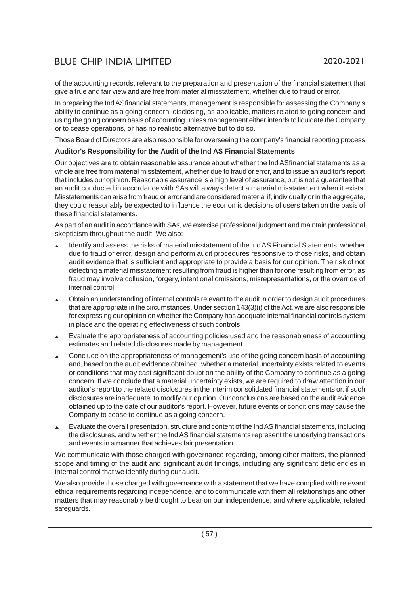of the accounting records, relevant to the preparation and presentation of the financial statement that give a true and fair view and are free from material misstatement, whether due to fraud or error.

In preparing the Ind ASfinancial statements, management is responsible for assessing the Company's ability to continue as a going concern, disclosing, as applicable, matters related to going concern and using the going concern basis of accounting unless management either intends to liquidate the Company or to cease operations, or has no realistic alternative but to do so.

Those Board of Directors are also responsible for overseeing the company's financial reporting process

#### **Auditor's Responsibility for the Audit of the Ind AS Financial Statements**

Our objectives are to obtain reasonable assurance about whether the Ind ASfinancial statements as a whole are free from material misstatement, whether due to fraud or error, and to issue an auditor's report that includes our opinion. Reasonable assurance is a high level of assurance, but is not a guarantee that an audit conducted in accordance with SAs will always detect a material misstatement when it exists. Misstatements can arise from fraud or error and are considered material if, individually or in the aggregate, they could reasonably be expected to influence the economic decisions of users taken on the basis of these financial statements.

As part of an audit in accordance with SAs, we exercise professional judgment and maintain professional skepticism throughout the audit. We also:

- Identify and assess the risks of material misstatement of the Ind AS Financial Statements, whether due to fraud or error, design and perform audit procedures responsive to those risks, and obtain audit evidence that is sufficient and appropriate to provide a basis for our opinion. The risk of not detecting a material misstatement resulting from fraud is higher than for one resulting from error, as fraud may involve collusion, forgery, intentional omissions, misrepresentations, or the override of internal control.
- Obtain an understanding of internal controls relevant to the audit in order to design audit procedures that are appropriate in the circumstances. Under section 143(3)(i) of the Act, we are also responsible for expressing our opinion on whether the Company has adequate internal financial controls system in place and the operating effectiveness of such controls.
- Evaluate the appropriateness of accounting policies used and the reasonableness of accounting estimates and related disclosures made by management.
- Conclude on the appropriateness of management's use of the going concern basis of accounting and, based on the audit evidence obtained, whether a material uncertainty exists related to events or conditions that may cast significant doubt on the ability of the Company to continue as a going concern. If we conclude that a material uncertainty exists, we are required to draw attention in our auditor's report to the related disclosures in the interim consolidated financial statements or, if such disclosures are inadequate, to modify our opinion. Our conclusions are based on the audit evidence obtained up to the date of our auditor's report. However, future events or conditions may cause the Company to cease to continue as a going concern.
- Evaluate the overall presentation, structure and content of the Ind AS financial statements, including the disclosures, and whether the Ind AS financial statements represent the underlying transactions and events in a manner that achieves fair presentation.

We communicate with those charged with governance regarding, among other matters, the planned scope and timing of the audit and significant audit findings, including any significant deficiencies in internal control that we identify during our audit.

We also provide those charged with governance with a statement that we have complied with relevant ethical requirements regarding independence, and to communicate with them all relationships and other matters that may reasonably be thought to bear on our independence, and where applicable, related safeguards.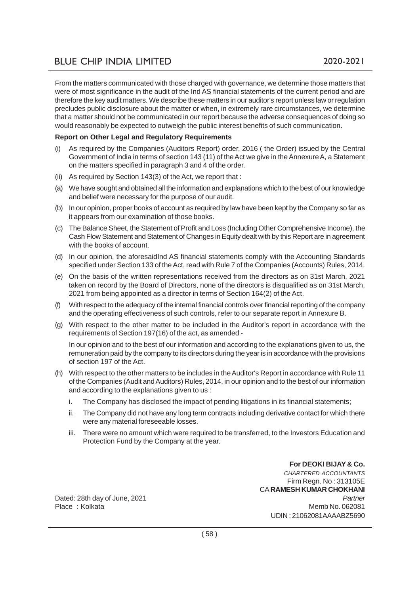From the matters communicated with those charged with governance, we determine those matters that were of most significance in the audit of the Ind AS financial statements of the current period and are therefore the key audit matters. We describe these matters in our auditor's report unless law or regulation precludes public disclosure about the matter or when, in extremely rare circumstances, we determine that a matter should not be communicated in our report because the adverse consequences of doing so would reasonably be expected to outweigh the public interest benefits of such communication.

#### **Report on Other Legal and Regulatory Requirements**

- (i) As required by the Companies (Auditors Report) order, 2016 ( the Order) issued by the Central Government of India in terms of section 143 (11) of the Act we give in the Annexure A, a Statement on the matters specified in paragraph 3 and 4 of the order.
- (ii) As required by Section 143(3) of the Act, we report that :
- (a) We have sought and obtained all the information and explanations which to the best of our knowledge and belief were necessary for the purpose of our audit.
- (b) In our opinion, proper books of account as required by law have been kept by the Company so far as it appears from our examination of those books.
- (c) The Balance Sheet, the Statement of Profit and Loss (Including Other Comprehensive Income), the Cash Flow Statement and Statement of Changes in Equity dealt with by this Report are in agreement with the books of account.
- (d) In our opinion, the aforesaidInd AS financial statements comply with the Accounting Standards specified under Section 133 of the Act, read with Rule 7 of the Companies (Accounts) Rules, 2014.
- (e) On the basis of the written representations received from the directors as on 31st March, 2021 taken on record by the Board of Directors, none of the directors is disqualified as on 31st March, 2021 from being appointed as a director in terms of Section 164(2) of the Act.
- (f) With respect to the adequacy of the internal financial controls over financial reporting of the company and the operating effectiveness of such controls, refer to our separate report in Annexure B.
- (g) With respect to the other matter to be included in the Auditor's report in accordance with the requirements of Section 197(16) of the act, as amended -

In our opinion and to the best of our information and according to the explanations given to us, the remuneration paid by the company to its directors during the year is in accordance with the provisions of section 197 of the Act.

- (h) With respect to the other matters to be includes in the Auditor's Report in accordance with Rule 11 of the Companies (Audit and Auditors) Rules, 2014, in our opinion and to the best of our information and according to the explanations given to us :
	- i. The Company has disclosed the impact of pending litigations in its financial statements;
	- ii. The Company did not have any long term contracts including derivative contact for which there were any material foreseeable losses.
	- iii. There were no amount which were required to be transferred, to the Investors Education and Protection Fund by the Company at the year.

**For DEOKI BIJAY & Co.** *CHARTERED ACCOUNTANTS* Firm Regn. No : 313105E CA **RAMESH KUMAR CHOKHANI** Dated: 28th day of June, 2021 *Partner* Memb No. 062081 UDIN : 21062081AAAABZ5690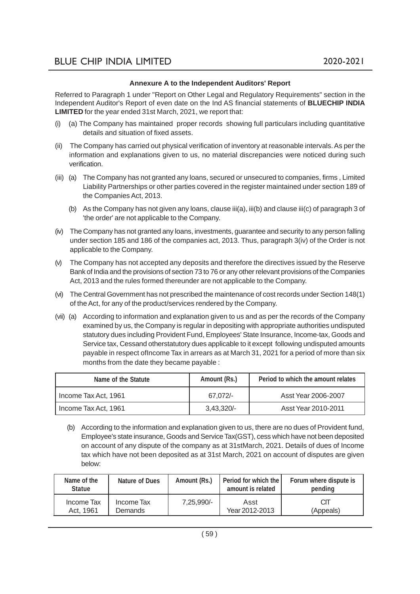#### **Annexure A to the Independent Auditors' Report**

Referred to Paragraph 1 under "Report on Other Legal and Regulatory Requirements" section in the Independent Auditor's Report of even date on the Ind AS financial statements of **BLUECHIP INDIA LIMITED** for the year ended 31st March, 2021, we report that:

- (i) (a) The Company has maintained proper records showing full particulars including quantitative details and situation of fixed assets.
- (ii) The Company has carried out physical verification of inventory at reasonable intervals. As per the information and explanations given to us, no material discrepancies were noticed during such verification.
- (iii) (a) The Company has not granted any loans, secured or unsecured to companies, firms , Limited Liability Partnerships or other parties covered in the register maintained under section 189 of the Companies Act, 2013.
	- (b) As the Company has not given any loans, clause iii(a), iii(b) and clause iii(c) of paragraph 3 of 'the order' are not applicable to the Company.
- (iv) The Company has not granted any loans, investments, guarantee and security to any person falling under section 185 and 186 of the companies act, 2013. Thus, paragraph 3(iv) of the Order is not applicable to the Company.
- (v) The Company has not accepted any deposits and therefore the directives issued by the Reserve Bank of India and the provisions of section 73 to 76 or any other relevant provisions of the Companies Act, 2013 and the rules formed thereunder are not applicable to the Company.
- (vi) The Central Government has not prescribed the maintenance of cost records under Section 148(1) of the Act, for any of the product/services rendered by the Company.
- (vii) (a) According to information and explanation given to us and as per the records of the Company examined by us, the Company is regular in depositing with appropriate authorities undisputed statutory dues including Provident Fund, Employees' State Insurance, Income-tax, Goods and Service tax, Cessand otherstatutory dues applicable to it except following undisputed amounts payable in respect ofIncome Tax in arrears as at March 31, 2021 for a period of more than six months from the date they became payable :

| Name of the Statute  | Amount (Rs.)  | Period to which the amount relates |  |
|----------------------|---------------|------------------------------------|--|
| Income Tax Act, 1961 | 67.072/-      | Asst Year 2006-2007                |  |
| Income Tax Act, 1961 | $3,43,320/$ - | Asst Year 2010-2011                |  |

(b) According to the information and explanation given to us, there are no dues of Provident fund, Employee's state insurance, Goods and Service Tax(GST), cess which have not been deposited on account of any dispute of the company as at 31stMarch, 2021. Details of dues of Income tax which have not been deposited as at 31st March, 2021 on account of disputes are given below:

| Name of the<br><b>Statue</b> | Nature of Dues | Amount (Rs.) | Period for which the<br>amount is related | Forum where dispute is<br>pending |
|------------------------------|----------------|--------------|-------------------------------------------|-----------------------------------|
| Income Tax                   | Income Tax     | 7,25,990/-   | Asst                                      | CП                                |
| Act. 1961                    | <b>Demands</b> |              | Year 2012-2013                            | (Appeals)                         |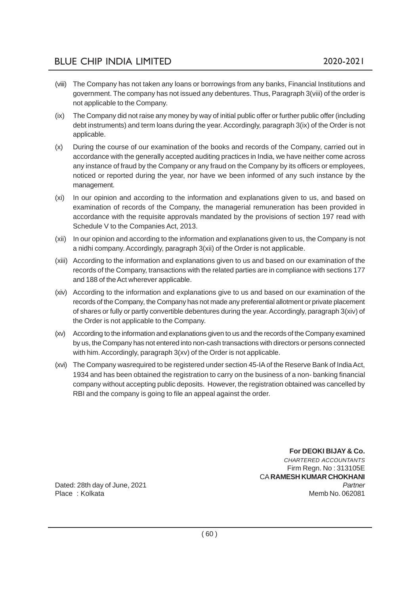- (viii) The Company has not taken any loans or borrowings from any banks, Financial Institutions and government. The company has not issued any debentures. Thus, Paragraph 3(viii) of the order is not applicable to the Company.
- (ix) The Company did not raise any money by way of initial public offer or further public offer (including debt instruments) and term loans during the year. Accordingly, paragraph 3(ix) of the Order is not applicable.
- (x) During the course of our examination of the books and records of the Company, carried out in accordance with the generally accepted auditing practices in India, we have neither come across any instance of fraud by the Company or any fraud on the Company by its officers or employees, noticed or reported during the year, nor have we been informed of any such instance by the management.
- (xi) In our opinion and according to the information and explanations given to us, and based on examination of records of the Company, the managerial remuneration has been provided in accordance with the requisite approvals mandated by the provisions of section 197 read with Schedule V to the Companies Act, 2013.
- (xii) In our opinion and according to the information and explanations given to us, the Company is not a nidhi company. Accordingly, paragraph 3(xii) of the Order is not applicable.
- (xiii) According to the information and explanations given to us and based on our examination of the records of the Company, transactions with the related parties are in compliance with sections 177 and 188 of the Act wherever applicable.
- (xiv) According to the information and explanations give to us and based on our examination of the records of the Company, the Company has not made any preferential allotment or private placement of shares or fully or partly convertible debentures during the year. Accordingly, paragraph 3(xiv) of the Order is not applicable to the Company.
- (xv) According to the information and explanations given to us and the records of the Company examined by us, the Company has not entered into non-cash transactions with directors or persons connected with him. Accordingly, paragraph 3(xv) of the Order is not applicable.
- (xvi) The Company wasrequired to be registered under section 45-IA of the Reserve Bank of India Act, 1934 and has been obtained the registration to carry on the business of a non- banking financial company without accepting public deposits. However, the registration obtained was cancelled by RBI and the company is going to file an appeal against the order.

**For DEOKI BIJAY & Co.** *CHARTERED ACCOUNTANTS* Firm Regn. No : 313105E CA **RAMESH KUMAR CHOKHANI** Dated: 28th day of June, 2021 *Partner* Place : Kolkata Memb No. 062081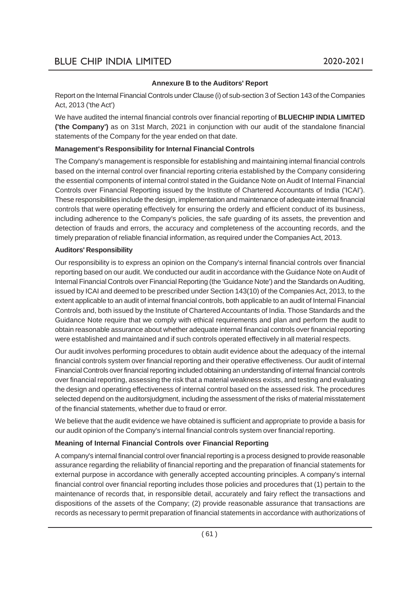# **Annexure B to the Auditors' Report**

Report on the Internal Financial Controls under Clause (i) of sub-section 3 of Section 143 of the Companies Act, 2013 ('the Act')

We have audited the internal financial controls over financial reporting of **BLUECHIP INDIA LIMITED ('the Company')** as on 31st March, 2021 in conjunction with our audit of the standalone financial statements of the Company for the year ended on that date.

# **Management's Responsibility for Internal Financial Controls**

The Company's management is responsible for establishing and maintaining internal financial controls based on the internal control over financial reporting criteria established by the Company considering the essential components of internal control stated in the Guidance Note on Audit of Internal Financial Controls over Financial Reporting issued by the Institute of Chartered Accountants of India ('ICAI'). These responsibilities include the design, implementation and maintenance of adequate internal financial controls that were operating effectively for ensuring the orderly and efficient conduct of its business, including adherence to the Company's policies, the safe guarding of its assets, the prevention and detection of frauds and errors, the accuracy and completeness of the accounting records, and the timely preparation of reliable financial information, as required under the Companies Act, 2013.

#### **Auditors' Responsibility**

Our responsibility is to express an opinion on the Company's internal financial controls over financial reporting based on our audit. We conducted our audit in accordance with the Guidance Note on Audit of Internal Financial Controls over Financial Reporting (the 'Guidance Note') and the Standards on Auditing, issued by ICAI and deemed to be prescribed under Section 143(10) of the Companies Act, 2013, to the extent applicable to an audit of internal financial controls, both applicable to an audit of Internal Financial Controls and, both issued by the Institute of Chartered Accountants of India. Those Standards and the Guidance Note require that we comply with ethical requirements and plan and perform the audit to obtain reasonable assurance about whether adequate internal financial controls over financial reporting were established and maintained and if such controls operated effectively in all material respects.

Our audit involves performing procedures to obtain audit evidence about the adequacy of the internal financial controls system over financial reporting and their operative effectiveness. Our audit of internal Financial Controls over financial reporting included obtaining an understanding of internal financial controls over financial reporting, assessing the risk that a material weakness exists, and testing and evaluating the design and operating effectiveness of internal control based on the assessed risk. The procedures selected depend on the auditorsjudgment, including the assessment of the risks of material misstatement of the financial statements, whether due to fraud or error.

We believe that the audit evidence we have obtained is sufficient and appropriate to provide a basis for our audit opinion of the Company's internal financial controls system over financial reporting.

# **Meaning of Internal Financial Controls over Financial Reporting**

A company's internal financial control over financial reporting is a process designed to provide reasonable assurance regarding the reliability of financial reporting and the preparation of financial statements for external purpose in accordance with generally accepted accounting principles. A company's internal financial control over financial reporting includes those policies and procedures that (1) pertain to the maintenance of records that, in responsible detail, accurately and fairy reflect the transactions and dispositions of the assets of the Company; (2) provide reasonable assurance that transactions are records as necessary to permit preparation of financial statements in accordance with authorizations of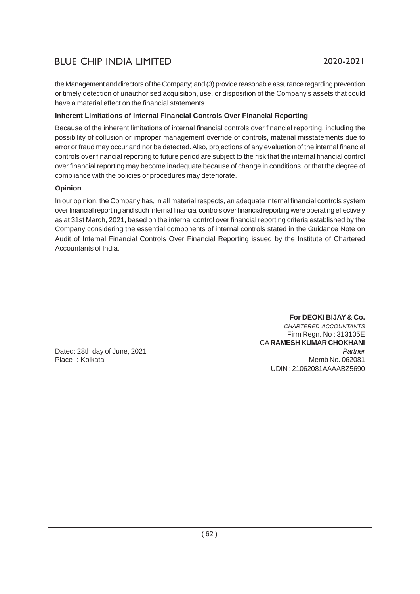the Management and directors of the Company; and (3) provide reasonable assurance regarding prevention or timely detection of unauthorised acquisition, use, or disposition of the Company's assets that could have a material effect on the financial statements.

# **Inherent Limitations of Internal Financial Controls Over Financial Reporting**

Because of the inherent limitations of internal financial controls over financial reporting, including the possibility of collusion or improper management override of controls, material misstatements due to error or fraud may occur and nor be detected. Also, projections of any evaluation of the internal financial controls over financial reporting to future period are subject to the risk that the internal financial control over financial reporting may become inadequate because of change in conditions, or that the degree of compliance with the policies or procedures may deteriorate.

#### **Opinion**

In our opinion, the Company has, in all material respects, an adequate internal financial controls system over financial reporting and such internal financial controls over financial reporting were operating effectively as at 31st March, 2021, based on the internal control over financial reporting criteria established by the Company considering the essential components of internal controls stated in the Guidance Note on Audit of Internal Financial Controls Over Financial Reporting issued by the Institute of Chartered Accountants of India.

**For DEOKI BIJAY & Co.** *CHARTERED ACCOUNTANTS* Firm Regn. No : 313105E CA **RAMESH KUMAR CHOKHANI** Dated: 28th day of June, 2021 *Partner* Place : Kolkata Memb No. 062081 UDIN : 21062081AAAABZ5690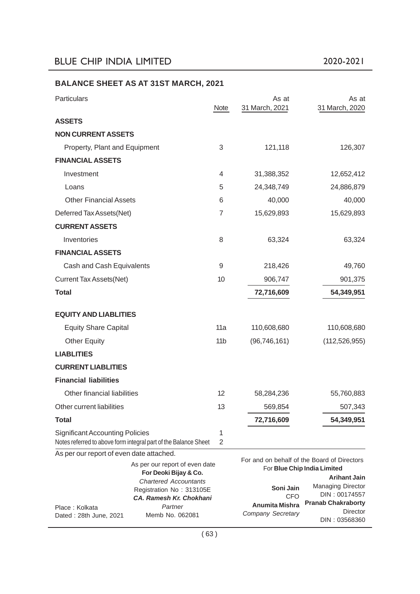# **BALANCE SHEET AS AT 31ST MARCH, 2021**

| Particulars                                                                                                                          | Note            | As at<br>31 March, 2021                                        | As at<br>31 March, 2020                                                                             |
|--------------------------------------------------------------------------------------------------------------------------------------|-----------------|----------------------------------------------------------------|-----------------------------------------------------------------------------------------------------|
| <b>ASSETS</b>                                                                                                                        |                 |                                                                |                                                                                                     |
| <b>NON CURRENT ASSETS</b>                                                                                                            |                 |                                                                |                                                                                                     |
| Property, Plant and Equipment                                                                                                        | 3               | 121,118                                                        | 126,307                                                                                             |
| <b>FINANCIAL ASSETS</b>                                                                                                              |                 |                                                                |                                                                                                     |
| Investment                                                                                                                           | 4               | 31,388,352                                                     | 12,652,412                                                                                          |
| Loans                                                                                                                                | 5               | 24,348,749                                                     | 24,886,879                                                                                          |
| <b>Other Financial Assets</b>                                                                                                        | 6               | 40,000                                                         | 40,000                                                                                              |
| Deferred Tax Assets(Net)                                                                                                             | $\overline{7}$  | 15,629,893                                                     | 15,629,893                                                                                          |
| <b>CURRENT ASSETS</b>                                                                                                                |                 |                                                                |                                                                                                     |
| Inventories                                                                                                                          | 8               | 63,324                                                         | 63,324                                                                                              |
| <b>FINANCIAL ASSETS</b>                                                                                                              |                 |                                                                |                                                                                                     |
| Cash and Cash Equivalents                                                                                                            | 9               | 218,426                                                        | 49,760                                                                                              |
| <b>Current Tax Assets (Net)</b>                                                                                                      | 10              | 906,747                                                        | 901,375                                                                                             |
| <b>Total</b>                                                                                                                         |                 | 72,716,609                                                     | 54,349,951                                                                                          |
| <b>EQUITY AND LIABLITIES</b>                                                                                                         |                 |                                                                |                                                                                                     |
| <b>Equity Share Capital</b>                                                                                                          | 11a             | 110,608,680                                                    | 110,608,680                                                                                         |
| <b>Other Equity</b>                                                                                                                  | 11 <sub>b</sub> | (96, 746, 161)                                                 | (112, 526, 955)                                                                                     |
| <b>LIABLITIES</b>                                                                                                                    |                 |                                                                |                                                                                                     |
| <b>CURRENT LIABLITIES</b>                                                                                                            |                 |                                                                |                                                                                                     |
| <b>Financial liabilities</b>                                                                                                         |                 |                                                                |                                                                                                     |
| Other financial liabilities                                                                                                          | 12              | 58,284,236                                                     | 55,760,883                                                                                          |
| Other current liabilities                                                                                                            | 13              | 569,854                                                        | 507,343                                                                                             |
| Total                                                                                                                                |                 | 72,716,609                                                     | 54,349,951                                                                                          |
| <b>Significant Accounting Policies</b><br>Notes referred to above form integral part of the Balance Sheet                            | 1<br>2          |                                                                |                                                                                                     |
| As per our report of even date attached.                                                                                             |                 |                                                                | For and on behalf of the Board of Directors                                                         |
| As per our report of even date<br>For Deoki Bijay & Co.<br><b>Chartered Accountants</b>                                              |                 |                                                                | For Blue Chip India Limited<br><b>Arihant Jain</b>                                                  |
| Registration No: 313105E<br><b>CA. Ramesh Kr. Chokhani</b><br>Partner<br>Place: Kolkata<br>Dated: 28th June, 2021<br>Memb No. 062081 |                 | Soni Jain<br>CFO<br><b>Anumita Mishra</b><br>Company Secretary | <b>Managing Director</b><br>DIN: 00174557<br><b>Pranab Chakraborty</b><br>Director<br>DIN: 03568360 |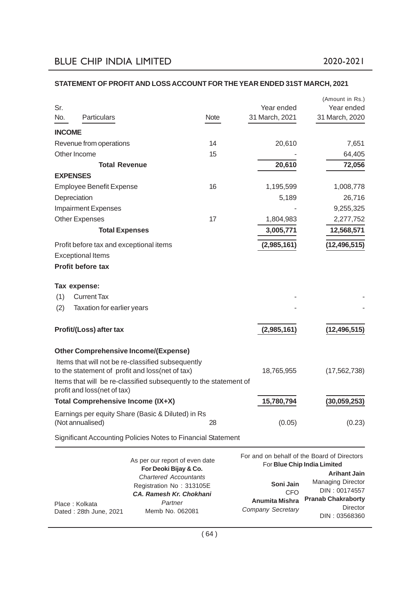# **STATEMENT OF PROFIT AND LOSS ACCOUNT FOR THE YEAR ENDED 31ST MARCH, 2021**

|                         |                                         |                                                                   |      |                              | (Amount in Rs.)                             |
|-------------------------|-----------------------------------------|-------------------------------------------------------------------|------|------------------------------|---------------------------------------------|
| Sr.                     |                                         |                                                                   |      | Year ended                   | Year ended                                  |
| No.                     | <b>Particulars</b>                      |                                                                   | Note | 31 March, 2021               | 31 March, 2020                              |
| <b>INCOME</b>           |                                         |                                                                   |      |                              |                                             |
|                         | Revenue from operations                 |                                                                   | 14   | 20,610                       | 7,651                                       |
|                         | Other Income                            |                                                                   | 15   |                              | 64,405                                      |
|                         | <b>Total Revenue</b>                    |                                                                   |      | 20,610                       | 72,056                                      |
|                         | <b>EXPENSES</b>                         |                                                                   |      |                              |                                             |
|                         | <b>Employee Benefit Expense</b>         |                                                                   | 16   | 1,195,599                    | 1,008,778                                   |
|                         | Depreciation                            |                                                                   |      | 5,189                        | 26,716                                      |
|                         | <b>Impairment Expenses</b>              |                                                                   |      |                              | 9,255,325                                   |
|                         | <b>Other Expenses</b>                   |                                                                   | 17   | 1,804,983                    | 2,277,752                                   |
|                         | <b>Total Expenses</b>                   |                                                                   |      | 3,005,771                    | 12,568,571                                  |
|                         | Profit before tax and exceptional items |                                                                   |      | (2,985,161)                  | (12, 496, 515)                              |
|                         | <b>Exceptional Items</b>                |                                                                   |      |                              |                                             |
|                         | Profit before tax                       |                                                                   |      |                              |                                             |
|                         |                                         |                                                                   |      |                              |                                             |
|                         | Tax expense:                            |                                                                   |      |                              |                                             |
| (1)                     | <b>Current Tax</b>                      |                                                                   |      |                              |                                             |
| (2)                     | Taxation for earlier years              |                                                                   |      |                              |                                             |
|                         |                                         |                                                                   |      |                              |                                             |
| Profit/(Loss) after tax |                                         |                                                                   |      | (2,985,161)                  | (12, 496, 515)                              |
|                         |                                         |                                                                   |      |                              |                                             |
|                         |                                         | <b>Other Comprehensive Income/(Expense)</b>                       |      |                              |                                             |
|                         |                                         | Items that will not be re-classified subsequently                 |      |                              |                                             |
|                         |                                         | to the statement of profit and loss(net of tax)                   |      | 18,765,955                   | (17, 562, 738)                              |
|                         | profit and loss(net of tax)             | Items that will be re-classified subsequently to the statement of |      |                              |                                             |
|                         | Total Comprehensive Income (IX+X)       |                                                                   |      | 15,780,794                   | (30,059,253)                                |
|                         |                                         |                                                                   |      |                              |                                             |
|                         | (Not annualised)                        | Earnings per equity Share (Basic & Diluted) in Rs                 | 28   | (0.05)                       | (0.23)                                      |
|                         |                                         |                                                                   |      |                              |                                             |
|                         |                                         | Significant Accounting Policies Notes to Financial Statement      |      |                              |                                             |
|                         |                                         |                                                                   |      |                              | For and on behalf of the Board of Directors |
|                         |                                         | As per our report of even date<br>For Deoki Bijay & Co.           |      |                              | For Blue Chip India Limited                 |
|                         |                                         | <b>Chartered Accountants</b>                                      |      |                              | Arihant Jain                                |
|                         |                                         | Registration No: 313105E                                          |      | Soni Jain                    | <b>Managing Director</b><br>DIN: 00174557   |
|                         |                                         | <b>CA. Ramesh Kr. Chokhani</b>                                    |      | CFO<br><b>Anumita Mishra</b> | <b>Pranab Chakraborty</b>                   |
|                         | Place: Kolkata                          | Partner<br>Memb No. 062081                                        |      | Company Secretary            | Director                                    |
|                         | Dated: 28th June, 2021                  |                                                                   |      |                              | DIN: 03568360                               |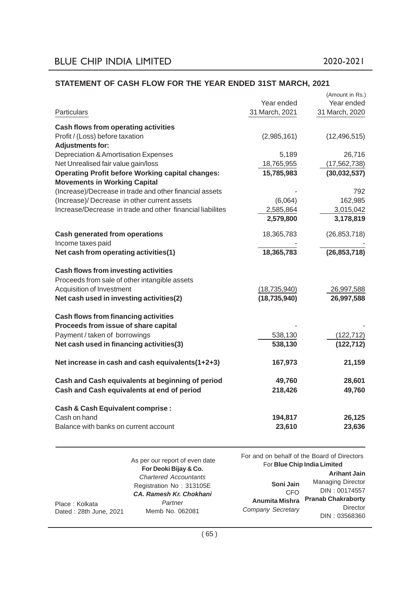# **STATEMENT OF CASH FLOW FOR THE YEAR ENDED 31ST MARCH, 2021**

|                                                           | Year ended                                  | (Amount in Rs.)<br>Year ended |
|-----------------------------------------------------------|---------------------------------------------|-------------------------------|
| Particulars                                               | 31 March, 2021                              | 31 March, 2020                |
| Cash flows from operating activities                      |                                             |                               |
| Profit / (Loss) before taxation                           | (2,985,161)                                 | (12, 496, 515)                |
| <b>Adjustments for:</b>                                   |                                             |                               |
| Depreciation & Amortisation Expenses                      | 5,189                                       | 26,716                        |
| Net Unrealised fair value gain/loss                       | 18,765,955                                  | (17, 562, 738)                |
| <b>Operating Profit before Working capital changes:</b>   | 15,785,983                                  | (30,032,537)                  |
| <b>Movements in Working Capital</b>                       |                                             |                               |
| (Increase)/Decrease in trade and other financial assets   |                                             | 792                           |
| (Increase)/ Decrease in other current assets              | (6,064)                                     | 162,985                       |
| Increase/Decrease in trade and other financial liabilites | 2,585,864                                   | 3,015,042                     |
|                                                           | 2,579,800                                   | 3,178,819                     |
| <b>Cash generated from operations</b>                     | 18,365,783                                  | (26, 853, 718)                |
| Income taxes paid                                         |                                             |                               |
| Net cash from operating activities(1)                     | 18,365,783                                  | (26, 853, 718)                |
| Cash flows from investing activities                      |                                             |                               |
| Proceeds from sale of other intangible assets             |                                             |                               |
| Acquisition of Investment                                 | (18, 735, 940)                              | 26,997,588                    |
| Net cash used in investing activities(2)                  | (18, 735, 940)                              | 26,997,588                    |
| Cash flows from financing activities                      |                                             |                               |
| Proceeds from issue of share capital                      |                                             |                               |
| Payment / taken of borrowings                             | 538,130                                     | (122, 712)                    |
| Net cash used in financing activities(3)                  | 538,130                                     | (122, 712)                    |
| Net increase in cash and cash equivalents(1+2+3)          | 167,973                                     | 21,159                        |
| Cash and Cash equivalents at beginning of period          | 49,760                                      | 28,601                        |
| Cash and Cash equivalents at end of period                | 218,426                                     | 49,760                        |
| <b>Cash &amp; Cash Equivalent comprise:</b>               |                                             |                               |
| Cash on hand                                              | 194,817                                     | 26,125                        |
| Balance with banks on current account                     | 23,610                                      | 23,636                        |
| As per our report of even date                            | For and on behalf of the Board of Directors |                               |

**For Deoki Bijay & Co.** *Chartered Accountants* Registration No : 313105E *CA. Ramesh Kr. Chokhani Partner* Memb No. 062081

Place : Kolkata

Dated : 28th June, 2021

For **Blue Chip India Limited**

|                       | <b>Arihant Jain</b>       |
|-----------------------|---------------------------|
| Soni Jain             | <b>Managing Director</b>  |
| CFO                   | DIN: 00174557             |
| <b>Anumita Mishra</b> | <b>Pranab Chakraborty</b> |
| Company Secretary     | Director                  |
|                       | DIN: 03568360             |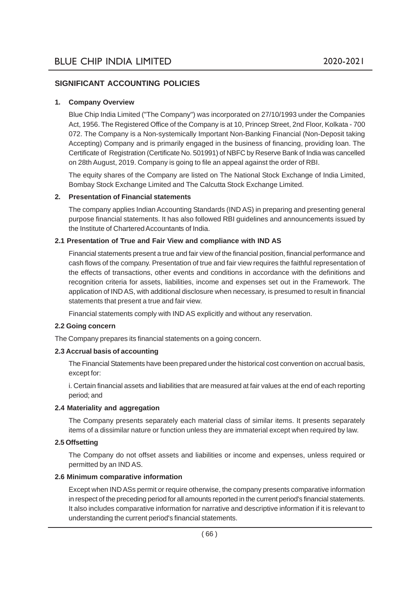## **SIGNIFICANT ACCOUNTING POLICIES**

#### **1. Company Overview**

Blue Chip India Limited ("The Company") was incorporated on 27/10/1993 under the Companies Act, 1956. The Registered Office of the Company is at 10, Princep Street, 2nd Floor, Kolkata - 700 072. The Company is a Non-systemically Important Non-Banking Financial (Non-Deposit taking Accepting) Company and is primarily engaged in the business of financing, providing loan. The Certificate of Registration (Certificate No. 501991) of NBFC by Reserve Bank of India was cancelled on 28th August, 2019. Company is going to file an appeal against the order of RBI.

The equity shares of the Company are listed on The National Stock Exchange of India Limited, Bombay Stock Exchange Limited and The Calcutta Stock Exchange Limited.

#### **2. Presentation of Financial statements**

The company applies Indian Accounting Standards (IND AS) in preparing and presenting general purpose financial statements. It has also followed RBI guidelines and announcements issued by the Institute of Chartered Accountants of India.

#### **2.1 Presentation of True and Fair View and compliance with IND AS**

Financial statements present a true and fair view of the financial position, financial performance and cash flows of the company. Presentation of true and fair view requires the faithful representation of the effects of transactions, other events and conditions in accordance with the definitions and recognition criteria for assets, liabilities, income and expenses set out in the Framework. The application of IND AS, with additional disclosure when necessary, is presumed to result in financial statements that present a true and fair view.

Financial statements comply with IND AS explicitly and without any reservation.

#### **2.2 Going concern**

The Company prepares its financial statements on a going concern.

#### **2.3 Accrual basis of accounting**

The Financial Statements have been prepared under the historical cost convention on accrual basis, except for:

i. Certain financial assets and liabilities that are measured at fair values at the end of each reporting period; and

#### **2.4 Materiality and aggregation**

The Company presents separately each material class of similar items. It presents separately items of a dissimilar nature or function unless they are immaterial except when required by law.

#### **2.5 Offsetting**

The Company do not offset assets and liabilities or income and expenses, unless required or permitted by an IND AS.

#### **2.6 Minimum comparative information**

Except when IND ASs permit or require otherwise, the company presents comparative information in respect of the preceding period for all amounts reported in the current period's financial statements. It also includes comparative information for narrative and descriptive information if it is relevant to understanding the current period's financial statements.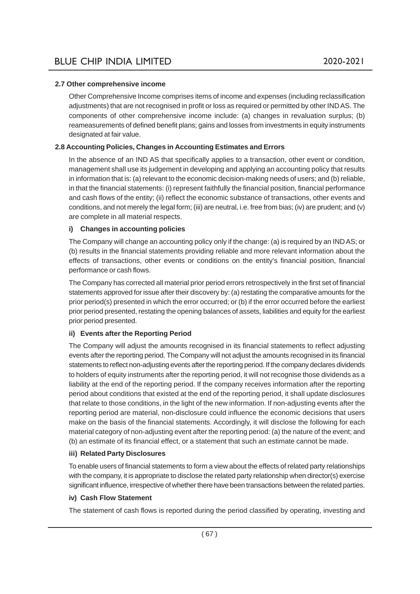#### **2.7 Other comprehensive income**

Other Comprehensive Income comprises items of income and expenses (including reclassification adjustments) that are not recognised in profit or loss as required or permitted by other IND AS. The components of other comprehensive income include: (a) changes in revaluation surplus; (b) reameasurements of defined benefit plans; gains and losses from investments in equity instruments designated at fair value.

#### **2.8 Accounting Policies, Changes in Accounting Estimates and Errors**

In the absence of an IND AS that specifically applies to a transaction, other event or condition, management shall use its judgement in developing and applying an accounting policy that results in information that is: (a) relevant to the economic decision-making needs of users; and (b) reliable, in that the financial statements: (i) represent faithfully the financial position, financial performance and cash flows of the entity; (ii) reflect the economic substance of transactions, other events and conditions, and not merely the legal form; (iii) are neutral, i.e. free from bias; (iv) are prudent; and (v) are complete in all material respects.

#### **i) Changes in accounting policies**

The Company will change an accounting policy only if the change: (a) is required by an IND AS; or (b) results in the financial statements providing reliable and more relevant information about the effects of transactions, other events or conditions on the entity's financial position, financial performance or cash flows.

The Company has corrected all material prior period errors retrospectively in the first set of financial statements approved for issue after their discovery by: (a) restating the comparative amounts for the prior period(s) presented in which the error occurred; or (b) if the error occurred before the earliest prior period presented, restating the opening balances of assets, liabilities and equity for the earliest prior period presented.

#### **ii) Events after the Reporting Period**

The Company will adjust the amounts recognised in its financial statements to reflect adjusting events after the reporting period. The Company will not adjust the amounts recognised in its financial statements to reflect non-adjusting events after the reporting period. If the company declares dividends to holders of equity instruments after the reporting period, it will not recognise those dividends as a liability at the end of the reporting period. If the company receives information after the reporting period about conditions that existed at the end of the reporting period, it shall update disclosures that relate to those conditions, in the light of the new information. If non-adjusting events after the reporting period are material, non-disclosure could influence the economic decisions that users make on the basis of the financial statements. Accordingly, it will disclose the following for each material category of non-adjusting event after the reporting period: (a) the nature of the event; and (b) an estimate of its financial effect, or a statement that such an estimate cannot be made.

#### **iii) Related Party Disclosures**

To enable users of financial statements to form a view about the effects of related party relationships with the company, it is appropriate to disclose the related party relationship when director(s) exercise significant influence, irrespective of whether there have been transactions between the related parties.

#### **iv) Cash Flow Statement**

The statement of cash flows is reported during the period classified by operating, investing and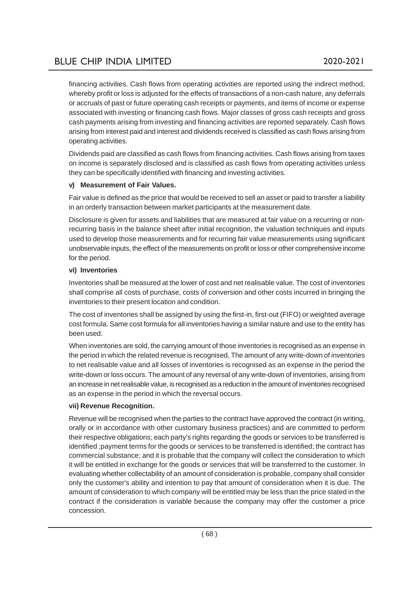financing activities. Cash flows from operating activities are reported using the indirect method, whereby profit or loss is adjusted for the effects of transactions of a non-cash nature, any deferrals or accruals of past or future operating cash receipts or payments, and items of income or expense associated with investing or financing cash flows. Major classes of gross cash receipts and gross cash payments arising from investing and financing activities are reported separately. Cash flows arising from interest paid and interest and dividends received is classified as cash flows arising from operating activities.

Dividends paid are classified as cash flows from financing activities. Cash flows arising from taxes on income is separately disclosed and is classified as cash flows from operating activities unless they can be specifically identified with financing and investing activities.

# **v) Measurement of Fair Values.**

Fair value is defined as the price that would be received to sell an asset or paid to transfer a liability in an orderly transaction between market participants at the measurement date.

Disclosure is given for assets and liabilities that are measured at fair value on a recurring or nonrecurring basis in the balance sheet after initial recognition, the valuation techniques and inputs used to develop those measurements and for recurring fair value measurements using significant unobservable inputs, the effect of the measurements on profit or loss or other comprehensive income for the period.

# **vi) Inventories**

Inventories shall be measured at the lower of cost and net realisable value. The cost of inventories shall comprise all costs of purchase, costs of conversion and other costs incurred in bringing the inventories to their present location and condition.

The cost of inventories shall be assigned by using the first-in, first-out (FIFO) or weighted average cost formula. Same cost formula for all inventories having a similar nature and use to the entity has been used.

When inventories are sold, the carrying amount of those inventories is recognised as an expense in the period in which the related revenue is recognised. The amount of any write-down of inventories to net realisable value and all losses of inventories is recognised as an expense in the period the write-down or loss occurs. The amount of any reversal of any write-down of inventories, arising from an increase in net realisable value, is recognised as a reduction in the amount of inventories recognised as an expense in the period in which the reversal occurs.

# **vii) Revenue Recognition.**

Revenue will be recognised when the parties to the contract have approved the contract (in writing, orally or in accordance with other customary business practices) and are committed to perform their respective obligations; each party's rights regarding the goods or services to be transferred is identified ;payment terms for the goods or services to be transferred is identified; the contract has commercial substance; and it is probable that the company will collect the consideration to which it will be entitled in exchange for the goods or services that will be transferred to the customer. In evaluating whether collectability of an amount of consideration is probable, company shall consider only the customer's ability and intention to pay that amount of consideration when it is due. The amount of consideration to which company will be entitled may be less than the price stated in the contract if the consideration is variable because the company may offer the customer a price concession.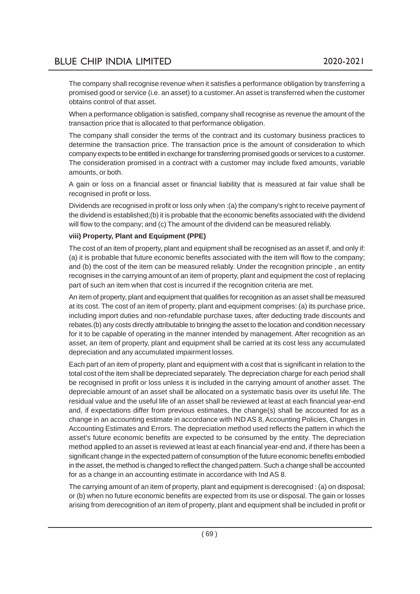The company shall recognise revenue when it satisfies a performance obligation by transferring a promised good or service (i.e. an asset) to a customer. An asset is transferred when the customer obtains control of that asset.

When a performance obligation is satisfied, company shall recognise as revenue the amount of the transaction price that is allocated to that performance obligation.

The company shall consider the terms of the contract and its customary business practices to determine the transaction price. The transaction price is the amount of consideration to which company expects to be entitled in exchange for transferring promised goods or services to a customer. The consideration promised in a contract with a customer may include fixed amounts, variable amounts, or both.

A gain or loss on a financial asset or financial liability that is measured at fair value shall be recognised in profit or loss.

Dividends are recognised in profit or loss only when :(a) the company's right to receive payment of the dividend is established;(b) it is probable that the economic benefits associated with the dividend will flow to the company; and (c) The amount of the dividend can be measured reliably.

#### **viii) Property, Plant and Equipment (PPE)**

The cost of an item of property, plant and equipment shall be recognised as an asset if, and only if: (a) it is probable that future economic benefits associated with the item will flow to the company; and (b) the cost of the item can be measured reliably. Under the recognition principle , an entity recognises in the carrying amount of an item of property, plant and equipment the cost of replacing part of such an item when that cost is incurred if the recognition criteria are met.

An item of property, plant and equipment that qualifies for recognition as an asset shall be measured at its cost. The cost of an item of property, plant and equipment comprises: (a) its purchase price, including import duties and non-refundable purchase taxes, after deducting trade discounts and rebates.(b) any costs directly attributable to bringing the asset to the location and condition necessary for it to be capable of operating in the manner intended by management. After recognition as an asset, an item of property, plant and equipment shall be carried at its cost less any accumulated depreciation and any accumulated impairment losses.

Each part of an item of property, plant and equipment with a cost that is significant in relation to the total cost of the item shall be depreciated separately. The depreciation charge for each period shall be recognised in profit or loss unless it is included in the carrying amount of another asset. The depreciable amount of an asset shall be allocated on a systematic basis over its useful life. The residual value and the useful life of an asset shall be reviewed at least at each financial year-end and, if expectations differ from previous estimates, the change(s) shall be accounted for as a change in an accounting estimate in accordance with IND AS 8, Accounting Policies, Changes in Accounting Estimates and Errors. The depreciation method used reflects the pattern in which the asset's future economic benefits are expected to be consumed by the entity. The depreciation method applied to an asset is reviewed at least at each financial year-end and, if there has been a significant change in the expected pattern of consumption of the future economic benefits embodied in the asset, the method is changed to reflect the changed pattern. Such a change shall be accounted for as a change in an accounting estimate in accordance with Ind AS 8.

The carrying amount of an item of property, plant and equipment is derecognised : (a) on disposal; or (b) when no future economic benefits are expected from its use or disposal. The gain or losses arising from derecognition of an item of property, plant and equipment shall be included in profit or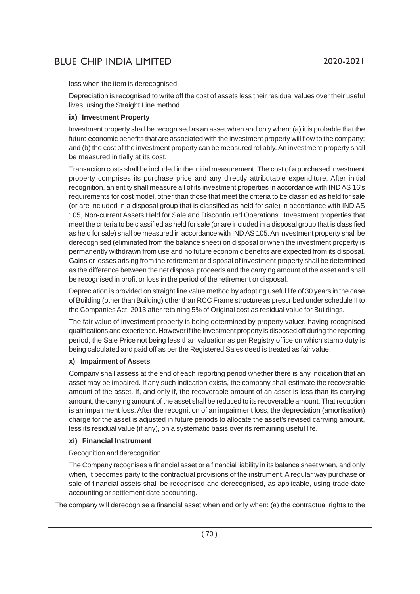loss when the item is derecognised.

Depreciation is recognised to write off the cost of assets less their residual values over their useful lives, using the Straight Line method.

## **ix) Investment Property**

Investment property shall be recognised as an asset when and only when: (a) it is probable that the future economic benefits that are associated with the investment property will flow to the company; and (b) the cost of the investment property can be measured reliably. An investment property shall be measured initially at its cost.

Transaction costs shall be included in the initial measurement. The cost of a purchased investment property comprises its purchase price and any directly attributable expenditure. After initial recognition, an entity shall measure all of its investment properties in accordance with IND AS 16's requirements for cost model, other than those that meet the criteria to be classified as held for sale (or are included in a disposal group that is classified as held for sale) in accordance with IND AS 105, Non-current Assets Held for Sale and Discontinued Operations. Investment properties that meet the criteria to be classified as held for sale (or are included in a disposal group that is classified as held for sale) shall be measured in accordance with IND AS 105. An investment property shall be derecognised (eliminated from the balance sheet) on disposal or when the investment property is permanently withdrawn from use and no future economic benefits are expected from its disposal. Gains or losses arising from the retirement or disposal of investment property shall be determined as the difference between the net disposal proceeds and the carrying amount of the asset and shall be recognised in profit or loss in the period of the retirement or disposal.

Depreciation is provided on straight line value method by adopting useful life of 30 years in the case of Building (other than Building) other than RCC Frame structure as prescribed under schedule II to the Companies Act, 2013 after retaining 5% of Original cost as residual value for Buildings.

The fair value of investment property is being determined by property valuer, having recognised qualifications and experience. However if the Investment property is disposed off during the reporting period, the Sale Price not being less than valuation as per Registry office on which stamp duty is being calculated and paid off as per the Registered Sales deed is treated as fair value.

#### **x) Impairment of Assets**

Company shall assess at the end of each reporting period whether there is any indication that an asset may be impaired. If any such indication exists, the company shall estimate the recoverable amount of the asset. If, and only if, the recoverable amount of an asset is less than its carrying amount, the carrying amount of the asset shall be reduced to its recoverable amount. That reduction is an impairment loss. After the recognition of an impairment loss, the depreciation (amortisation) charge for the asset is adjusted in future periods to allocate the asset's revised carrying amount, less its residual value (if any), on a systematic basis over its remaining useful life.

#### **xi) Financial Instrument**

Recognition and derecognition

The Company recognises a financial asset or a financial liability in its balance sheet when, and only when, it becomes party to the contractual provisions of the instrument. A regular way purchase or sale of financial assets shall be recognised and derecognised, as applicable, using trade date accounting or settlement date accounting.

The company will derecognise a financial asset when and only when: (a) the contractual rights to the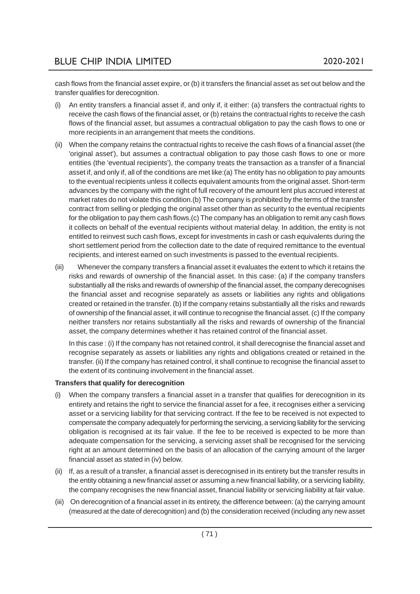cash flows from the financial asset expire, or (b) it transfers the financial asset as set out below and the transfer qualifies for derecognition.

- (i) An entity transfers a financial asset if, and only if, it either: (a) transfers the contractual rights to receive the cash flows of the financial asset, or (b) retains the contractual rights to receive the cash flows of the financial asset, but assumes a contractual obligation to pay the cash flows to one or more recipients in an arrangement that meets the conditions.
- (ii) When the company retains the contractual rights to receive the cash flows of a financial asset (the 'original asset'), but assumes a contractual obligation to pay those cash flows to one or more entities (the 'eventual recipients'), the company treats the transaction as a transfer of a financial asset if, and only if, all of the conditions are met like:(a) The entity has no obligation to pay amounts to the eventual recipients unless it collects equivalent amounts from the original asset. Short-term advances by the company with the right of full recovery of the amount lent plus accrued interest at market rates do not violate this condition.(b) The company is prohibited by the terms of the transfer contract from selling or pledging the original asset other than as security to the eventual recipients for the obligation to pay them cash flows.(c) The company has an obligation to remit any cash flows it collects on behalf of the eventual recipients without material delay. In addition, the entity is not entitled to reinvest such cash flows, except for investments in cash or cash equivalents during the short settlement period from the collection date to the date of required remittance to the eventual recipients, and interest earned on such investments is passed to the eventual recipients.
- (iii) Whenever the company transfers a financial asset it evaluates the extent to which it retains the risks and rewards of ownership of the financial asset. In this case: (a) if the company transfers substantially all the risks and rewards of ownership of the financial asset, the company derecognises the financial asset and recognise separately as assets or liabilities any rights and obligations created or retained in the transfer. (b) If the company retains substantially all the risks and rewards of ownership of the financial asset, it will continue to recognise the financial asset. (c) If the company neither transfers nor retains substantially all the risks and rewards of ownership of the financial asset, the company determines whether it has retained control of the financial asset.

In this case : (i) If the company has not retained control, it shall derecognise the financial asset and recognise separately as assets or liabilities any rights and obligations created or retained in the transfer. (ii) If the company has retained control, it shall continue to recognise the financial asset to the extent of its continuing involvement in the financial asset.

#### **Transfers that qualify for derecognition**

- (i) When the company transfers a financial asset in a transfer that qualifies for derecognition in its entirety and retains the right to service the financial asset for a fee, it recognises either a servicing asset or a servicing liability for that servicing contract. If the fee to be received is not expected to compensate the company adequately for performing the servicing, a servicing liability for the servicing obligation is recognised at its fair value. If the fee to be received is expected to be more than adequate compensation for the servicing, a servicing asset shall be recognised for the servicing right at an amount determined on the basis of an allocation of the carrying amount of the larger financial asset as stated in (iv) below.
- (ii) If, as a result of a transfer, a financial asset is derecognised in its entirety but the transfer results in the entity obtaining a new financial asset or assuming a new financial liability, or a servicing liability, the company recognises the new financial asset, financial liability or servicing liability at fair value.
- (iii) On derecognition of a financial asset in its entirety, the difference between: (a) the carrying amount (measured at the date of derecognition) and (b) the consideration received (including any new asset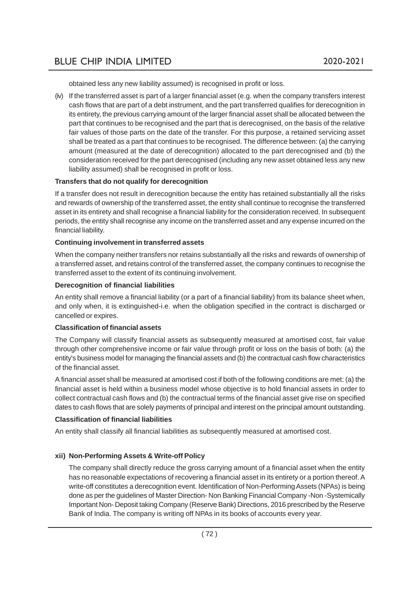obtained less any new liability assumed) is recognised in profit or loss.

(iv) If the transferred asset is part of a larger financial asset (e.g. when the company transfers interest cash flows that are part of a debt instrument, and the part transferred qualifies for derecognition in its entirety, the previous carrying amount of the larger financial asset shall be allocated between the part that continues to be recognised and the part that is derecognised, on the basis of the relative fair values of those parts on the date of the transfer. For this purpose, a retained servicing asset shall be treated as a part that continues to be recognised. The difference between: (a) the carrying amount (measured at the date of derecognition) allocated to the part derecognised and (b) the consideration received for the part derecognised (including any new asset obtained less any new liability assumed) shall be recognised in profit or loss.

#### **Transfers that do not qualify for derecognition**

If a transfer does not result in derecognition because the entity has retained substantially all the risks and rewards of ownership of the transferred asset, the entity shall continue to recognise the transferred asset in its entirety and shall recognise a financial liability for the consideration received. In subsequent periods, the entity shall recognise any income on the transferred asset and any expense incurred on the financial liability.

#### **Continuing involvement in transferred assets**

When the company neither transfers nor retains substantially all the risks and rewards of ownership of a transferred asset, and retains control of the transferred asset, the company continues to recognise the transferred asset to the extent of its continuing involvement.

#### **Derecognition of financial liabilities**

An entity shall remove a financial liability (or a part of a financial liability) from its balance sheet when, and only when, it is extinguished-i.e. when the obligation specified in the contract is discharged or cancelled or expires.

#### **Classification of financial assets**

The Company will classify financial assets as subsequently measured at amortised cost, fair value through other comprehensive income or fair value through profit or loss on the basis of both: (a) the entity's business model for managing the financial assets and (b) the contractual cash flow characteristics of the financial asset.

A financial asset shall be measured at amortised cost if both of the following conditions are met: (a) the financial asset is held within a business model whose objective is to hold financial assets in order to collect contractual cash flows and (b) the contractual terms of the financial asset give rise on specified dates to cash flows that are solely payments of principal and interest on the principal amount outstanding.

#### **Classification of financial liabilities**

An entity shall classify all financial liabilities as subsequently measured at amortised cost.

#### **xii) Non-Performing Assets & Write-off Policy**

The company shall directly reduce the gross carrying amount of a financial asset when the entity has no reasonable expectations of recovering a financial asset in its entirety or a portion thereof. A write-off constitutes a derecognition event. Identification of Non-Performing Assets (NPAs) is being done as per the guidelines of Master Direction- Non Banking Financial Company -Non -Systemically Important Non- Deposit taking Company (Reserve Bank) Directions, 2016 prescribed by the Reserve Bank of India. The company is writing off NPAs in its books of accounts every year.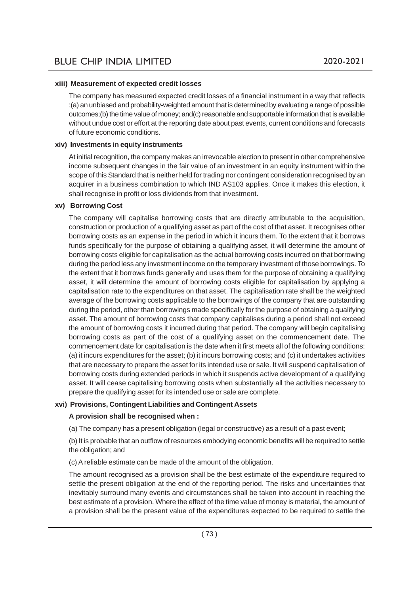#### **xiii) Measurement of expected credit losses**

The company has measured expected credit losses of a financial instrument in a way that reflects :(a) an unbiased and probability-weighted amount that is determined by evaluating a range of possible outcomes;(b) the time value of money; and(c) reasonable and supportable information that is available without undue cost or effort at the reporting date about past events, current conditions and forecasts of future economic conditions.

#### **xiv) Investments in equity instruments**

At initial recognition, the company makes an irrevocable election to present in other comprehensive income subsequent changes in the fair value of an investment in an equity instrument within the scope of this Standard that is neither held for trading nor contingent consideration recognised by an acquirer in a business combination to which IND AS103 applies. Once it makes this election, it shall recognise in profit or loss dividends from that investment.

#### **xv) Borrowing Cost**

The company will capitalise borrowing costs that are directly attributable to the acquisition, construction or production of a qualifying asset as part of the cost of that asset. It recognises other borrowing costs as an expense in the period in which it incurs them. To the extent that it borrows funds specifically for the purpose of obtaining a qualifying asset, it will determine the amount of borrowing costs eligible for capitalisation as the actual borrowing costs incurred on that borrowing during the period less any investment income on the temporary investment of those borrowings. To the extent that it borrows funds generally and uses them for the purpose of obtaining a qualifying asset, it will determine the amount of borrowing costs eligible for capitalisation by applying a capitalisation rate to the expenditures on that asset. The capitalisation rate shall be the weighted average of the borrowing costs applicable to the borrowings of the company that are outstanding during the period, other than borrowings made specifically for the purpose of obtaining a qualifying asset. The amount of borrowing costs that company capitalises during a period shall not exceed the amount of borrowing costs it incurred during that period. The company will begin capitalising borrowing costs as part of the cost of a qualifying asset on the commencement date. The commencement date for capitalisation is the date when it first meets all of the following conditions: (a) it incurs expenditures for the asset; (b) it incurs borrowing costs; and (c) it undertakes activities that are necessary to prepare the asset for its intended use or sale. It will suspend capitalisation of borrowing costs during extended periods in which it suspends active development of a qualifying asset. It will cease capitalising borrowing costs when substantially all the activities necessary to prepare the qualifying asset for its intended use or sale are complete.

#### **xvi) Provisions, Contingent Liabilities and Contingent Assets**

#### **A provision shall be recognised when :**

(a) The company has a present obligation (legal or constructive) as a result of a past event;

(b) It is probable that an outflow of resources embodying economic benefits will be required to settle the obligation; and

(c) A reliable estimate can be made of the amount of the obligation.

The amount recognised as a provision shall be the best estimate of the expenditure required to settle the present obligation at the end of the reporting period. The risks and uncertainties that inevitably surround many events and circumstances shall be taken into account in reaching the best estimate of a provision. Where the effect of the time value of money is material, the amount of a provision shall be the present value of the expenditures expected to be required to settle the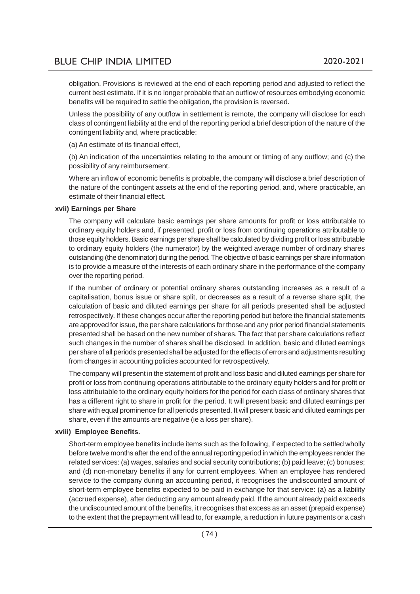obligation. Provisions is reviewed at the end of each reporting period and adjusted to reflect the current best estimate. If it is no longer probable that an outflow of resources embodying economic benefits will be required to settle the obligation, the provision is reversed.

Unless the possibility of any outflow in settlement is remote, the company will disclose for each class of contingent liability at the end of the reporting period a brief description of the nature of the contingent liability and, where practicable:

(a) An estimate of its financial effect,

(b) An indication of the uncertainties relating to the amount or timing of any outflow; and (c) the possibility of any reimbursement.

Where an inflow of economic benefits is probable, the company will disclose a brief description of the nature of the contingent assets at the end of the reporting period, and, where practicable, an estimate of their financial effect.

#### **xvii) Earnings per Share**

The company will calculate basic earnings per share amounts for profit or loss attributable to ordinary equity holders and, if presented, profit or loss from continuing operations attributable to those equity holders. Basic earnings per share shall be calculated by dividing profit or loss attributable to ordinary equity holders (the numerator) by the weighted average number of ordinary shares outstanding (the denominator) during the period. The objective of basic earnings per share information is to provide a measure of the interests of each ordinary share in the performance of the company over the reporting period.

If the number of ordinary or potential ordinary shares outstanding increases as a result of a capitalisation, bonus issue or share split, or decreases as a result of a reverse share split, the calculation of basic and diluted earnings per share for all periods presented shall be adjusted retrospectively. If these changes occur after the reporting period but before the financial statements are approved for issue, the per share calculations for those and any prior period financial statements presented shall be based on the new number of shares. The fact that per share calculations reflect such changes in the number of shares shall be disclosed. In addition, basic and diluted earnings per share of all periods presented shall be adjusted for the effects of errors and adjustments resulting from changes in accounting policies accounted for retrospectively.

The company will present in the statement of profit and loss basic and diluted earnings per share for profit or loss from continuing operations attributable to the ordinary equity holders and for profit or loss attributable to the ordinary equity holders for the period for each class of ordinary shares that has a different right to share in profit for the period. It will present basic and diluted earnings per share with equal prominence for all periods presented. It will present basic and diluted earnings per share, even if the amounts are negative (ie a loss per share).

#### **xviii) Employee Benefits.**

Short-term employee benefits include items such as the following, if expected to be settled wholly before twelve months after the end of the annual reporting period in which the employees render the related services: (a) wages, salaries and social security contributions; (b) paid leave; (c) bonuses; and (d) non-monetary benefits if any for current employees. When an employee has rendered service to the company during an accounting period, it recognises the undiscounted amount of short-term employee benefits expected to be paid in exchange for that service: (a) as a liability (accrued expense), after deducting any amount already paid. If the amount already paid exceeds the undiscounted amount of the benefits, it recognises that excess as an asset (prepaid expense) to the extent that the prepayment will lead to, for example, a reduction in future payments or a cash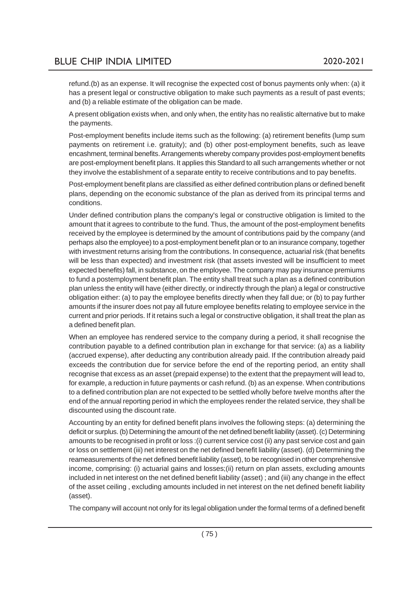refund.(b) as an expense. It will recognise the expected cost of bonus payments only when: (a) it has a present legal or constructive obligation to make such payments as a result of past events; and (b) a reliable estimate of the obligation can be made.

A present obligation exists when, and only when, the entity has no realistic alternative but to make the payments.

Post-employment benefits include items such as the following: (a) retirement benefits (lump sum payments on retirement i.e. gratuity); and (b) other post-employment benefits, such as leave encashment, terminal benefits. Arrangements whereby company provides post-employment benefits are post-employment benefit plans. It applies this Standard to all such arrangements whether or not they involve the establishment of a separate entity to receive contributions and to pay benefits.

Post-employment benefit plans are classified as either defined contribution plans or defined benefit plans, depending on the economic substance of the plan as derived from its principal terms and conditions.

Under defined contribution plans the company's legal or constructive obligation is limited to the amount that it agrees to contribute to the fund. Thus, the amount of the post-employment benefits received by the employee is determined by the amount of contributions paid by the company (and perhaps also the employee) to a post-employment benefit plan or to an insurance company, together with investment returns arising from the contributions. In consequence, actuarial risk (that benefits will be less than expected) and investment risk (that assets invested will be insufficient to meet expected benefits) fall, in substance, on the employee. The company may pay insurance premiums to fund a postemployment benefit plan. The entity shall treat such a plan as a defined contribution plan unless the entity will have (either directly, or indirectly through the plan) a legal or constructive obligation either: (a) to pay the employee benefits directly when they fall due; or (b) to pay further amounts if the insurer does not pay all future employee benefits relating to employee service in the current and prior periods. If it retains such a legal or constructive obligation, it shall treat the plan as a defined benefit plan.

When an employee has rendered service to the company during a period, it shall recognise the contribution payable to a defined contribution plan in exchange for that service: (a) as a liability (accrued expense), after deducting any contribution already paid. If the contribution already paid exceeds the contribution due for service before the end of the reporting period, an entity shall recognise that excess as an asset (prepaid expense) to the extent that the prepayment will lead to, for example, a reduction in future payments or cash refund. (b) as an expense. When contributions to a defined contribution plan are not expected to be settled wholly before twelve months after the end of the annual reporting period in which the employees render the related service, they shall be discounted using the discount rate.

Accounting by an entity for defined benefit plans involves the following steps: (a) determining the deficit or surplus. (b) Determining the amount of the net defined benefit liability (asset). (c) Determining amounts to be recognised in profit or loss :(i) current service cost (ii) any past service cost and gain or loss on settlement (iii) net interest on the net defined benefit liability (asset). (d) Determining the reameasurements of the net defined benefit liability (asset), to be recognised in other comprehensive income, comprising: (i) actuarial gains and losses;(ii) return on plan assets, excluding amounts included in net interest on the net defined benefit liability (asset) ; and (iii) any change in the effect of the asset ceiling , excluding amounts included in net interest on the net defined benefit liability (asset).

The company will account not only for its legal obligation under the formal terms of a defined benefit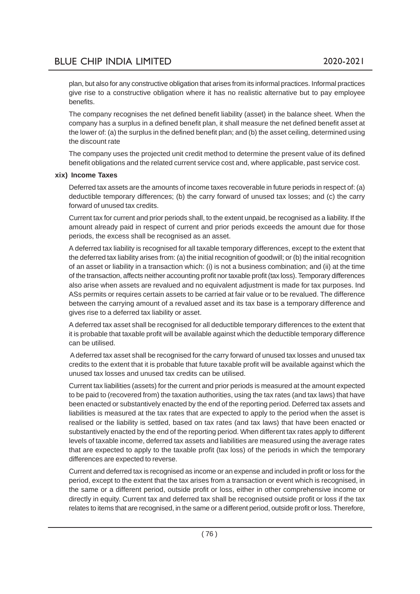plan, but also for any constructive obligation that arises from its informal practices. Informal practices give rise to a constructive obligation where it has no realistic alternative but to pay employee benefits.

The company recognises the net defined benefit liability (asset) in the balance sheet. When the company has a surplus in a defined benefit plan, it shall measure the net defined benefit asset at the lower of: (a) the surplus in the defined benefit plan; and (b) the asset ceiling, determined using the discount rate

The company uses the projected unit credit method to determine the present value of its defined benefit obligations and the related current service cost and, where applicable, past service cost.

#### **xix) Income Taxes**

Deferred tax assets are the amounts of income taxes recoverable in future periods in respect of: (a) deductible temporary differences; (b) the carry forward of unused tax losses; and (c) the carry forward of unused tax credits.

Current tax for current and prior periods shall, to the extent unpaid, be recognised as a liability. If the amount already paid in respect of current and prior periods exceeds the amount due for those periods, the excess shall be recognised as an asset.

A deferred tax liability is recognised for all taxable temporary differences, except to the extent that the deferred tax liability arises from: (a) the initial recognition of goodwill; or (b) the initial recognition of an asset or liability in a transaction which: (i) is not a business combination; and (ii) at the time of the transaction, affects neither accounting profit nor taxable profit (tax loss). Temporary differences also arise when assets are revalued and no equivalent adjustment is made for tax purposes. Ind ASs permits or requires certain assets to be carried at fair value or to be revalued. The difference between the carrying amount of a revalued asset and its tax base is a temporary difference and gives rise to a deferred tax liability or asset.

A deferred tax asset shall be recognised for all deductible temporary differences to the extent that it is probable that taxable profit will be available against which the deductible temporary difference can be utilised.

 A deferred tax asset shall be recognised for the carry forward of unused tax losses and unused tax credits to the extent that it is probable that future taxable profit will be available against which the unused tax losses and unused tax credits can be utilised.

Current tax liabilities (assets) for the current and prior periods is measured at the amount expected to be paid to (recovered from) the taxation authorities, using the tax rates (and tax laws) that have been enacted or substantively enacted by the end of the reporting period. Deferred tax assets and liabilities is measured at the tax rates that are expected to apply to the period when the asset is realised or the liability is settled, based on tax rates (and tax laws) that have been enacted or substantively enacted by the end of the reporting period. When different tax rates apply to different levels of taxable income, deferred tax assets and liabilities are measured using the average rates that are expected to apply to the taxable profit (tax loss) of the periods in which the temporary differences are expected to reverse.

Current and deferred tax is recognised as income or an expense and included in profit or loss for the period, except to the extent that the tax arises from a transaction or event which is recognised, in the same or a different period, outside profit or loss, either in other comprehensive income or directly in equity. Current tax and deferred tax shall be recognised outside profit or loss if the tax relates to items that are recognised, in the same or a different period, outside profit or loss. Therefore,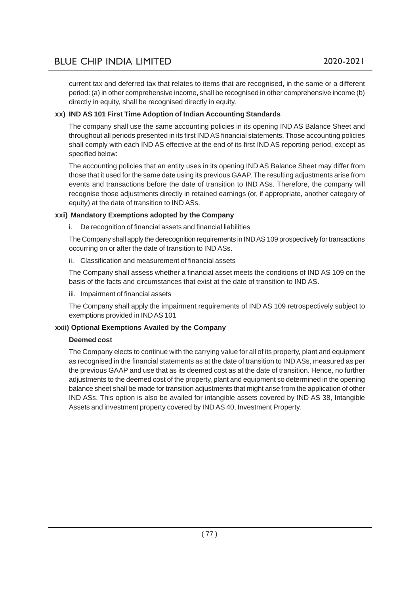current tax and deferred tax that relates to items that are recognised, in the same or a different period: (a) in other comprehensive income, shall be recognised in other comprehensive income (b) directly in equity, shall be recognised directly in equity.

#### **xx) IND AS 101 First Time Adoption of Indian Accounting Standards**

The company shall use the same accounting policies in its opening IND AS Balance Sheet and throughout all periods presented in its first IND AS financial statements. Those accounting policies shall comply with each IND AS effective at the end of its first IND AS reporting period, except as specified below:

The accounting policies that an entity uses in its opening IND AS Balance Sheet may differ from those that it used for the same date using its previous GAAP. The resulting adjustments arise from events and transactions before the date of transition to IND ASs. Therefore, the company will recognise those adjustments directly in retained earnings (or, if appropriate, another category of equity) at the date of transition to IND ASs.

#### **xxi) Mandatory Exemptions adopted by the Company**

i. De recognition of financial assets and financial liabilities

The Company shall apply the derecognition requirements in IND AS 109 prospectively for transactions occurring on or after the date of transition to IND ASs.

#### ii. Classification and measurement of financial assets

The Company shall assess whether a financial asset meets the conditions of IND AS 109 on the basis of the facts and circumstances that exist at the date of transition to IND AS.

iii. Impairment of financial assets

The Company shall apply the impairment requirements of IND AS 109 retrospectively subject to exemptions provided in IND AS 101

#### **xxii) Optional Exemptions Availed by the Company**

#### **Deemed cost**

The Company elects to continue with the carrying value for all of its property, plant and equipment as recognised in the financial statements as at the date of transition to IND ASs, measured as per the previous GAAP and use that as its deemed cost as at the date of transition. Hence, no further adjustments to the deemed cost of the property, plant and equipment so determined in the opening balance sheet shall be made for transition adjustments that might arise from the application of other IND ASs. This option is also be availed for intangible assets covered by IND AS 38, Intangible Assets and investment property covered by IND AS 40, Investment Property.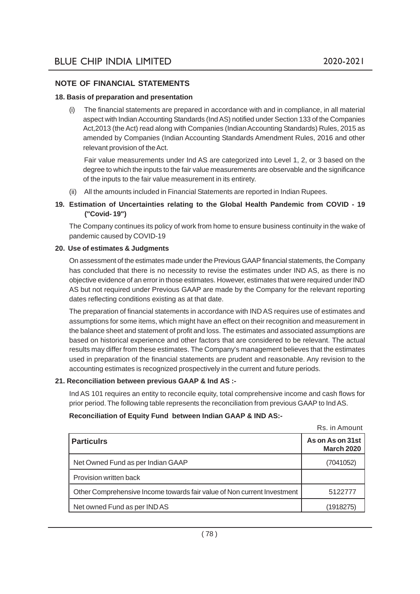#### **NOTE OF FINANCIAL STATEMENTS**

#### **18. Basis of preparation and presentation**

(i) The financial statements are prepared in accordance with and in compliance, in all material aspect with Indian Accounting Standards (Ind AS) notified under Section 133 of the Companies Act,2013 (the Act) read along with Companies (Indian Accounting Standards) Rules, 2015 as amended by Companies (Indian Accounting Standards Amendment Rules, 2016 and other relevant provision of the Act.

Fair value measurements under Ind AS are categorized into Level 1, 2, or 3 based on the degree to which the inputs to the fair value measurements are observable and the significance of the inputs to the fair value measurement in its entirety.

- (ii) All the amounts included in Financial Statements are reported in Indian Rupees.
- **19. Estimation of Uncertainties relating to the Global Health Pandemic from COVID 19 ("Covid- 19")**

The Company continues its policy of work from home to ensure business continuity in the wake of pandemic caused by COVID-19

#### **20. Use of estimates & Judgments**

On assessment of the estimates made under the Previous GAAP financial statements, the Company has concluded that there is no necessity to revise the estimates under IND AS, as there is no objective evidence of an error in those estimates. However, estimates that were required under IND AS but not required under Previous GAAP are made by the Company for the relevant reporting dates reflecting conditions existing as at that date.

The preparation of financial statements in accordance with IND AS requires use of estimates and assumptions for some items, which might have an effect on their recognition and measurement in the balance sheet and statement of profit and loss. The estimates and associated assumptions are based on historical experience and other factors that are considered to be relevant. The actual results may differ from these estimates. The Company's management believes that the estimates used in preparation of the financial statements are prudent and reasonable. Any revision to the accounting estimates is recognized prospectively in the current and future periods.

#### **21. Reconciliation between previous GAAP & Ind AS :-**

Ind AS 101 requires an entity to reconcile equity, total comprehensive income and cash flows for prior period. The following table represents the reconciliation from previous GAAP to Ind AS.

#### **Reconciliation of Equity Fund between Indian GAAP & IND AS:-**

Rs. in Amount

| <b>Particulrs</b>                                                       | As on As on 31st<br><b>March 2020</b> |
|-------------------------------------------------------------------------|---------------------------------------|
| Net Owned Fund as per Indian GAAP                                       | (7041052)                             |
| Provision written back                                                  |                                       |
| Other Comprehensive Income towards fair value of Non current Investment | 5122777                               |
| Net owned Fund as per IND AS                                            | (1918275)                             |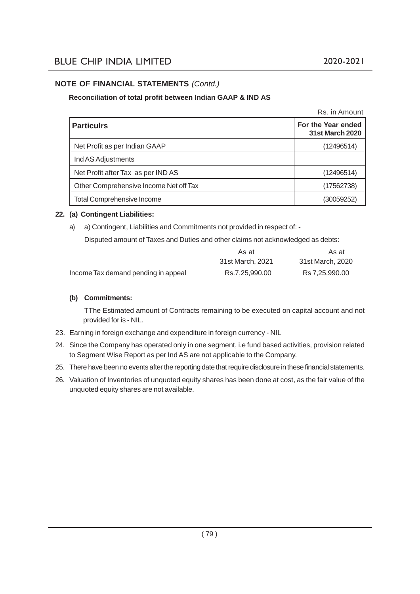#### **Reconciliation of total profit between Indian GAAP & IND AS**

Rs. in Amount

| <b>Particulrs</b>                      | For the Year ended<br><b>31st March 2020</b> |
|----------------------------------------|----------------------------------------------|
| Net Profit as per Indian GAAP          | (12496514)                                   |
| Ind AS Adjustments                     |                                              |
| Net Profit after Tax as per IND AS     | (12496514)                                   |
| Other Comprehensive Income Net off Tax | (17562738)                                   |
| <b>Total Comprehensive Income</b>      | (30059252)                                   |

#### **22. (a) Contingent Liabilities:**

a) a) Contingent, Liabilities and Commitments not provided in respect of: -

Disputed amount of Taxes and Duties and other claims not acknowledged as debts:

|                                     | As at            | As at            |
|-------------------------------------|------------------|------------------|
|                                     | 31st March. 2021 | 31st March. 2020 |
| Income Tax demand pending in appeal | Rs.7,25,990.00   | Rs 7,25,990.00   |

#### **(b) Commitments:**

TThe Estimated amount of Contracts remaining to be executed on capital account and not provided for is - NIL.

- 23. Earning in foreign exchange and expenditure in foreign currency NIL
- 24. Since the Company has operated only in one segment, i.e fund based activities, provision related to Segment Wise Report as per Ind AS are not applicable to the Company.
- 25. There have been no events after the reporting date that require disclosure in these financial statements.
- 26. Valuation of Inventories of unquoted equity shares has been done at cost, as the fair value of the unquoted equity shares are not available.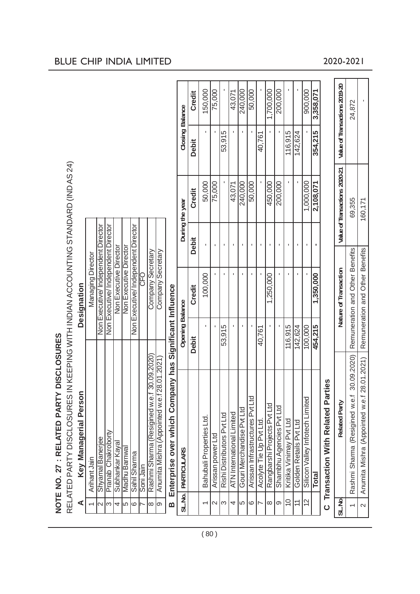| İ<br>=<br>;<br>;<br>$\frac{1}{1}$ |
|-----------------------------------|
| Í                                 |
|                                   |
|                                   |
| ו<br>ג                            |
| $\overline{\mathbf{S}}$           |
| ーー・コー                             |
|                                   |

RELATED PARTY DISCLOSURES IN KEEPING WITH INDIAN ACCOUNTING STANDARD (IND AS 24)

|   | Key Managerial Person                                            | Designation                        |
|---|------------------------------------------------------------------|------------------------------------|
|   | Arihant Jain                                                     | <b>Managing Director</b>           |
|   | Shyamal Banerjee                                                 | Non Executive/Independent Director |
|   | Pranab Chakroborty                                               | Non Executive/Independent Director |
|   | Subhankar Kayal                                                  | Non Executive Director             |
| 5 | Madhu Barnwal                                                    | Non Executive Director             |
| G | Sahil Sharma                                                     | Non Executive/Independent Director |
|   | Soni Jain                                                        | CFO                                |
|   | Rashmi Sharma (Resigined w.e.f 30.09.2020)                       | Company Secretary                  |
|   | Anumita Mishra (Appointed w.e.f 28.01.2021)                      | Company Secretary                  |
|   | complete contains and complete contains and contains and defined |                                    |

# Enterprise over which Company has Significant Influence **B Enterprise over which Company has Significant Influence** n

|                 | SL.No. PARTICULARS                     | <b>Opening Balance</b> |                       |       | During the year               | <b>Closing Balance</b> |                               |
|-----------------|----------------------------------------|------------------------|-----------------------|-------|-------------------------------|------------------------|-------------------------------|
|                 |                                        | Debit                  | Credit                | Debit | Credit                        | Debit                  | Credit                        |
|                 | Bahubali Properties Ltd.               |                        | 100,000               |       | 50,000                        |                        | 150,000                       |
| $\mathbf{\sim}$ | Arissan power Ltd                      |                        |                       |       | 75,000                        |                        | 75,000                        |
| ∞               | Rishi Distributors Pvt Ltd             | 53,915                 |                       |       |                               | 53,915                 |                               |
|                 | <b>ATN International Limited</b>       |                        |                       |       | 43,071                        |                        | 43,071                        |
| 5               | Gouri Merchandise Pvt Ltd              |                        |                       |       | 240,000                       |                        | 240,000                       |
| ဖ               | Arissan Infrastructures Pvt Ltd        |                        |                       |       | 50,000                        |                        | 50,000                        |
|                 | Acolyte Tie Up Pyt Ltd.                | 40,761                 |                       |       |                               | 40,761                 |                               |
| ∞               | Rangbarshi Projects Pvt Ltd            |                        | 1,250,000             |       | 450,000                       |                        | 1,700,000                     |
| 07              | Shambhu Agencies Pvt Ltd               |                        |                       |       | 200,000                       |                        | 200,000                       |
| ₽               | Kritika Vinimay Pvt Ltd                | 116,915                |                       |       |                               | 116,915                |                               |
|                 | Golden Retails Pvt Ltd                 | 142,624                |                       |       |                               | 142,624                |                               |
| $\overline{c}$  | Silicon Valley Infotech Limited        | 100,000                |                       |       | 1,000,000                     |                        | 900,000                       |
|                 | <b>Total</b>                           | 454,215                | 1,350,000             |       | 2,108,071                     | 354,215                | 3,358,071                     |
|                 | rties<br>C Transaction With Related Pa |                        |                       |       |                               |                        |                               |
| SL.No.          | Related Party                          |                        | Nature of Transaction |       | Value of Transactions 2020-21 |                        | Value of Transactions 2019-20 |

# BLUE CHIP INDIA LIMITED 2020-2021

24,872

69,355 160,171

1 Rashmi Sharma (Resigined w.e.f 30.09.2020) Remuneration and Other Benefits 69,355 24,872 2 | Anumita Mishra (Appointed w.e.f 28.01.2021) Remuneration and Other Benefits | 160,171 -

Remuneration and Other Benefits

Rashmi Sharma (Resigined w.e.f 30.09.2020) Remuneration and Other Benefits

Anumita Mishra (Appointed w.e.f 28.01.2021)

 $\alpha$  $\overline{ }$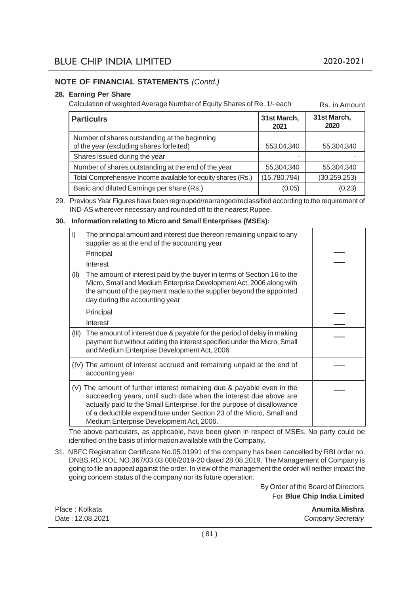#### **28. Earning Per Share**

Rs. in Amount Calculation of weighted Average Number of Equity Shares of Re. 1/- each

| <b>Particulrs</b>                                                                         | 31st March,<br>2021 | 31st March,<br>2020 |
|-------------------------------------------------------------------------------------------|---------------------|---------------------|
| Number of shares outstanding at the beginning<br>of the year (excluding shares forfeited) | 553,04,340          | 55,304,340          |
| Shares issued during the year                                                             |                     |                     |
| Number of shares outstanding at the end of the year                                       | 55,304,340          | 55,304,340          |
| Total Comprehensive Income available for equity shares (Rs.)                              | (15,780,794)        | (30, 259, 253)      |
| Basic and diluted Earnings per share (Rs.)                                                | (0.05)              | (0.23)              |

29. Previous Year Figures have been regrouped/rearranged/reclassified according to the requirement of IND-AS wherever necessary and rounded off to the nearest Rupee.

#### **30. Information relating to Micro and Small Enterprises (MSEs):**

| $\mathsf{I}$ | The principal amount and interest due thereon remaining unpaid to any<br>supplier as at the end of the accounting year                                                                                                                                                                                                                    |  |
|--------------|-------------------------------------------------------------------------------------------------------------------------------------------------------------------------------------------------------------------------------------------------------------------------------------------------------------------------------------------|--|
|              | Principal                                                                                                                                                                                                                                                                                                                                 |  |
|              | Interest                                                                                                                                                                                                                                                                                                                                  |  |
| (II)         | The amount of interest paid by the buyer in terms of Section 16 to the<br>Micro, Small and Medium Enterprise Development Act, 2006 along with<br>the amount of the payment made to the supplier beyond the appointed<br>day during the accounting year                                                                                    |  |
|              | Principal                                                                                                                                                                                                                                                                                                                                 |  |
|              | Interest                                                                                                                                                                                                                                                                                                                                  |  |
| (III)        | The amount of interest due & payable for the period of delay in making<br>payment but without adding the interest specified under the Micro, Small<br>and Medium Enterprise Development Act, 2006                                                                                                                                         |  |
|              | (IV) The amount of interest accrued and remaining unpaid at the end of<br>accounting year                                                                                                                                                                                                                                                 |  |
|              | (V) The amount of further interest remaining due & payable even in the<br>succeeding years, until such date when the interest due above are<br>actually paid to the Small Enterprise, for the purpose of disallowance<br>of a deductible expenditure under Section 23 of the Micro, Small and<br>Medium Enterprise Development Act, 2006. |  |

The above particulars, as applicable, have been given in respect of MSEs. No party could be identified on the basis of information available with the Company.

31. NBFC Registration Certificate No.05.01991 of the company has been cancelled by RBI order no. DNBS.RO.KOL.NO.367/03.03.008/2019-20 dated 28.08.2019. The Management of Company is going to file an appeal against the order. In view of the management the order will neither impact the going concern status of the company nor its future operation.

> By Order of the Board of Directors For **Blue Chip India Limited**

| Place : Kolkata  | <b>Anumita Mishra</b> |
|------------------|-----------------------|
| Date: 12.08.2021 | Company Secretary     |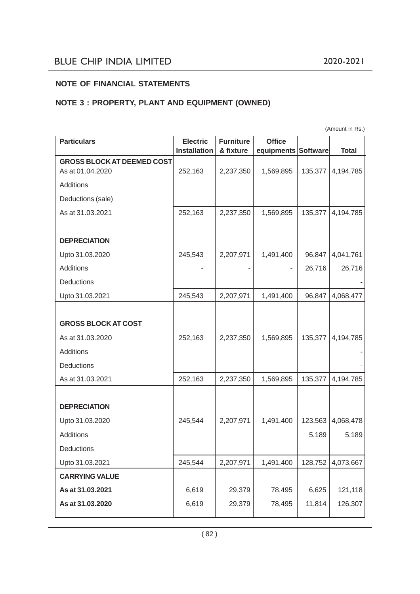(Amount in Rs.)

#### **NOTE OF FINANCIAL STATEMENTS**

#### **NOTE 3 : PROPERTY, PLANT AND EQUIPMENT (OWNED)**

**Particulars Electric Furniture Office Installation** & fixture equipments Software Total **GROSS BLOCK AT DEEMED COST** As at 01.04.2020 252,163 2,237,350 1,569,895 135,377 4,194,785 Additions Deductions (sale) As at 31.03.2021 252,163 2,237,350 1,569,895 135,377 4,194,785 **DEPRECIATION** Upto 31.03.2020 245,543 2,207,971 1,491,400 96,847 4,041,761 Additions - - - 26,716 26,716 Deductions - Upto 31.03.2021 245,543 2,207,971 1,491,400 96,847 4,068,477 **GROSS BLOCK AT COST** As at 31.03.2020 252,163 2,237,350 1,569,895 135,377 4,194,785 Additions - **Deductions** As at 31.03.2021 252,163 252,163 2,237,350 1,569,895 | 135,377 | 4,194,785 **DEPRECIATION** Upto 31.03.2020 245,544 2,207,971 1,491,400 123,563 4,068,478 Additions 5,189 5,189 **Deductions** Upto 31.03.2021 245,544 2,207,971 1,491,400 128,752 4,073,667 **CARRYING VALUE As at 31.03.2021 121,118 6,619 129,379 121,03.2021 121,118 As at 31.03.2020 12.6.2010 12.6.4.95 13.03.2020 12.6.307 12.6.307**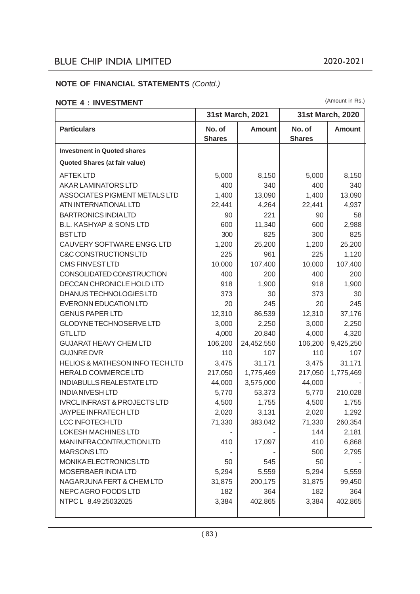#### **NOTE 4 : INVESTMENT**

|                                            | 31st March, 2021        |               |                         | 31st March, 2020 |
|--------------------------------------------|-------------------------|---------------|-------------------------|------------------|
| <b>Particulars</b>                         | No. of<br><b>Shares</b> | <b>Amount</b> | No. of<br><b>Shares</b> | <b>Amount</b>    |
| <b>Investment in Quoted shares</b>         |                         |               |                         |                  |
| <b>Quoted Shares (at fair value)</b>       |                         |               |                         |                  |
| <b>AFTEKLTD</b>                            | 5,000                   | 8,150         | 5,000                   | 8,150            |
| <b>AKAR LAMINATORS LTD</b>                 | 400                     | 340           | 400                     | 340              |
| ASSOCIATES PIGMENT METALS LTD              | 1,400                   | 13,090        | 1,400                   | 13,090           |
| ATN INTERNATIONAL LTD                      | 22,441                  | 4,264         | 22,441                  | 4,937            |
| <b>BARTRONICS INDIA LTD</b>                | 90                      | 221           | 90                      | 58               |
| <b>B.L. KASHYAP &amp; SONS LTD</b>         | 600                     | 11,340        | 600                     | 2,988            |
| <b>BSTLTD</b>                              | 300                     | 825           | 300                     | 825              |
| CAUVERY SOFTWARE ENGG. LTD                 | 1,200                   | 25,200        | 1,200                   | 25,200           |
| <b>C&amp;C CONSTRUCTIONS LTD</b>           | 225                     | 961           | 225                     | 1,120            |
| <b>CMS FINVEST LTD</b>                     | 10,000                  | 107,400       | 10,000                  | 107,400          |
| CONSOLIDATED CONSTRUCTION                  | 400                     | 200           | 400                     | 200              |
| DECCAN CHRONICLE HOLD LTD                  | 918                     | 1,900         | 918                     | 1,900            |
| DHANUS TECHNOLOGIES LTD                    | 373                     | 30            | 373                     | 30               |
| <b>EVERONN EDUCATION LTD</b>               | 20                      | 245           | 20                      | 245              |
| <b>GENUS PAPER LTD</b>                     | 12,310                  | 86,539        | 12,310                  | 37,176           |
| <b>GLODYNE TECHNOSERVE LTD</b>             | 3,000                   | 2,250         | 3,000                   | 2,250            |
| <b>GTLLTD</b>                              | 4,000                   | 20,840        | 4,000                   | 4,320            |
| <b>GUJARAT HEAVY CHEM LTD</b>              | 106,200                 | 24,452,550    | 106,200                 | 9,425,250        |
| <b>GUJNRE DVR</b>                          | 110                     | 107           | 110                     | 107              |
| <b>HELIOS &amp; MATHESON INFO TECH LTD</b> | 3,475                   | 31,171        | 3,475                   | 31,171           |
| <b>HERALD COMMERCE LTD</b>                 | 217,050                 | 1,775,469     | 217,050                 | 1,775,469        |
| <b>INDIABULLS REALESTATE LTD</b>           | 44,000                  | 3,575,000     | 44,000                  |                  |
| <b>INDIANIVESHLTD</b>                      | 5,770                   | 53,373        | 5,770                   | 210,028          |
| <b>IVRCLINFRAST &amp; PROJECTS LTD</b>     | 4,500                   | 1,755         | 4,500                   | 1,755            |
| <b>JAYPEE INFRATECH LTD</b>                | 2,020                   | 3,131         | 2,020                   | 1,292            |
| LCC INFOTECH LTD                           | 71,330                  | 383,042       | 71,330                  | 260,354          |
| <b>LOKESH MACHINES LTD</b>                 |                         |               | 144                     | 2,181            |
| MAN INFRACONTRUCTION LTD                   | 410                     | 17,097        | 410                     | 6,868            |
| <b>MARSONS LTD</b>                         |                         |               | 500                     | 2,795            |
| MONIKA ELECTRONICS LTD                     | 50                      | 545           | 50                      |                  |
| MOSERBAER INDIALTD                         | 5,294                   | 5,559         | 5,294                   | 5,559            |
| NAGARJUNA FERT & CHEM LTD                  | 31,875                  | 200,175       | 31,875                  | 99,450           |
| NEPC AGRO FOODS LTD                        | 182                     | 364           | 182                     | 364              |
| NTPC L 8.49 25032025                       | 3,384                   | 402,865       | 3,384                   | 402,865          |
|                                            |                         |               |                         |                  |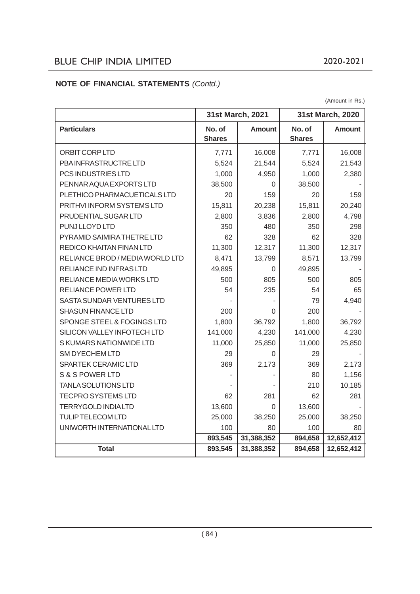| (Amount in Rs.)                 |                         |                  |                         |                  |
|---------------------------------|-------------------------|------------------|-------------------------|------------------|
|                                 |                         | 31st March, 2021 |                         | 31st March, 2020 |
| <b>Particulars</b>              | No. of<br><b>Shares</b> | <b>Amount</b>    | No. of<br><b>Shares</b> | <b>Amount</b>    |
| ORBIT CORP LTD                  | 7,771                   | 16,008           | 7,771                   | 16,008           |
| PBAINFRASTRUCTRE LTD            | 5,524                   | 21,544           | 5,524                   | 21,543           |
| PCS INDUSTRIES LTD              | 1,000                   | 4,950            | 1,000                   | 2,380            |
| PENNAR AQUA EXPORTS LTD         | 38,500                  | 0                | 38,500                  |                  |
| PLETHICO PHARMACUETICALS LTD    | 20                      | 159              | 20                      | 159              |
| PRITHVI INFORM SYSTEMS LTD      | 15,811                  | 20,238           | 15,811                  | 20,240           |
| PRUDENTIAL SUGAR LTD            | 2,800                   | 3,836            | 2,800                   | 4,798            |
| PUNJ LLOYD LTD                  | 350                     | 480              | 350                     | 298              |
| PYRAMID SAIMIRA THETRE LTD      | 62                      | 328              | 62                      | 328              |
| REDICO KHAITAN FINAN LTD        | 11,300                  | 12,317           | 11,300                  | 12,317           |
| RELIANCE BROD / MEDIA WORLD LTD | 8,471                   | 13,799           | 8,571                   | 13,799           |
| RELIANCE IND INFRAS LTD         | 49,895                  | 0                | 49,895                  |                  |
| RELIANCE MEDIA WORKS LTD        | 500                     | 805              | 500                     | 805              |
| <b>RELIANCE POWER LTD</b>       | 54                      | 235              | 54                      | 65               |
| SASTA SUNDAR VENTURES LTD       |                         |                  | 79                      | 4,940            |
| <b>SHASUN FINANCE LTD</b>       | 200                     | 0                | 200                     |                  |
| SPONGE STEEL & FOGINGS LTD      | 1,800                   | 36,792           | 1,800                   | 36,792           |
| SILICON VALLEY INFOTECH LTD     | 141,000                 | 4,230            | 141,000                 | 4,230            |
| S KUMARS NATIONWIDE LTD         | 11,000                  | 25,850           | 11,000                  | 25,850           |
| <b>SM DYECHEM LTD</b>           | 29                      | 0                | 29                      |                  |
| SPARTEK CERAMIC LTD             | 369                     | 2,173            | 369                     | 2,173            |
| S & S POWER LTD                 |                         |                  | 80                      | 1,156            |
| <b>TANLA SOLUTIONS LTD</b>      |                         |                  | 210                     | 10,185           |
| <b>TECPRO SYSTEMS LTD</b>       | 62                      | 281              | 62                      | 281              |
| <b>TERRYGOLD INDIALTD</b>       | 13,600                  | 0                | 13,600                  |                  |
| <b>TULIP TELECOM LTD</b>        | 25,000                  | 38,250           | 25,000                  | 38,250           |
| UNIWORTH INTERNATIONAL LTD      | 100                     | 80               | 100                     | 80               |
|                                 | 893,545                 | 31,388,352       | 894,658                 | 12,652,412       |
| <b>Total</b>                    | 893,545                 | 31,388,352       | 894,658                 | 12,652,412       |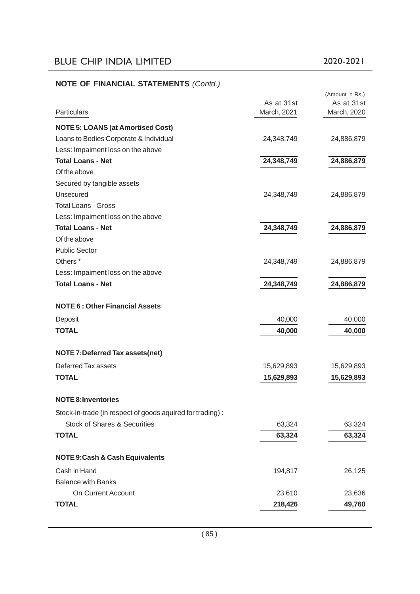|                                                           |             | (Amount in Rs.) |
|-----------------------------------------------------------|-------------|-----------------|
|                                                           | As at 31st  | As at 31st      |
| Particulars                                               | March, 2021 | March, 2020     |
| <b>NOTE 5: LOANS (at Amortised Cost)</b>                  |             |                 |
| Loans to Bodies Corporate & Individual                    | 24,348,749  | 24,886,879      |
| Less: Impaiment loss on the above                         |             |                 |
| <b>Total Loans - Net</b>                                  | 24,348,749  | 24,886,879      |
| Of the above                                              |             |                 |
| Secured by tangible assets                                |             |                 |
| Unsecured                                                 | 24,348,749  | 24,886,879      |
| <b>Total Loans - Gross</b>                                |             |                 |
| Less: Impaiment loss on the above                         |             |                 |
| <b>Total Loans - Net</b>                                  | 24,348,749  | 24,886,879      |
| Of the above                                              |             |                 |
| <b>Public Sector</b>                                      |             |                 |
| Others <sup>*</sup>                                       | 24,348,749  | 24,886,879      |
| Less: Impaiment loss on the above                         |             |                 |
| <b>Total Loans - Net</b>                                  | 24,348,749  | 24,886,879      |
| <b>NOTE 6: Other Financial Assets</b>                     |             |                 |
|                                                           |             |                 |
| Deposit                                                   | 40,000      | 40,000          |
| <b>TOTAL</b>                                              | 40,000      | 40,000          |
| <b>NOTE 7: Deferred Tax assets(net)</b>                   |             |                 |
| Deferred Tax assets                                       | 15,629,893  | 15,629,893      |
| <b>TOTAL</b>                                              | 15,629,893  | 15,629,893      |
| <b>NOTE 8: Inventories</b>                                |             |                 |
| Stock-in-trade (in respect of goods aquired for trading): |             |                 |
| <b>Stock of Shares &amp; Securities</b>                   | 63,324      | 63,324          |
| <b>TOTAL</b>                                              | 63,324      | 63,324          |
|                                                           |             |                 |
| <b>NOTE 9: Cash &amp; Cash Equivalents</b>                |             |                 |
| Cash in Hand                                              | 194,817     | 26,125          |
| <b>Balance with Banks</b>                                 |             |                 |
| On Current Account                                        | 23,610      | 23,636          |
| <b>TOTAL</b>                                              | 218,426     | 49,760          |
|                                                           |             |                 |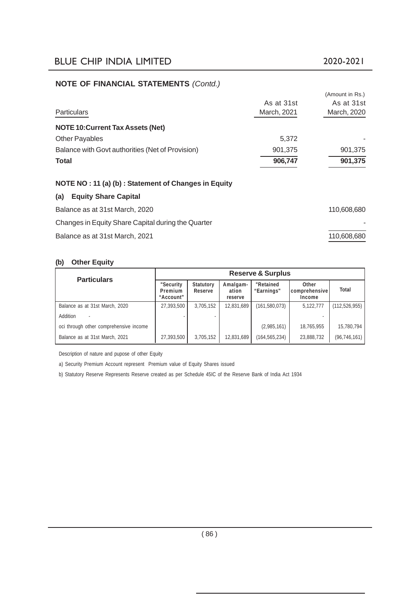|                                                     |             | (Amount in Rs.) |
|-----------------------------------------------------|-------------|-----------------|
|                                                     | As at 31st  | As at 31st      |
| Particulars                                         | March, 2021 | March, 2020     |
| <b>NOTE 10: Current Tax Assets (Net)</b>            |             |                 |
| <b>Other Payables</b>                               | 5,372       |                 |
| Balance with Govt authorities (Net of Provision)    | 901,375     | 901,375         |
| <b>Total</b>                                        | 906,747     | 901,375         |
| NOTE NO: 11 (a) (b): Statement of Changes in Equity |             |                 |
| <b>Equity Share Capital</b><br>(a)                  |             |                 |
| Balance as at 31st March, 2020                      |             | 110,608,680     |

Changes in Equity Share Capital during the Quarter -

Balance as at 31st March, 2021 110,608,680

#### **(b) Other Equity**

| <b>Particulars</b>                     | <b>Reserve &amp; Surplus</b>      |                      |                              |                         |                                  |                 |
|----------------------------------------|-----------------------------------|----------------------|------------------------------|-------------------------|----------------------------------|-----------------|
|                                        | "Security<br>Premium<br>"Account" | Statutory<br>Reserve | Amalgam-<br>ation<br>reserve | "Retained<br>"Earnings" | Other<br>comprehensive<br>Income | <b>Total</b>    |
| Balance as at 31st March, 2020         | 27.393.500                        | 3.705.152            | 12.831.689                   | (161, 580, 073)         | 5,122,777                        | (112, 526, 955) |
| Addition                               |                                   |                      |                              |                         |                                  |                 |
| oci through other comprehensive income |                                   |                      |                              | (2,985,161)             | 18.765.955                       | 15,780,794      |
| Balance as at 31st March, 2021         | 27,393,500                        | 3.705.152            | 12,831,689                   | (164, 565, 234)         | 23,888,732                       | (96, 746, 161)  |

Description of nature and pupose of other Equity

a) Security Premium Account represent Premium value of Equity Shares issued

b) Statutory Reserve Represents Reserve created as per Schedule 45IC of the Reserve Bank of India Act 1934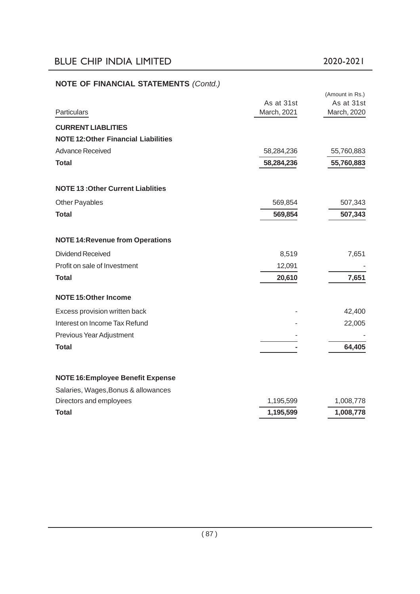|             | (Amount in Rs.) |
|-------------|-----------------|
| As at 31st  | As at 31st      |
| March, 2021 | March, 2020     |
|             |                 |
|             |                 |
| 58,284,236  | 55,760,883      |
| 58,284,236  | 55,760,883      |
|             |                 |
| 569,854     | 507,343         |
| 569,854     | 507,343         |
|             |                 |
| 8,519       | 7,651           |
| 12,091      |                 |
| 20,610      | 7,651           |
|             |                 |
|             | 42,400          |
|             | 22,005          |
|             |                 |
|             | 64,405          |
|             |                 |
|             |                 |
| 1,195,599   | 1,008,778       |
| 1,195,599   | 1,008,778       |
|             |                 |